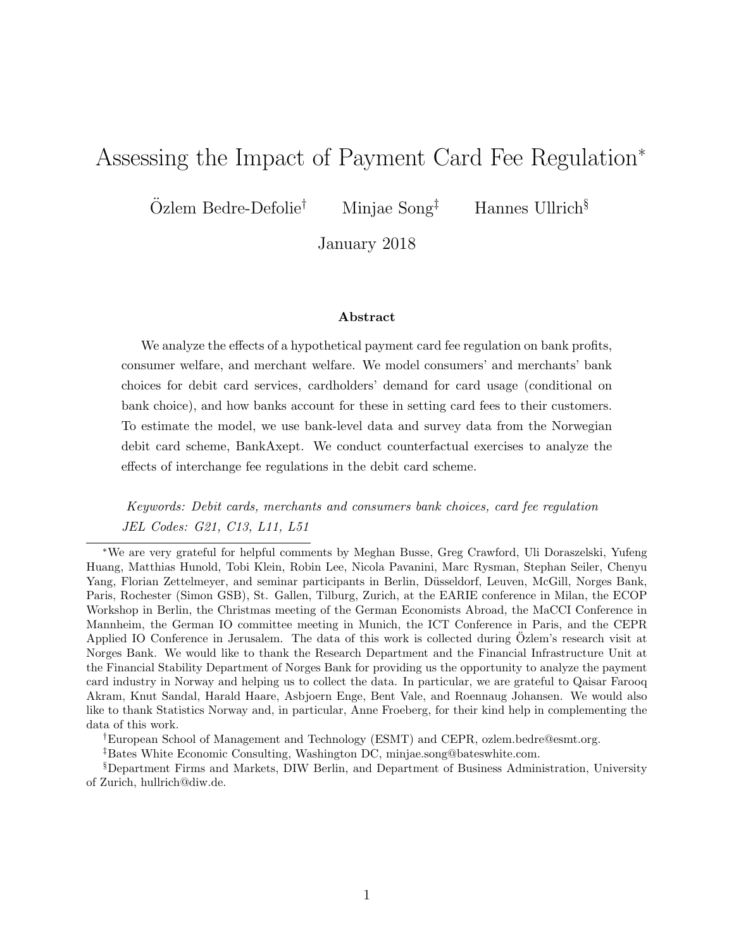## Assessing the Impact of Payment Card Fee Regulation<sup>∗</sup>

 $\mathrm{Ozlem}$  Bedre-Defolie<sup>†</sup> Minjae Song<sup>‡</sup> Hannes Ullrich<sup>§</sup>

January 2018

#### Abstract

We analyze the effects of a hypothetical payment card fee regulation on bank profits, consumer welfare, and merchant welfare. We model consumers' and merchants' bank choices for debit card services, cardholders' demand for card usage (conditional on bank choice), and how banks account for these in setting card fees to their customers. To estimate the model, we use bank-level data and survey data from the Norwegian debit card scheme, BankAxept. We conduct counterfactual exercises to analyze the effects of interchange fee regulations in the debit card scheme.

Keywords: Debit cards, merchants and consumers bank choices, card fee regulation JEL Codes: G21, C13, L11, L51

†European School of Management and Technology (ESMT) and CEPR, ozlem.bedre@esmt.org.

‡Bates White Economic Consulting, Washington DC, minjae.song@bateswhite.com.

<sup>∗</sup>We are very grateful for helpful comments by Meghan Busse, Greg Crawford, Uli Doraszelski, Yufeng Huang, Matthias Hunold, Tobi Klein, Robin Lee, Nicola Pavanini, Marc Rysman, Stephan Seiler, Chenyu Yang, Florian Zettelmeyer, and seminar participants in Berlin, Düsseldorf, Leuven, McGill, Norges Bank, Paris, Rochester (Simon GSB), St. Gallen, Tilburg, Zurich, at the EARIE conference in Milan, the ECOP Workshop in Berlin, the Christmas meeting of the German Economists Abroad, the MaCCI Conference in Mannheim, the German IO committee meeting in Munich, the ICT Conference in Paris, and the CEPR Applied IO Conference in Jerusalem. The data of this work is collected during Ozlem's research visit at Norges Bank. We would like to thank the Research Department and the Financial Infrastructure Unit at the Financial Stability Department of Norges Bank for providing us the opportunity to analyze the payment card industry in Norway and helping us to collect the data. In particular, we are grateful to Qaisar Farooq Akram, Knut Sandal, Harald Haare, Asbjoern Enge, Bent Vale, and Roennaug Johansen. We would also like to thank Statistics Norway and, in particular, Anne Froeberg, for their kind help in complementing the data of this work.

<sup>§</sup>Department Firms and Markets, DIW Berlin, and Department of Business Administration, University of Zurich, hullrich@diw.de.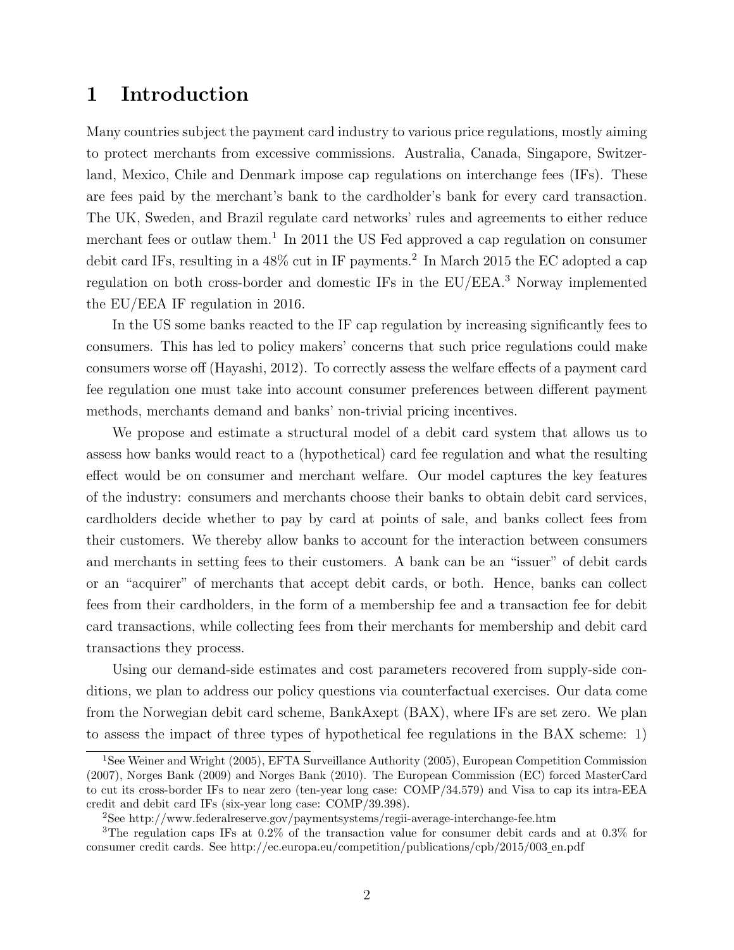## 1 Introduction

Many countries subject the payment card industry to various price regulations, mostly aiming to protect merchants from excessive commissions. Australia, Canada, Singapore, Switzerland, Mexico, Chile and Denmark impose cap regulations on interchange fees (IFs). These are fees paid by the merchant's bank to the cardholder's bank for every card transaction. The UK, Sweden, and Brazil regulate card networks' rules and agreements to either reduce merchant fees or outlaw them.<sup>1</sup> In 2011 the US Fed approved a cap regulation on consumer debit card IFs, resulting in a  $48\%$  cut in IF payments.<sup>2</sup> In March 2015 the EC adopted a cap regulation on both cross-border and domestic IFs in the EU/EEA.<sup>3</sup> Norway implemented the EU/EEA IF regulation in 2016.

In the US some banks reacted to the IF cap regulation by increasing significantly fees to consumers. This has led to policy makers' concerns that such price regulations could make consumers worse off (Hayashi, 2012). To correctly assess the welfare effects of a payment card fee regulation one must take into account consumer preferences between different payment methods, merchants demand and banks' non-trivial pricing incentives.

We propose and estimate a structural model of a debit card system that allows us to assess how banks would react to a (hypothetical) card fee regulation and what the resulting effect would be on consumer and merchant welfare. Our model captures the key features of the industry: consumers and merchants choose their banks to obtain debit card services, cardholders decide whether to pay by card at points of sale, and banks collect fees from their customers. We thereby allow banks to account for the interaction between consumers and merchants in setting fees to their customers. A bank can be an "issuer" of debit cards or an "acquirer" of merchants that accept debit cards, or both. Hence, banks can collect fees from their cardholders, in the form of a membership fee and a transaction fee for debit card transactions, while collecting fees from their merchants for membership and debit card transactions they process.

Using our demand-side estimates and cost parameters recovered from supply-side conditions, we plan to address our policy questions via counterfactual exercises. Our data come from the Norwegian debit card scheme, BankAxept (BAX), where IFs are set zero. We plan to assess the impact of three types of hypothetical fee regulations in the BAX scheme: 1)

<sup>&</sup>lt;sup>1</sup>See Weiner and Wright (2005), EFTA Surveillance Authority (2005), European Competition Commission (2007), Norges Bank (2009) and Norges Bank (2010). The European Commission (EC) forced MasterCard to cut its cross-border IFs to near zero (ten-year long case: COMP/34.579) and Visa to cap its intra-EEA credit and debit card IFs (six-year long case: COMP/39.398).

<sup>2</sup>See http://www.federalreserve.gov/paymentsystems/regii-average-interchange-fee.htm

<sup>3</sup>The regulation caps IFs at 0.2% of the transaction value for consumer debit cards and at 0.3% for consumer credit cards. See http://ec.europa.eu/competition/publications/cpb/2015/003 en.pdf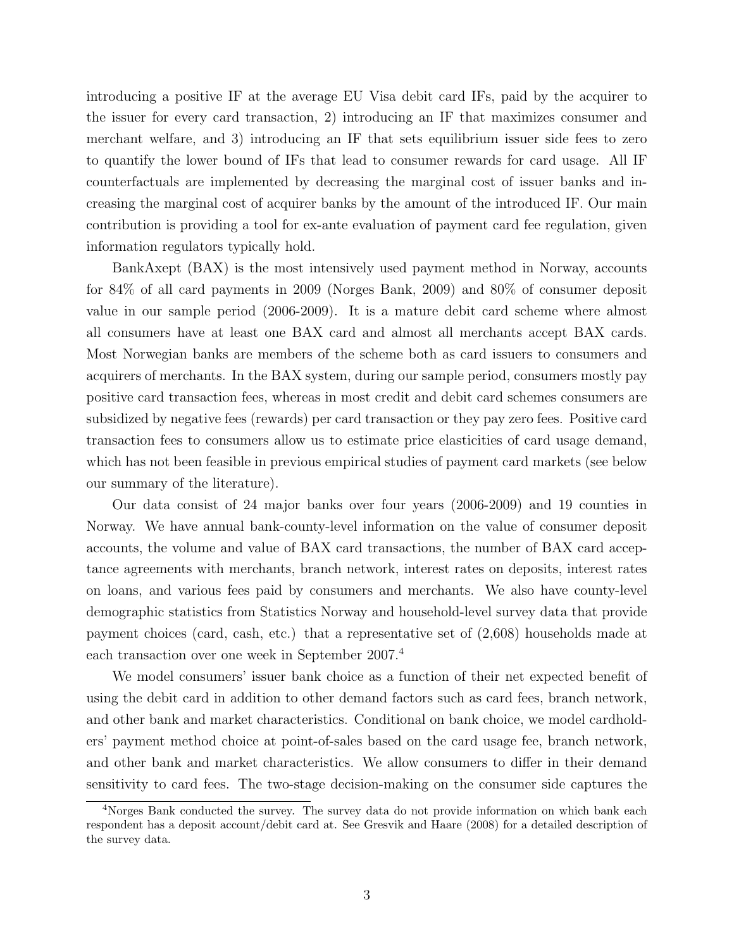introducing a positive IF at the average EU Visa debit card IFs, paid by the acquirer to the issuer for every card transaction, 2) introducing an IF that maximizes consumer and merchant welfare, and 3) introducing an IF that sets equilibrium issuer side fees to zero to quantify the lower bound of IFs that lead to consumer rewards for card usage. All IF counterfactuals are implemented by decreasing the marginal cost of issuer banks and increasing the marginal cost of acquirer banks by the amount of the introduced IF. Our main contribution is providing a tool for ex-ante evaluation of payment card fee regulation, given information regulators typically hold.

BankAxept (BAX) is the most intensively used payment method in Norway, accounts for 84% of all card payments in 2009 (Norges Bank, 2009) and 80% of consumer deposit value in our sample period (2006-2009). It is a mature debit card scheme where almost all consumers have at least one BAX card and almost all merchants accept BAX cards. Most Norwegian banks are members of the scheme both as card issuers to consumers and acquirers of merchants. In the BAX system, during our sample period, consumers mostly pay positive card transaction fees, whereas in most credit and debit card schemes consumers are subsidized by negative fees (rewards) per card transaction or they pay zero fees. Positive card transaction fees to consumers allow us to estimate price elasticities of card usage demand, which has not been feasible in previous empirical studies of payment card markets (see below our summary of the literature).

Our data consist of 24 major banks over four years (2006-2009) and 19 counties in Norway. We have annual bank-county-level information on the value of consumer deposit accounts, the volume and value of BAX card transactions, the number of BAX card acceptance agreements with merchants, branch network, interest rates on deposits, interest rates on loans, and various fees paid by consumers and merchants. We also have county-level demographic statistics from Statistics Norway and household-level survey data that provide payment choices (card, cash, etc.) that a representative set of (2,608) households made at each transaction over one week in September 2007.<sup>4</sup>

We model consumers' issuer bank choice as a function of their net expected benefit of using the debit card in addition to other demand factors such as card fees, branch network, and other bank and market characteristics. Conditional on bank choice, we model cardholders' payment method choice at point-of-sales based on the card usage fee, branch network, and other bank and market characteristics. We allow consumers to differ in their demand sensitivity to card fees. The two-stage decision-making on the consumer side captures the

<sup>&</sup>lt;sup>4</sup>Norges Bank conducted the survey. The survey data do not provide information on which bank each respondent has a deposit account/debit card at. See Gresvik and Haare (2008) for a detailed description of the survey data.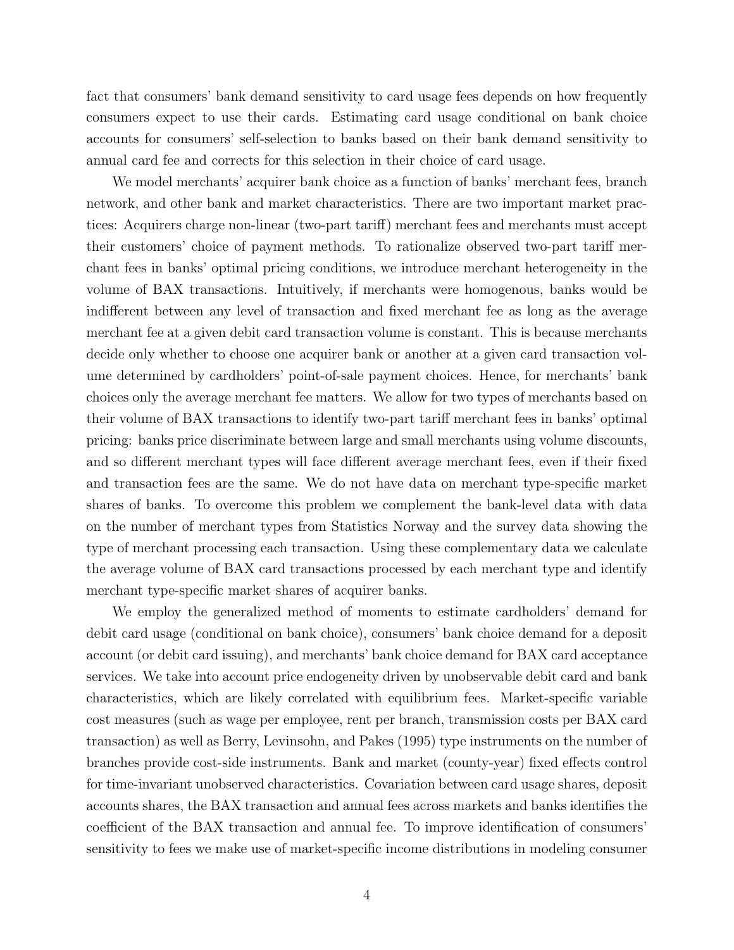fact that consumers' bank demand sensitivity to card usage fees depends on how frequently consumers expect to use their cards. Estimating card usage conditional on bank choice accounts for consumers' self-selection to banks based on their bank demand sensitivity to annual card fee and corrects for this selection in their choice of card usage.

We model merchants' acquirer bank choice as a function of banks' merchant fees, branch network, and other bank and market characteristics. There are two important market practices: Acquirers charge non-linear (two-part tariff) merchant fees and merchants must accept their customers' choice of payment methods. To rationalize observed two-part tariff merchant fees in banks' optimal pricing conditions, we introduce merchant heterogeneity in the volume of BAX transactions. Intuitively, if merchants were homogenous, banks would be indifferent between any level of transaction and fixed merchant fee as long as the average merchant fee at a given debit card transaction volume is constant. This is because merchants decide only whether to choose one acquirer bank or another at a given card transaction volume determined by cardholders' point-of-sale payment choices. Hence, for merchants' bank choices only the average merchant fee matters. We allow for two types of merchants based on their volume of BAX transactions to identify two-part tariff merchant fees in banks' optimal pricing: banks price discriminate between large and small merchants using volume discounts, and so different merchant types will face different average merchant fees, even if their fixed and transaction fees are the same. We do not have data on merchant type-specific market shares of banks. To overcome this problem we complement the bank-level data with data on the number of merchant types from Statistics Norway and the survey data showing the type of merchant processing each transaction. Using these complementary data we calculate the average volume of BAX card transactions processed by each merchant type and identify merchant type-specific market shares of acquirer banks.

We employ the generalized method of moments to estimate cardholders' demand for debit card usage (conditional on bank choice), consumers' bank choice demand for a deposit account (or debit card issuing), and merchants' bank choice demand for BAX card acceptance services. We take into account price endogeneity driven by unobservable debit card and bank characteristics, which are likely correlated with equilibrium fees. Market-specific variable cost measures (such as wage per employee, rent per branch, transmission costs per BAX card transaction) as well as Berry, Levinsohn, and Pakes (1995) type instruments on the number of branches provide cost-side instruments. Bank and market (county-year) fixed effects control for time-invariant unobserved characteristics. Covariation between card usage shares, deposit accounts shares, the BAX transaction and annual fees across markets and banks identifies the coefficient of the BAX transaction and annual fee. To improve identification of consumers' sensitivity to fees we make use of market-specific income distributions in modeling consumer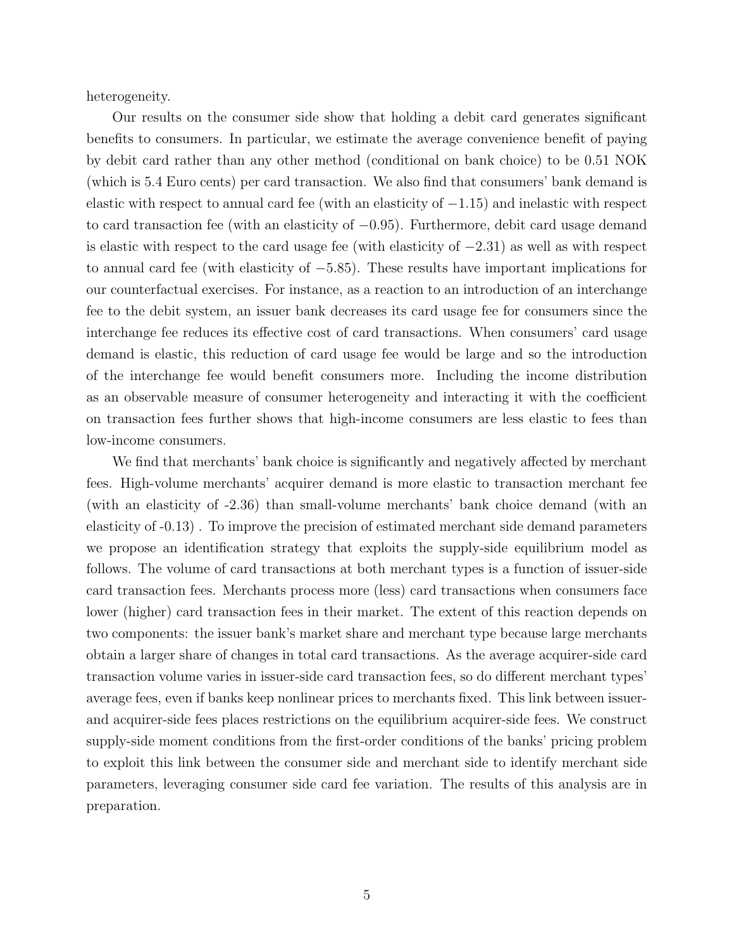heterogeneity.

Our results on the consumer side show that holding a debit card generates significant benefits to consumers. In particular, we estimate the average convenience benefit of paying by debit card rather than any other method (conditional on bank choice) to be 0.51 NOK (which is 5.4 Euro cents) per card transaction. We also find that consumers' bank demand is elastic with respect to annual card fee (with an elasticity of  $-1.15$ ) and inelastic with respect to card transaction fee (with an elasticity of −0.95). Furthermore, debit card usage demand is elastic with respect to the card usage fee (with elasticity of  $-2.31$ ) as well as with respect to annual card fee (with elasticity of −5.85). These results have important implications for our counterfactual exercises. For instance, as a reaction to an introduction of an interchange fee to the debit system, an issuer bank decreases its card usage fee for consumers since the interchange fee reduces its effective cost of card transactions. When consumers' card usage demand is elastic, this reduction of card usage fee would be large and so the introduction of the interchange fee would benefit consumers more. Including the income distribution as an observable measure of consumer heterogeneity and interacting it with the coefficient on transaction fees further shows that high-income consumers are less elastic to fees than low-income consumers.

We find that merchants' bank choice is significantly and negatively affected by merchant fees. High-volume merchants' acquirer demand is more elastic to transaction merchant fee (with an elasticity of -2.36) than small-volume merchants' bank choice demand (with an elasticity of -0.13) . To improve the precision of estimated merchant side demand parameters we propose an identification strategy that exploits the supply-side equilibrium model as follows. The volume of card transactions at both merchant types is a function of issuer-side card transaction fees. Merchants process more (less) card transactions when consumers face lower (higher) card transaction fees in their market. The extent of this reaction depends on two components: the issuer bank's market share and merchant type because large merchants obtain a larger share of changes in total card transactions. As the average acquirer-side card transaction volume varies in issuer-side card transaction fees, so do different merchant types' average fees, even if banks keep nonlinear prices to merchants fixed. This link between issuerand acquirer-side fees places restrictions on the equilibrium acquirer-side fees. We construct supply-side moment conditions from the first-order conditions of the banks' pricing problem to exploit this link between the consumer side and merchant side to identify merchant side parameters, leveraging consumer side card fee variation. The results of this analysis are in preparation.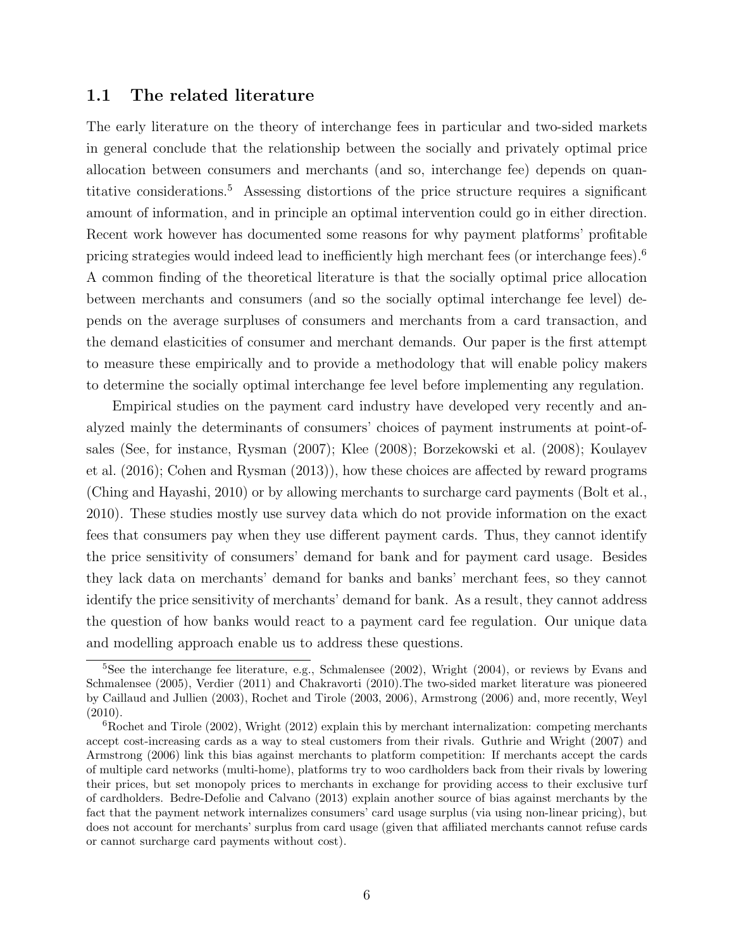#### 1.1 The related literature

The early literature on the theory of interchange fees in particular and two-sided markets in general conclude that the relationship between the socially and privately optimal price allocation between consumers and merchants (and so, interchange fee) depends on quantitative considerations.<sup>5</sup> Assessing distortions of the price structure requires a significant amount of information, and in principle an optimal intervention could go in either direction. Recent work however has documented some reasons for why payment platforms' profitable pricing strategies would indeed lead to inefficiently high merchant fees (or interchange fees).<sup>6</sup> A common finding of the theoretical literature is that the socially optimal price allocation between merchants and consumers (and so the socially optimal interchange fee level) depends on the average surpluses of consumers and merchants from a card transaction, and the demand elasticities of consumer and merchant demands. Our paper is the first attempt to measure these empirically and to provide a methodology that will enable policy makers to determine the socially optimal interchange fee level before implementing any regulation.

Empirical studies on the payment card industry have developed very recently and analyzed mainly the determinants of consumers' choices of payment instruments at point-ofsales (See, for instance, Rysman (2007); Klee (2008); Borzekowski et al. (2008); Koulayev et al. (2016); Cohen and Rysman (2013)), how these choices are affected by reward programs (Ching and Hayashi, 2010) or by allowing merchants to surcharge card payments (Bolt et al., 2010). These studies mostly use survey data which do not provide information on the exact fees that consumers pay when they use different payment cards. Thus, they cannot identify the price sensitivity of consumers' demand for bank and for payment card usage. Besides they lack data on merchants' demand for banks and banks' merchant fees, so they cannot identify the price sensitivity of merchants' demand for bank. As a result, they cannot address the question of how banks would react to a payment card fee regulation. Our unique data and modelling approach enable us to address these questions.

<sup>&</sup>lt;sup>5</sup>See the interchange fee literature, e.g., Schmalensee (2002), Wright (2004), or reviews by Evans and Schmalensee (2005), Verdier (2011) and Chakravorti (2010).The two-sided market literature was pioneered by Caillaud and Jullien (2003), Rochet and Tirole (2003, 2006), Armstrong (2006) and, more recently, Weyl (2010).

 ${}^{6}$ Rochet and Tirole (2002), Wright (2012) explain this by merchant internalization: competing merchants accept cost-increasing cards as a way to steal customers from their rivals. Guthrie and Wright (2007) and Armstrong (2006) link this bias against merchants to platform competition: If merchants accept the cards of multiple card networks (multi-home), platforms try to woo cardholders back from their rivals by lowering their prices, but set monopoly prices to merchants in exchange for providing access to their exclusive turf of cardholders. Bedre-Defolie and Calvano (2013) explain another source of bias against merchants by the fact that the payment network internalizes consumers' card usage surplus (via using non-linear pricing), but does not account for merchants' surplus from card usage (given that affiliated merchants cannot refuse cards or cannot surcharge card payments without cost).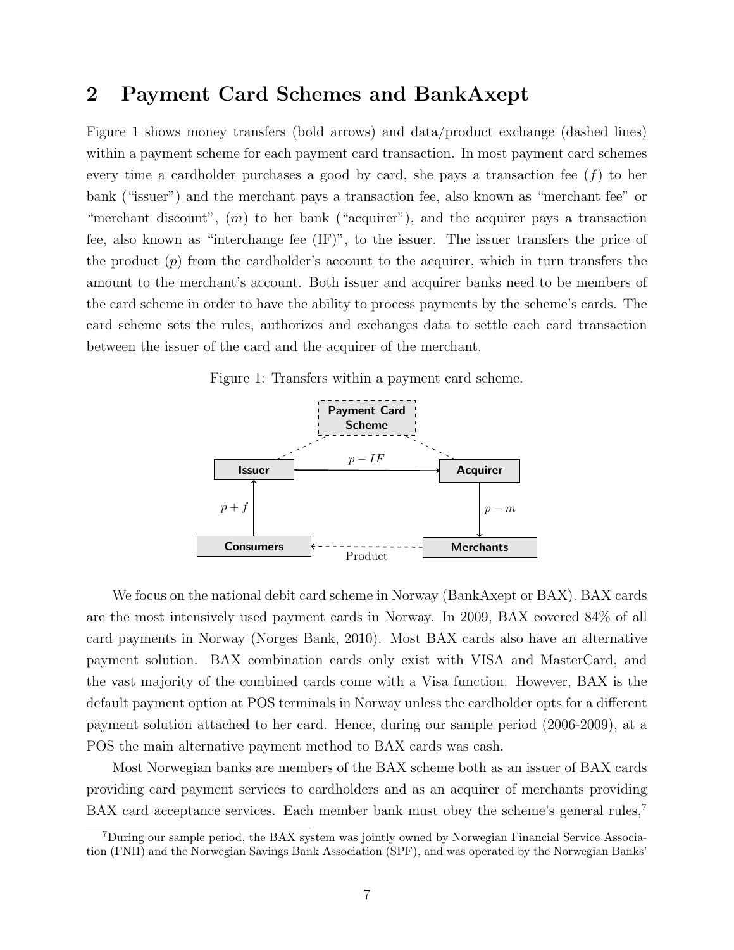## 2 Payment Card Schemes and BankAxept

Figure 1 shows money transfers (bold arrows) and data/product exchange (dashed lines) within a payment scheme for each payment card transaction. In most payment card schemes every time a cardholder purchases a good by card, she pays a transaction fee  $(f)$  to her bank ("issuer") and the merchant pays a transaction fee, also known as "merchant fee" or "merchant discount",  $(m)$  to her bank ("acquirer"), and the acquirer pays a transaction fee, also known as "interchange fee (IF)", to the issuer. The issuer transfers the price of the product  $(p)$  from the cardholder's account to the acquirer, which in turn transfers the amount to the merchant's account. Both issuer and acquirer banks need to be members of the card scheme in order to have the ability to process payments by the scheme's cards. The card scheme sets the rules, authorizes and exchanges data to settle each card transaction between the issuer of the card and the acquirer of the merchant.

Figure 1: Transfers within a payment card scheme.



We focus on the national debit card scheme in Norway (BankAxept or BAX). BAX cards are the most intensively used payment cards in Norway. In 2009, BAX covered 84% of all card payments in Norway (Norges Bank, 2010). Most BAX cards also have an alternative payment solution. BAX combination cards only exist with VISA and MasterCard, and the vast majority of the combined cards come with a Visa function. However, BAX is the default payment option at POS terminals in Norway unless the cardholder opts for a different payment solution attached to her card. Hence, during our sample period (2006-2009), at a POS the main alternative payment method to BAX cards was cash.

Most Norwegian banks are members of the BAX scheme both as an issuer of BAX cards providing card payment services to cardholders and as an acquirer of merchants providing BAX card acceptance services. Each member bank must obey the scheme's general rules,<sup>7</sup>

<sup>7</sup>During our sample period, the BAX system was jointly owned by Norwegian Financial Service Association (FNH) and the Norwegian Savings Bank Association (SPF), and was operated by the Norwegian Banks'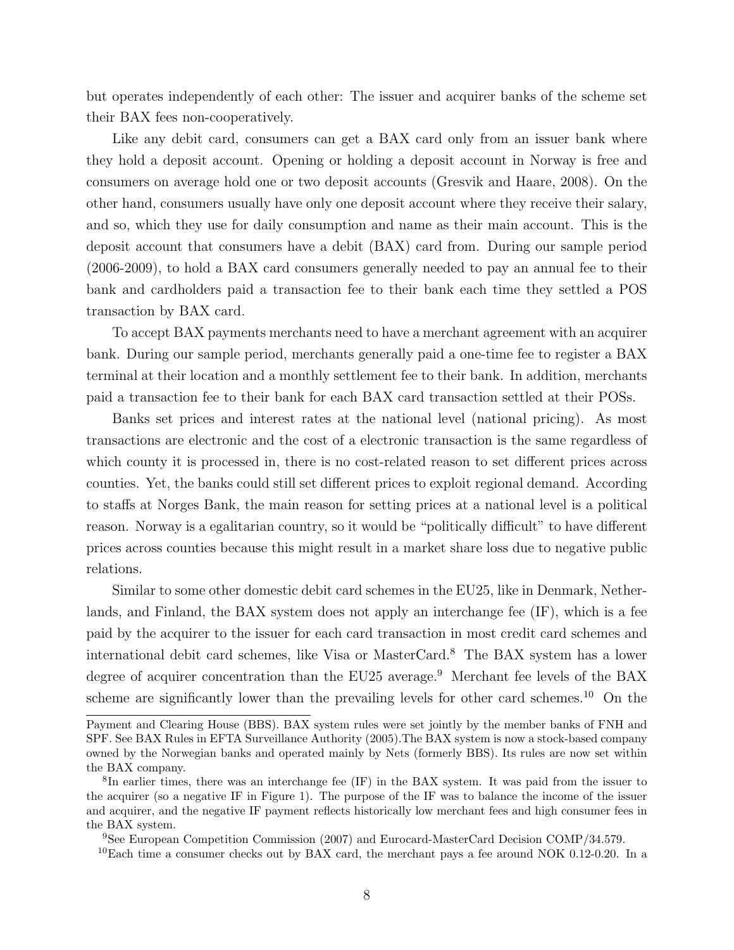but operates independently of each other: The issuer and acquirer banks of the scheme set their BAX fees non-cooperatively.

Like any debit card, consumers can get a BAX card only from an issuer bank where they hold a deposit account. Opening or holding a deposit account in Norway is free and consumers on average hold one or two deposit accounts (Gresvik and Haare, 2008). On the other hand, consumers usually have only one deposit account where they receive their salary, and so, which they use for daily consumption and name as their main account. This is the deposit account that consumers have a debit (BAX) card from. During our sample period (2006-2009), to hold a BAX card consumers generally needed to pay an annual fee to their bank and cardholders paid a transaction fee to their bank each time they settled a POS transaction by BAX card.

To accept BAX payments merchants need to have a merchant agreement with an acquirer bank. During our sample period, merchants generally paid a one-time fee to register a BAX terminal at their location and a monthly settlement fee to their bank. In addition, merchants paid a transaction fee to their bank for each BAX card transaction settled at their POSs.

Banks set prices and interest rates at the national level (national pricing). As most transactions are electronic and the cost of a electronic transaction is the same regardless of which county it is processed in, there is no cost-related reason to set different prices across counties. Yet, the banks could still set different prices to exploit regional demand. According to staffs at Norges Bank, the main reason for setting prices at a national level is a political reason. Norway is a egalitarian country, so it would be "politically difficult" to have different prices across counties because this might result in a market share loss due to negative public relations.

Similar to some other domestic debit card schemes in the EU25, like in Denmark, Netherlands, and Finland, the BAX system does not apply an interchange fee (IF), which is a fee paid by the acquirer to the issuer for each card transaction in most credit card schemes and international debit card schemes, like Visa or MasterCard.<sup>8</sup> The BAX system has a lower degree of acquirer concentration than the EU25 average.<sup>9</sup> Merchant fee levels of the BAX scheme are significantly lower than the prevailing levels for other card schemes.<sup>10</sup> On the

Payment and Clearing House (BBS). BAX system rules were set jointly by the member banks of FNH and SPF. See BAX Rules in EFTA Surveillance Authority (2005).The BAX system is now a stock-based company owned by the Norwegian banks and operated mainly by Nets (formerly BBS). Its rules are now set within the BAX company.

<sup>&</sup>lt;sup>8</sup>In earlier times, there was an interchange fee (IF) in the BAX system. It was paid from the issuer to the acquirer (so a negative IF in Figure 1). The purpose of the IF was to balance the income of the issuer and acquirer, and the negative IF payment reflects historically low merchant fees and high consumer fees in the BAX system.

<sup>9</sup>See European Competition Commission (2007) and Eurocard-MasterCard Decision COMP/34.579.

 $^{10}$ Each time a consumer checks out by BAX card, the merchant pays a fee around NOK 0.12-0.20. In a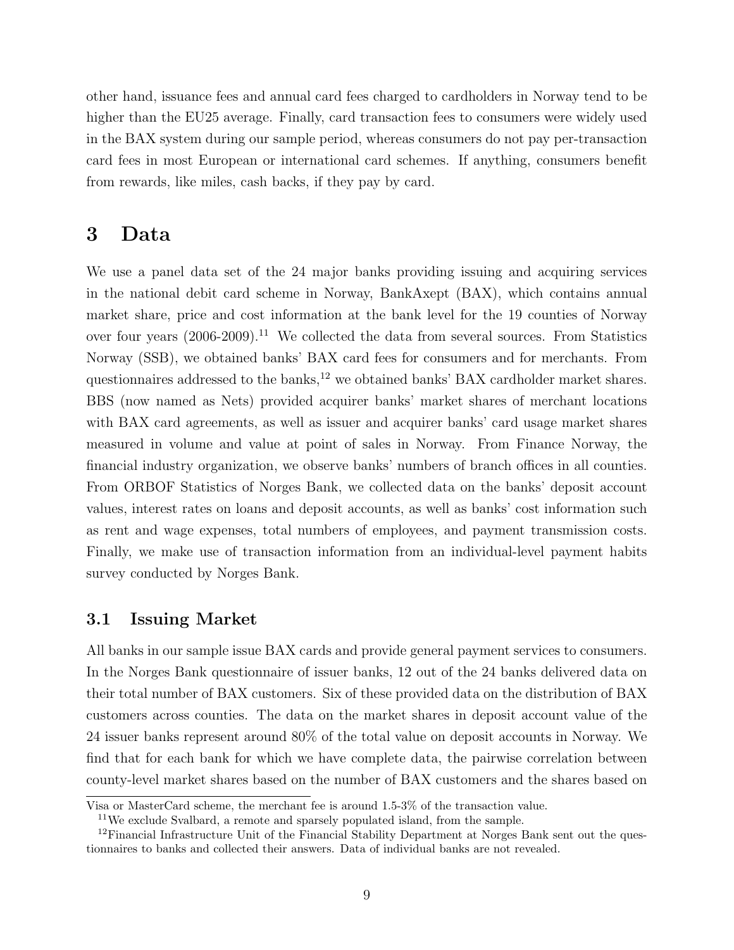other hand, issuance fees and annual card fees charged to cardholders in Norway tend to be higher than the EU25 average. Finally, card transaction fees to consumers were widely used in the BAX system during our sample period, whereas consumers do not pay per-transaction card fees in most European or international card schemes. If anything, consumers benefit from rewards, like miles, cash backs, if they pay by card.

## 3 Data

We use a panel data set of the 24 major banks providing issuing and acquiring services in the national debit card scheme in Norway, BankAxept (BAX), which contains annual market share, price and cost information at the bank level for the 19 counties of Norway over four years  $(2006-2009).$ <sup>11</sup> We collected the data from several sources. From Statistics Norway (SSB), we obtained banks' BAX card fees for consumers and for merchants. From questionnaires addressed to the banks, $12$  we obtained banks' BAX cardholder market shares. BBS (now named as Nets) provided acquirer banks' market shares of merchant locations with BAX card agreements, as well as issuer and acquirer banks' card usage market shares measured in volume and value at point of sales in Norway. From Finance Norway, the financial industry organization, we observe banks' numbers of branch offices in all counties. From ORBOF Statistics of Norges Bank, we collected data on the banks' deposit account values, interest rates on loans and deposit accounts, as well as banks' cost information such as rent and wage expenses, total numbers of employees, and payment transmission costs. Finally, we make use of transaction information from an individual-level payment habits survey conducted by Norges Bank.

#### 3.1 Issuing Market

All banks in our sample issue BAX cards and provide general payment services to consumers. In the Norges Bank questionnaire of issuer banks, 12 out of the 24 banks delivered data on their total number of BAX customers. Six of these provided data on the distribution of BAX customers across counties. The data on the market shares in deposit account value of the 24 issuer banks represent around 80% of the total value on deposit accounts in Norway. We find that for each bank for which we have complete data, the pairwise correlation between county-level market shares based on the number of BAX customers and the shares based on

Visa or MasterCard scheme, the merchant fee is around 1.5-3% of the transaction value.

<sup>&</sup>lt;sup>11</sup>We exclude Svalbard, a remote and sparsely populated island, from the sample.

<sup>&</sup>lt;sup>12</sup>Financial Infrastructure Unit of the Financial Stability Department at Norges Bank sent out the questionnaires to banks and collected their answers. Data of individual banks are not revealed.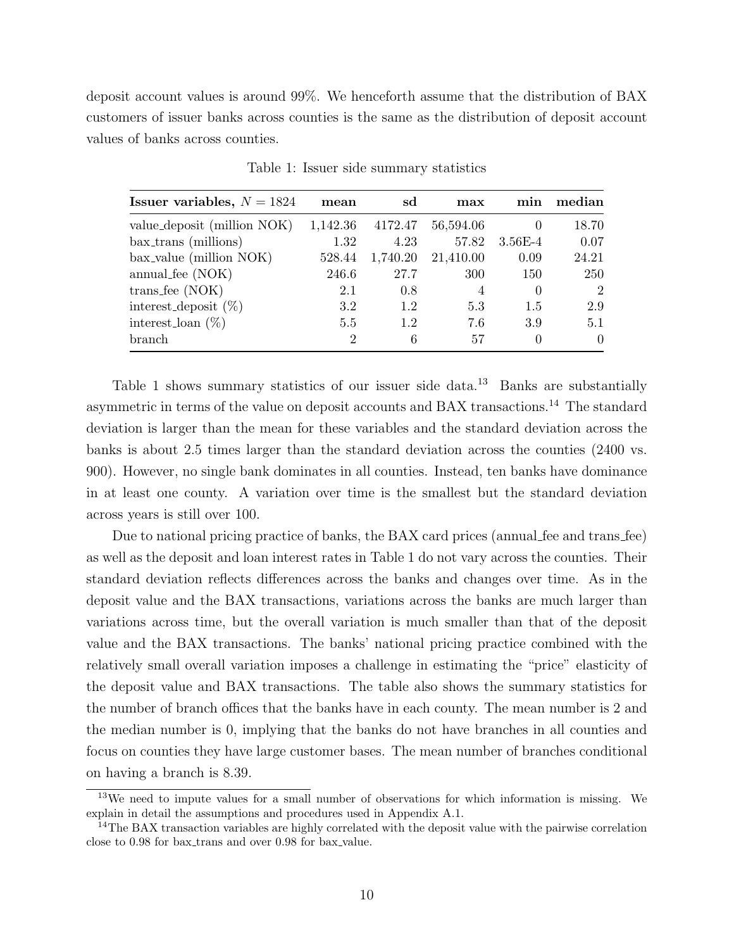deposit account values is around 99%. We henceforth assume that the distribution of BAX customers of issuer banks across counties is the same as the distribution of deposit account values of banks across counties.

| <b>Issuer variables,</b> $N = 1824$ | mean                        | sd       | max            | min         | median         |
|-------------------------------------|-----------------------------|----------|----------------|-------------|----------------|
| value_deposit (million NOK)         | 1,142.36                    | 4172.47  | 56,594.06      | $\theta$    | 18.70          |
| bax_trans (millions)                | 1.32                        | 4.23     | 57.82          | $3.56E - 4$ | 0.07           |
| bax_value (million NOK)             | 528.44                      | 1,740.20 | 21,410.00      | 0.09        | 24.21          |
| annual fee (NOK)                    | 246.6                       | 27.7     | 300            | 150         | 250            |
| $trans_{\text{free}}$ (NOK)         | 2.1                         | 0.8      | $\overline{4}$ | $\Omega$    | $\overline{2}$ |
| interest_deposit $(\%)$             | 3.2                         | 1.2      | 5.3            | 1.5         | 2.9            |
| interest_loan $(\%)$                | 5.5                         | 1.2      | 7.6            | 3.9         | 5.1            |
| branch                              | $\mathcal{D}_{\mathcal{L}}$ | 6        | 57             | 0           | $\Omega$       |

Table 1: Issuer side summary statistics

Table 1 shows summary statistics of our issuer side data.<sup>13</sup> Banks are substantially asymmetric in terms of the value on deposit accounts and BAX transactions.<sup>14</sup> The standard deviation is larger than the mean for these variables and the standard deviation across the banks is about 2.5 times larger than the standard deviation across the counties (2400 vs. 900). However, no single bank dominates in all counties. Instead, ten banks have dominance in at least one county. A variation over time is the smallest but the standard deviation across years is still over 100.

Due to national pricing practice of banks, the BAX card prices (annual fee and trans fee) as well as the deposit and loan interest rates in Table 1 do not vary across the counties. Their standard deviation reflects differences across the banks and changes over time. As in the deposit value and the BAX transactions, variations across the banks are much larger than variations across time, but the overall variation is much smaller than that of the deposit value and the BAX transactions. The banks' national pricing practice combined with the relatively small overall variation imposes a challenge in estimating the "price" elasticity of the deposit value and BAX transactions. The table also shows the summary statistics for the number of branch offices that the banks have in each county. The mean number is 2 and the median number is 0, implying that the banks do not have branches in all counties and focus on counties they have large customer bases. The mean number of branches conditional on having a branch is 8.39.

<sup>&</sup>lt;sup>13</sup>We need to impute values for a small number of observations for which information is missing. We explain in detail the assumptions and procedures used in Appendix A.1.

 $14$ The BAX transaction variables are highly correlated with the deposit value with the pairwise correlation close to 0.98 for bax trans and over 0.98 for bax value.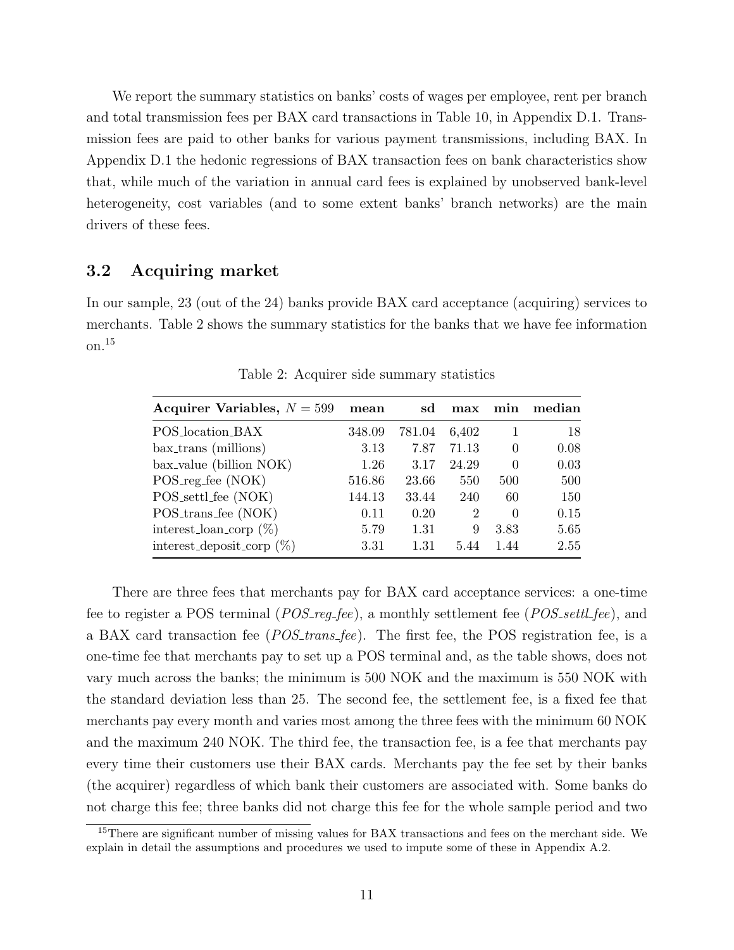We report the summary statistics on banks' costs of wages per employee, rent per branch and total transmission fees per BAX card transactions in Table 10, in Appendix D.1. Transmission fees are paid to other banks for various payment transmissions, including BAX. In Appendix D.1 the hedonic regressions of BAX transaction fees on bank characteristics show that, while much of the variation in annual card fees is explained by unobserved bank-level heterogeneity, cost variables (and to some extent banks' branch networks) are the main drivers of these fees.

### 3.2 Acquiring market

In our sample, 23 (out of the 24) banks provide BAX card acceptance (acquiring) services to merchants. Table 2 shows the summary statistics for the banks that we have fee information on $15$ 

| Acquirer Variables, $N = 599$ | mean   | sd     | max            | min              | median |
|-------------------------------|--------|--------|----------------|------------------|--------|
| POS_location_BAX              | 348.09 | 781.04 | 6,402          |                  | 18     |
| bax_trans (millions)          | 3.13   | 7.87   | 71.13          | $\left( \right)$ | 0.08   |
| bax_value (billion NOK)       | 1.26   | 3.17   | 24.29          | $\left( \right)$ | 0.03   |
| POS_reg_fee (NOK)             | 516.86 | 23.66  | 550            | 500              | 500    |
| POS_settl_fee (NOK)           | 144.13 | 33.44  | 240            | 60               | 150    |
| POS_trans_fee (NOK)           | 0.11   | 0.20   | $\overline{2}$ | 0                | 0.15   |
| interest_loan_corp $(\%)$     | 5.79   | 1.31   | 9              | 3.83             | 5.65   |
| interest_deposit_corp $(\%)$  | 3.31   | 1.31   | 5.44           | 1.44             | 2.55   |

Table 2: Acquirer side summary statistics

There are three fees that merchants pay for BAX card acceptance services: a one-time fee to register a POS terminal (*POS\_reg\_fee*), a monthly settlement fee (*POS\_settl\_fee*), and a BAX card transaction fee  $(POS\_trans\_fee)$ . The first fee, the POS registration fee, is a one-time fee that merchants pay to set up a POS terminal and, as the table shows, does not vary much across the banks; the minimum is 500 NOK and the maximum is 550 NOK with the standard deviation less than 25. The second fee, the settlement fee, is a fixed fee that merchants pay every month and varies most among the three fees with the minimum 60 NOK and the maximum 240 NOK. The third fee, the transaction fee, is a fee that merchants pay every time their customers use their BAX cards. Merchants pay the fee set by their banks (the acquirer) regardless of which bank their customers are associated with. Some banks do not charge this fee; three banks did not charge this fee for the whole sample period and two

<sup>&</sup>lt;sup>15</sup>There are significant number of missing values for BAX transactions and fees on the merchant side. We explain in detail the assumptions and procedures we used to impute some of these in Appendix A.2.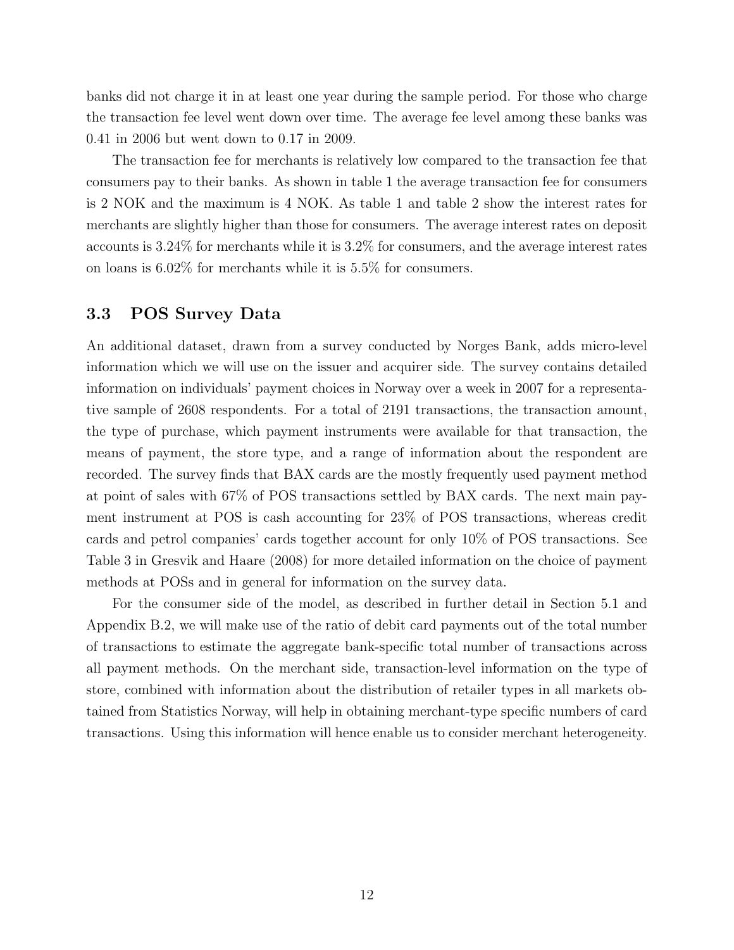banks did not charge it in at least one year during the sample period. For those who charge the transaction fee level went down over time. The average fee level among these banks was 0.41 in 2006 but went down to 0.17 in 2009.

The transaction fee for merchants is relatively low compared to the transaction fee that consumers pay to their banks. As shown in table 1 the average transaction fee for consumers is 2 NOK and the maximum is 4 NOK. As table 1 and table 2 show the interest rates for merchants are slightly higher than those for consumers. The average interest rates on deposit accounts is 3.24% for merchants while it is 3.2% for consumers, and the average interest rates on loans is 6.02% for merchants while it is 5.5% for consumers.

#### 3.3 POS Survey Data

An additional dataset, drawn from a survey conducted by Norges Bank, adds micro-level information which we will use on the issuer and acquirer side. The survey contains detailed information on individuals' payment choices in Norway over a week in 2007 for a representative sample of 2608 respondents. For a total of 2191 transactions, the transaction amount, the type of purchase, which payment instruments were available for that transaction, the means of payment, the store type, and a range of information about the respondent are recorded. The survey finds that BAX cards are the mostly frequently used payment method at point of sales with 67% of POS transactions settled by BAX cards. The next main payment instrument at POS is cash accounting for 23% of POS transactions, whereas credit cards and petrol companies' cards together account for only 10% of POS transactions. See Table 3 in Gresvik and Haare (2008) for more detailed information on the choice of payment methods at POSs and in general for information on the survey data.

For the consumer side of the model, as described in further detail in Section 5.1 and Appendix B.2, we will make use of the ratio of debit card payments out of the total number of transactions to estimate the aggregate bank-specific total number of transactions across all payment methods. On the merchant side, transaction-level information on the type of store, combined with information about the distribution of retailer types in all markets obtained from Statistics Norway, will help in obtaining merchant-type specific numbers of card transactions. Using this information will hence enable us to consider merchant heterogeneity.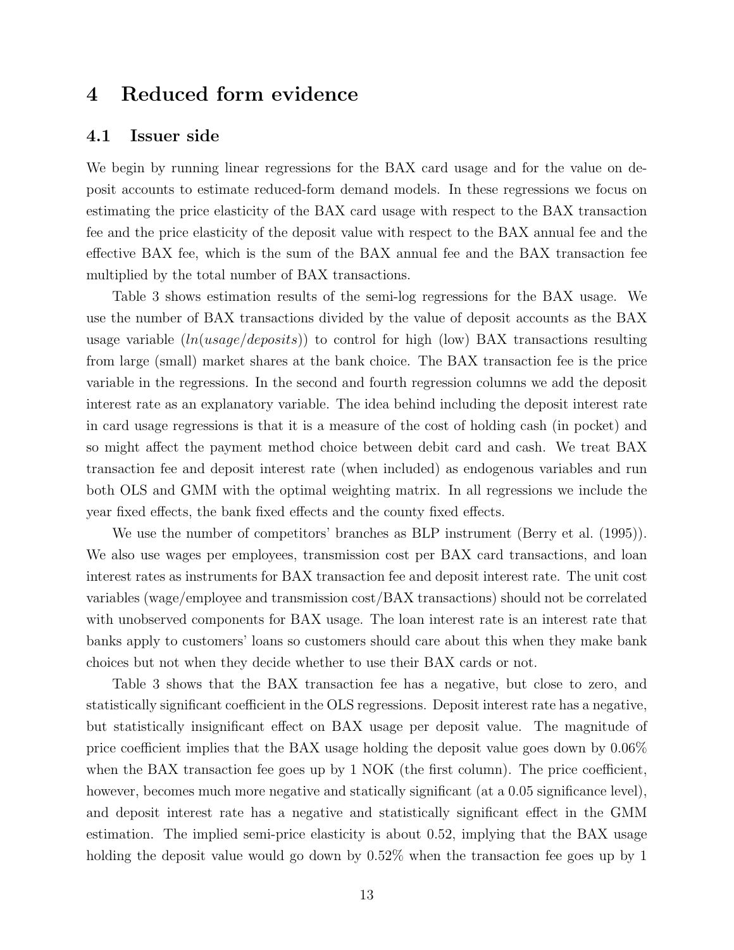## 4 Reduced form evidence

#### 4.1 Issuer side

We begin by running linear regressions for the BAX card usage and for the value on deposit accounts to estimate reduced-form demand models. In these regressions we focus on estimating the price elasticity of the BAX card usage with respect to the BAX transaction fee and the price elasticity of the deposit value with respect to the BAX annual fee and the effective BAX fee, which is the sum of the BAX annual fee and the BAX transaction fee multiplied by the total number of BAX transactions.

Table 3 shows estimation results of the semi-log regressions for the BAX usage. We use the number of BAX transactions divided by the value of deposit accounts as the BAX usage variable  $(ln(usage/deposits)$  to control for high (low) BAX transactions resulting from large (small) market shares at the bank choice. The BAX transaction fee is the price variable in the regressions. In the second and fourth regression columns we add the deposit interest rate as an explanatory variable. The idea behind including the deposit interest rate in card usage regressions is that it is a measure of the cost of holding cash (in pocket) and so might affect the payment method choice between debit card and cash. We treat BAX transaction fee and deposit interest rate (when included) as endogenous variables and run both OLS and GMM with the optimal weighting matrix. In all regressions we include the year fixed effects, the bank fixed effects and the county fixed effects.

We use the number of competitors' branches as BLP instrument (Berry et al. (1995)). We also use wages per employees, transmission cost per BAX card transactions, and loan interest rates as instruments for BAX transaction fee and deposit interest rate. The unit cost variables (wage/employee and transmission cost/BAX transactions) should not be correlated with unobserved components for BAX usage. The loan interest rate is an interest rate that banks apply to customers' loans so customers should care about this when they make bank choices but not when they decide whether to use their BAX cards or not.

Table 3 shows that the BAX transaction fee has a negative, but close to zero, and statistically significant coefficient in the OLS regressions. Deposit interest rate has a negative, but statistically insignificant effect on BAX usage per deposit value. The magnitude of price coefficient implies that the BAX usage holding the deposit value goes down by 0.06% when the BAX transaction fee goes up by 1 NOK (the first column). The price coefficient, however, becomes much more negative and statically significant (at a 0.05 significance level), and deposit interest rate has a negative and statistically significant effect in the GMM estimation. The implied semi-price elasticity is about 0.52, implying that the BAX usage holding the deposit value would go down by  $0.52\%$  when the transaction fee goes up by 1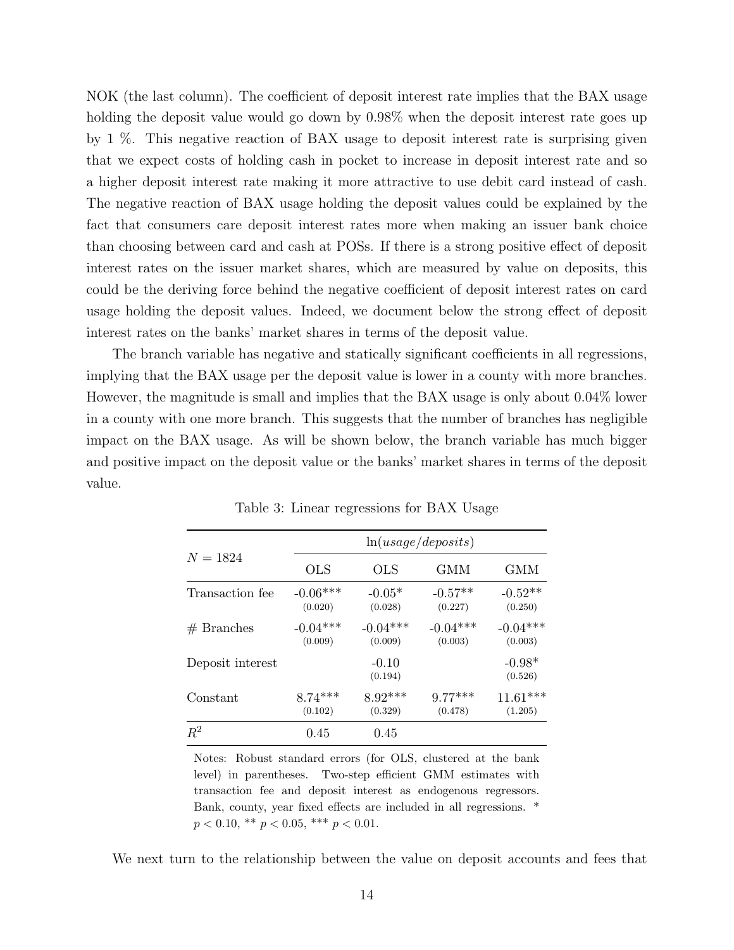NOK (the last column). The coefficient of deposit interest rate implies that the BAX usage holding the deposit value would go down by  $0.98\%$  when the deposit interest rate goes up by 1 %. This negative reaction of BAX usage to deposit interest rate is surprising given that we expect costs of holding cash in pocket to increase in deposit interest rate and so a higher deposit interest rate making it more attractive to use debit card instead of cash. The negative reaction of BAX usage holding the deposit values could be explained by the fact that consumers care deposit interest rates more when making an issuer bank choice than choosing between card and cash at POSs. If there is a strong positive effect of deposit interest rates on the issuer market shares, which are measured by value on deposits, this could be the deriving force behind the negative coefficient of deposit interest rates on card usage holding the deposit values. Indeed, we document below the strong effect of deposit interest rates on the banks' market shares in terms of the deposit value.

The branch variable has negative and statically significant coefficients in all regressions, implying that the BAX usage per the deposit value is lower in a county with more branches. However, the magnitude is small and implies that the BAX usage is only about 0.04% lower in a county with one more branch. This suggests that the number of branches has negligible impact on the BAX usage. As will be shown below, the branch variable has much bigger and positive impact on the deposit value or the banks' market shares in terms of the deposit value.

|                  |                       | ln(usage/deposits)    |                       |                       |  |  |  |  |
|------------------|-----------------------|-----------------------|-----------------------|-----------------------|--|--|--|--|
| $N = 1824$       | <b>OLS</b>            | <b>OLS</b>            | GMM                   | GMM                   |  |  |  |  |
| Transaction fee  | $-0.06***$<br>(0.020) | $-0.05*$<br>(0.028)   | $-0.57**$<br>(0.227)  | $-0.52**$<br>(0.250)  |  |  |  |  |
| $#$ Branches     | $-0.04***$<br>(0.009) | $-0.04***$<br>(0.009) | $-0.04***$<br>(0.003) | $-0.04***$<br>(0.003) |  |  |  |  |
| Deposit interest |                       | $-0.10$<br>(0.194)    |                       | $-0.98*$<br>(0.526)   |  |  |  |  |
| Constant         | $8.74***$<br>(0.102)  | $8.92***$<br>(0.329)  | $9.77***$<br>(0.478)  | $11.61***$<br>(1.205) |  |  |  |  |
| $R^2$            | 0.45                  | 0.45                  |                       |                       |  |  |  |  |

Table 3: Linear regressions for BAX Usage

Notes: Robust standard errors (for OLS, clustered at the bank level) in parentheses. Two-step efficient GMM estimates with transaction fee and deposit interest as endogenous regressors. Bank, county, year fixed effects are included in all regressions. \*  $p < 0.10,$  \*\*  $p < 0.05,$  \*\*\*  $p < 0.01$ .

We next turn to the relationship between the value on deposit accounts and fees that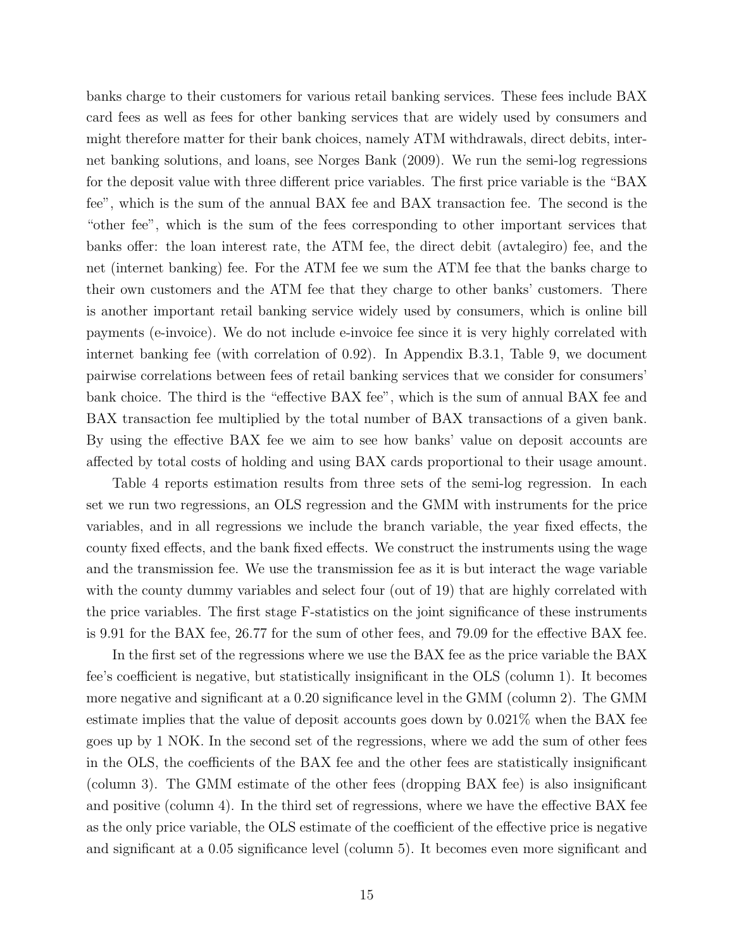banks charge to their customers for various retail banking services. These fees include BAX card fees as well as fees for other banking services that are widely used by consumers and might therefore matter for their bank choices, namely ATM withdrawals, direct debits, internet banking solutions, and loans, see Norges Bank (2009). We run the semi-log regressions for the deposit value with three different price variables. The first price variable is the "BAX fee", which is the sum of the annual BAX fee and BAX transaction fee. The second is the "other fee", which is the sum of the fees corresponding to other important services that banks offer: the loan interest rate, the ATM fee, the direct debit (avtalegiro) fee, and the net (internet banking) fee. For the ATM fee we sum the ATM fee that the banks charge to their own customers and the ATM fee that they charge to other banks' customers. There is another important retail banking service widely used by consumers, which is online bill payments (e-invoice). We do not include e-invoice fee since it is very highly correlated with internet banking fee (with correlation of 0.92). In Appendix B.3.1, Table 9, we document pairwise correlations between fees of retail banking services that we consider for consumers' bank choice. The third is the "effective BAX fee", which is the sum of annual BAX fee and BAX transaction fee multiplied by the total number of BAX transactions of a given bank. By using the effective BAX fee we aim to see how banks' value on deposit accounts are affected by total costs of holding and using BAX cards proportional to their usage amount.

Table 4 reports estimation results from three sets of the semi-log regression. In each set we run two regressions, an OLS regression and the GMM with instruments for the price variables, and in all regressions we include the branch variable, the year fixed effects, the county fixed effects, and the bank fixed effects. We construct the instruments using the wage and the transmission fee. We use the transmission fee as it is but interact the wage variable with the county dummy variables and select four (out of 19) that are highly correlated with the price variables. The first stage F-statistics on the joint significance of these instruments is 9.91 for the BAX fee, 26.77 for the sum of other fees, and 79.09 for the effective BAX fee.

In the first set of the regressions where we use the BAX fee as the price variable the BAX fee's coefficient is negative, but statistically insignificant in the OLS (column 1). It becomes more negative and significant at a 0.20 significance level in the GMM (column 2). The GMM estimate implies that the value of deposit accounts goes down by 0.021% when the BAX fee goes up by 1 NOK. In the second set of the regressions, where we add the sum of other fees in the OLS, the coefficients of the BAX fee and the other fees are statistically insignificant (column 3). The GMM estimate of the other fees (dropping BAX fee) is also insignificant and positive (column 4). In the third set of regressions, where we have the effective BAX fee as the only price variable, the OLS estimate of the coefficient of the effective price is negative and significant at a 0.05 significance level (column 5). It becomes even more significant and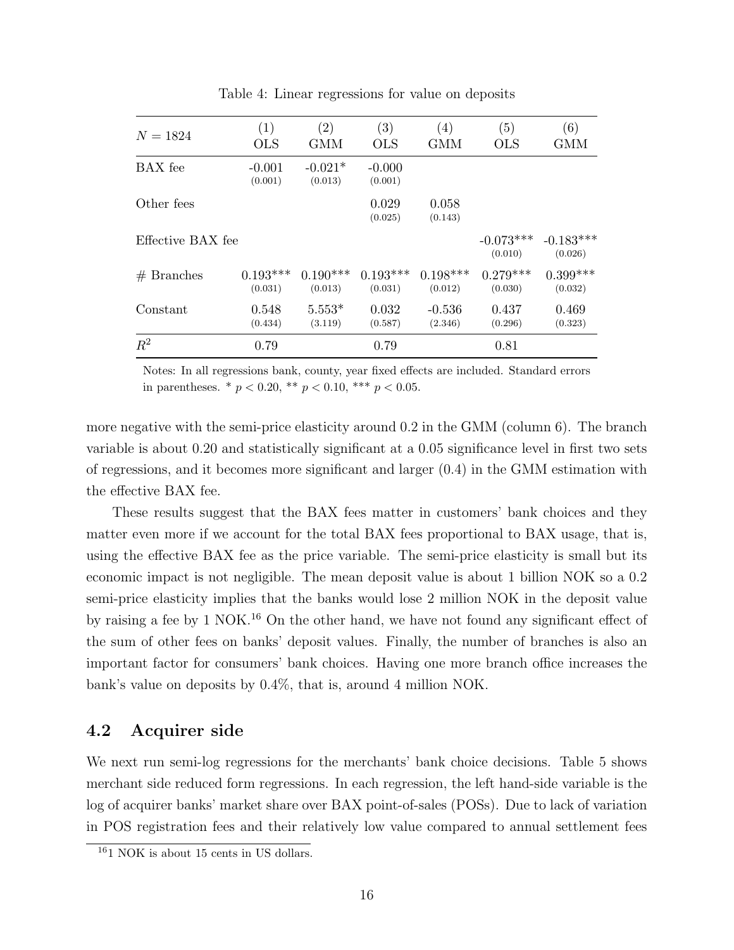| $N = 1824$        | (1)<br><b>OLS</b>     | (2)<br><b>GMM</b>     | (3)<br><b>OLS</b>     | (4)<br><b>GMM</b>     | (5)<br>OLS             | (6)<br><b>GMM</b>      |
|-------------------|-----------------------|-----------------------|-----------------------|-----------------------|------------------------|------------------------|
| <b>BAX</b> fee    | $-0.001$<br>(0.001)   | $-0.021*$<br>(0.013)  | $-0.000$<br>(0.001)   |                       |                        |                        |
| Other fees        |                       |                       | 0.029<br>(0.025)      | 0.058<br>(0.143)      |                        |                        |
| Effective BAX fee |                       |                       |                       |                       | $-0.073***$<br>(0.010) | $-0.183***$<br>(0.026) |
| $#$ Branches      | $0.193***$<br>(0.031) | $0.190***$<br>(0.013) | $0.193***$<br>(0.031) | $0.198***$<br>(0.012) | $0.279***$<br>(0.030)  | $0.399***$<br>(0.032)  |
| Constant          | 0.548<br>(0.434)      | $5.553*$<br>(3.119)   | 0.032<br>(0.587)      | $-0.536$<br>(2.346)   | 0.437<br>(0.296)       | 0.469<br>(0.323)       |
| $R^2$             | 0.79                  |                       | 0.79                  |                       | 0.81                   |                        |

Table 4: Linear regressions for value on deposits

Notes: In all regressions bank, county, year fixed effects are included. Standard errors in parentheses. \*  $p < 0.20$ , \*\*  $p < 0.10$ , \*\*\*  $p < 0.05$ .

more negative with the semi-price elasticity around 0.2 in the GMM (column 6). The branch variable is about 0.20 and statistically significant at a 0.05 significance level in first two sets of regressions, and it becomes more significant and larger (0.4) in the GMM estimation with the effective BAX fee.

These results suggest that the BAX fees matter in customers' bank choices and they matter even more if we account for the total BAX fees proportional to BAX usage, that is, using the effective BAX fee as the price variable. The semi-price elasticity is small but its economic impact is not negligible. The mean deposit value is about 1 billion NOK so a 0.2 semi-price elasticity implies that the banks would lose 2 million NOK in the deposit value by raising a fee by 1 NOK.<sup>16</sup> On the other hand, we have not found any significant effect of the sum of other fees on banks' deposit values. Finally, the number of branches is also an important factor for consumers' bank choices. Having one more branch office increases the bank's value on deposits by 0.4%, that is, around 4 million NOK.

### 4.2 Acquirer side

We next run semi-log regressions for the merchants' bank choice decisions. Table 5 shows merchant side reduced form regressions. In each regression, the left hand-side variable is the log of acquirer banks' market share over BAX point-of-sales (POSs). Due to lack of variation in POS registration fees and their relatively low value compared to annual settlement fees

<sup>&</sup>lt;sup>16</sup>1 NOK is about 15 cents in US dollars.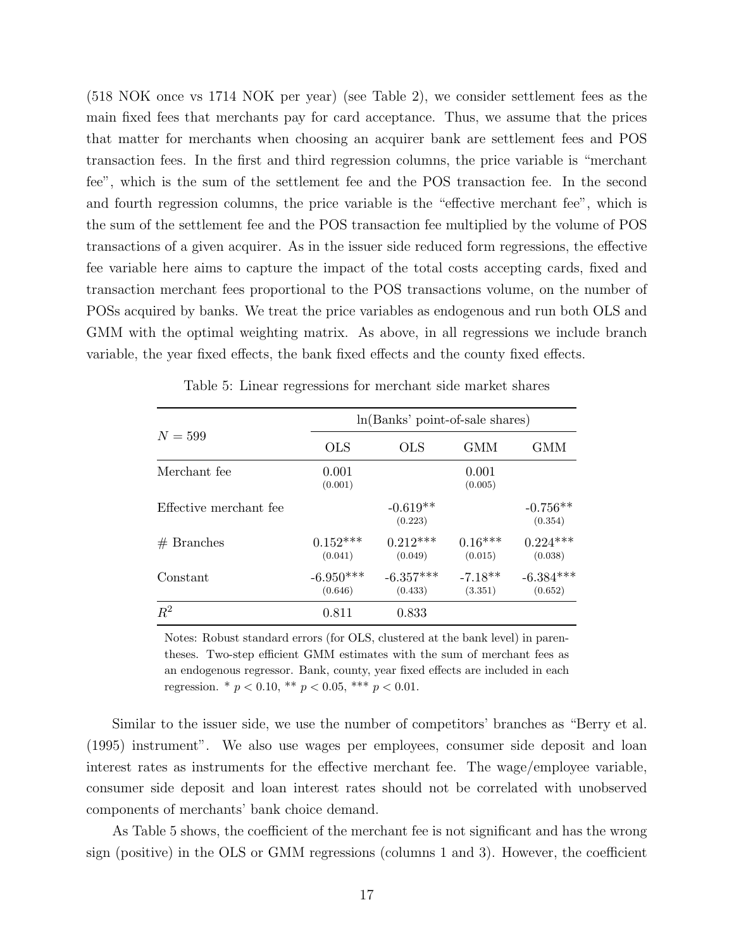(518 NOK once vs 1714 NOK per year) (see Table 2), we consider settlement fees as the main fixed fees that merchants pay for card acceptance. Thus, we assume that the prices that matter for merchants when choosing an acquirer bank are settlement fees and POS transaction fees. In the first and third regression columns, the price variable is "merchant fee", which is the sum of the settlement fee and the POS transaction fee. In the second and fourth regression columns, the price variable is the "effective merchant fee", which is the sum of the settlement fee and the POS transaction fee multiplied by the volume of POS transactions of a given acquirer. As in the issuer side reduced form regressions, the effective fee variable here aims to capture the impact of the total costs accepting cards, fixed and transaction merchant fees proportional to the POS transactions volume, on the number of POSs acquired by banks. We treat the price variables as endogenous and run both OLS and GMM with the optimal weighting matrix. As above, in all regressions we include branch variable, the year fixed effects, the bank fixed effects and the county fixed effects.

|                        | $ln(Banks' point-of-sale shares)$ |                        |                      |                        |  |  |  |  |
|------------------------|-----------------------------------|------------------------|----------------------|------------------------|--|--|--|--|
| $N=599$                | <b>OLS</b>                        | <b>OLS</b>             | <b>GMM</b>           | <b>GMM</b>             |  |  |  |  |
| Merchant fee           | 0.001<br>(0.001)                  |                        | 0.001<br>(0.005)     |                        |  |  |  |  |
| Effective merchant fee |                                   | $-0.619**$<br>(0.223)  |                      | $-0.756**$<br>(0.354)  |  |  |  |  |
| $#$ Branches           | $0.152***$<br>(0.041)             | $0.212***$<br>(0.049)  | $0.16***$<br>(0.015) | $0.224***$<br>(0.038)  |  |  |  |  |
| Constant               | $-6.950***$<br>(0.646)            | $-6.357***$<br>(0.433) | $-7.18**$<br>(3.351) | $-6.384***$<br>(0.652) |  |  |  |  |
| $\mathbb{R}^2$         | 0.811                             | 0.833                  |                      |                        |  |  |  |  |

Table 5: Linear regressions for merchant side market shares

Notes: Robust standard errors (for OLS, clustered at the bank level) in parentheses. Two-step efficient GMM estimates with the sum of merchant fees as an endogenous regressor. Bank, county, year fixed effects are included in each regression. \*  $p < 0.10$ , \*\*  $p < 0.05$ , \*\*\*  $p < 0.01$ .

Similar to the issuer side, we use the number of competitors' branches as "Berry et al. (1995) instrument". We also use wages per employees, consumer side deposit and loan interest rates as instruments for the effective merchant fee. The wage/employee variable, consumer side deposit and loan interest rates should not be correlated with unobserved components of merchants' bank choice demand.

As Table 5 shows, the coefficient of the merchant fee is not significant and has the wrong sign (positive) in the OLS or GMM regressions (columns 1 and 3). However, the coefficient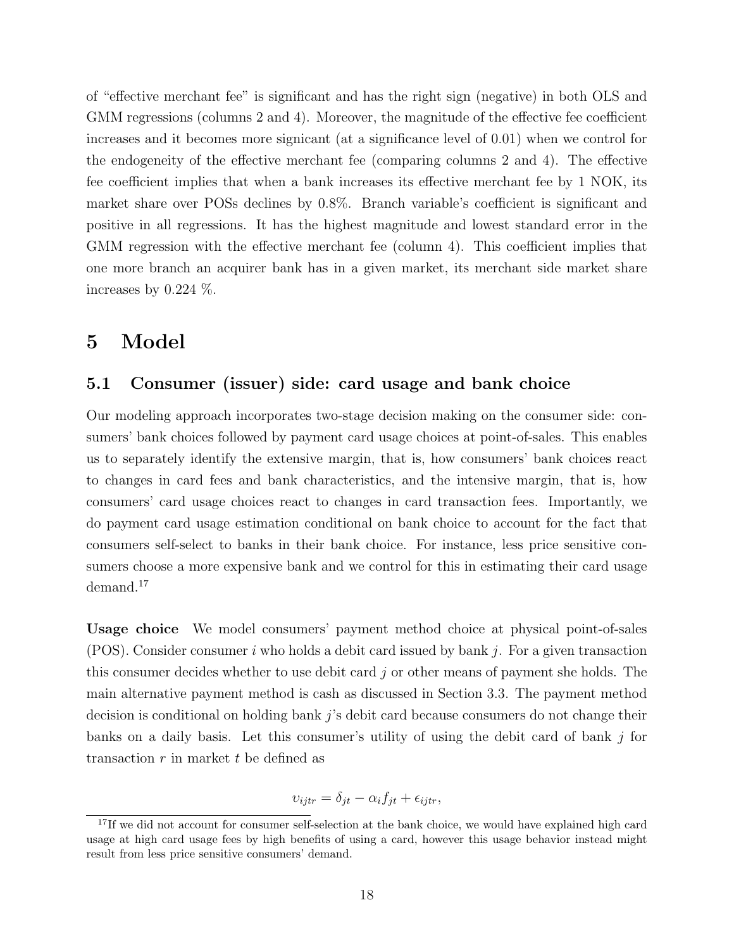of "effective merchant fee" is significant and has the right sign (negative) in both OLS and GMM regressions (columns 2 and 4). Moreover, the magnitude of the effective fee coefficient increases and it becomes more signicant (at a significance level of 0.01) when we control for the endogeneity of the effective merchant fee (comparing columns 2 and 4). The effective fee coefficient implies that when a bank increases its effective merchant fee by 1 NOK, its market share over POSs declines by 0.8%. Branch variable's coefficient is significant and positive in all regressions. It has the highest magnitude and lowest standard error in the GMM regression with the effective merchant fee (column 4). This coefficient implies that one more branch an acquirer bank has in a given market, its merchant side market share increases by 0.224 %.

## 5 Model

### 5.1 Consumer (issuer) side: card usage and bank choice

Our modeling approach incorporates two-stage decision making on the consumer side: consumers' bank choices followed by payment card usage choices at point-of-sales. This enables us to separately identify the extensive margin, that is, how consumers' bank choices react to changes in card fees and bank characteristics, and the intensive margin, that is, how consumers' card usage choices react to changes in card transaction fees. Importantly, we do payment card usage estimation conditional on bank choice to account for the fact that consumers self-select to banks in their bank choice. For instance, less price sensitive consumers choose a more expensive bank and we control for this in estimating their card usage demand.<sup>17</sup>

Usage choice We model consumers' payment method choice at physical point-of-sales (POS). Consider consumer i who holds a debit card issued by bank  $j$ . For a given transaction this consumer decides whether to use debit card j or other means of payment she holds. The main alternative payment method is cash as discussed in Section 3.3. The payment method decision is conditional on holding bank j's debit card because consumers do not change their banks on a daily basis. Let this consumer's utility of using the debit card of bank j for transaction  $r$  in market  $t$  be defined as

$$
v_{ijtr} = \delta_{jt} - \alpha_i f_{jt} + \epsilon_{ijtr},
$$

<sup>&</sup>lt;sup>17</sup>If we did not account for consumer self-selection at the bank choice, we would have explained high card usage at high card usage fees by high benefits of using a card, however this usage behavior instead might result from less price sensitive consumers' demand.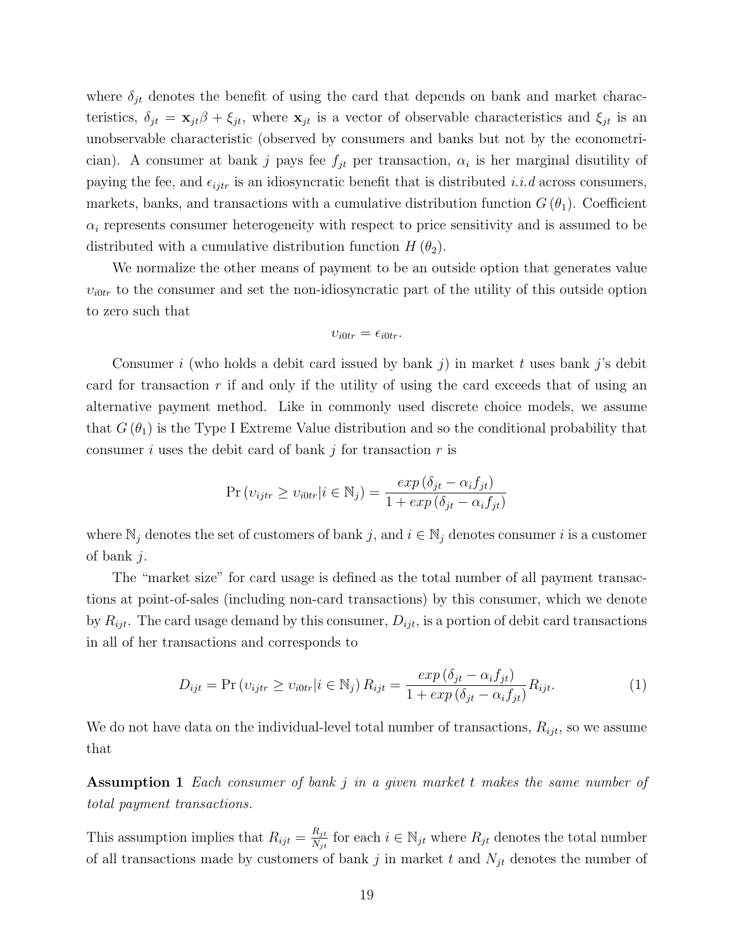where  $\delta_{jt}$  denotes the benefit of using the card that depends on bank and market characteristics,  $\delta_{jt} = \mathbf{x}_{jt} \beta + \xi_{jt}$ , where  $\mathbf{x}_{jt}$  is a vector of observable characteristics and  $\xi_{jt}$  is an unobservable characteristic (observed by consumers and banks but not by the econometrician). A consumer at bank j pays fee  $f_{jt}$  per transaction,  $\alpha_i$  is her marginal disutility of paying the fee, and  $\epsilon_{ijtr}$  is an idiosyncratic benefit that is distributed i.i.d across consumers, markets, banks, and transactions with a cumulative distribution function  $G(\theta_1)$ . Coefficient  $\alpha_i$  represents consumer heterogeneity with respect to price sensitivity and is assumed to be distributed with a cumulative distribution function  $H(\theta_2)$ .

We normalize the other means of payment to be an outside option that generates value  $v_{i0tr}$  to the consumer and set the non-idiosyncratic part of the utility of this outside option to zero such that

$$
v_{i0tr} = \epsilon_{i0tr}.
$$

Consumer i (who holds a debit card issued by bank j) in market t uses bank j's debit card for transaction  $r$  if and only if the utility of using the card exceeds that of using an alternative payment method. Like in commonly used discrete choice models, we assume that  $G(\theta_1)$  is the Type I Extreme Value distribution and so the conditional probability that consumer i uses the debit card of bank j for transaction  $r$  is

$$
\Pr(v_{ijtr} \ge v_{i0tr} | i \in \mathbb{N}_j) = \frac{\exp(\delta_{jt} - \alpha_i f_{jt})}{1 + \exp(\delta_{jt} - \alpha_i f_{jt})}
$$

where  $\mathbb{N}_j$  denotes the set of customers of bank j, and  $i \in \mathbb{N}_j$  denotes consumer i is a customer of bank j.

The "market size" for card usage is defined as the total number of all payment transactions at point-of-sales (including non-card transactions) by this consumer, which we denote by  $R_{ijt}$ . The card usage demand by this consumer,  $D_{ijt}$ , is a portion of debit card transactions in all of her transactions and corresponds to

$$
D_{ijt} = \Pr(v_{ijtr} \ge v_{i0tr} | i \in \mathbb{N}_j) R_{ijt} = \frac{exp(\delta_{jt} - \alpha_i f_{jt})}{1 + exp(\delta_{jt} - \alpha_i f_{jt})} R_{ijt}.
$$
 (1)

We do not have data on the individual-level total number of transactions,  $R_{ijt}$ , so we assume that

Assumption 1 Each consumer of bank j in a given market t makes the same number of total payment transactions.

This assumption implies that  $R_{ijt} = \frac{R_{jt}}{N_{st}}$  $\frac{R_{jt}}{N_{jt}}$  for each  $i \in \mathbb{N}_{jt}$  where  $R_{jt}$  denotes the total number of all transactions made by customers of bank j in market t and  $N_{jt}$  denotes the number of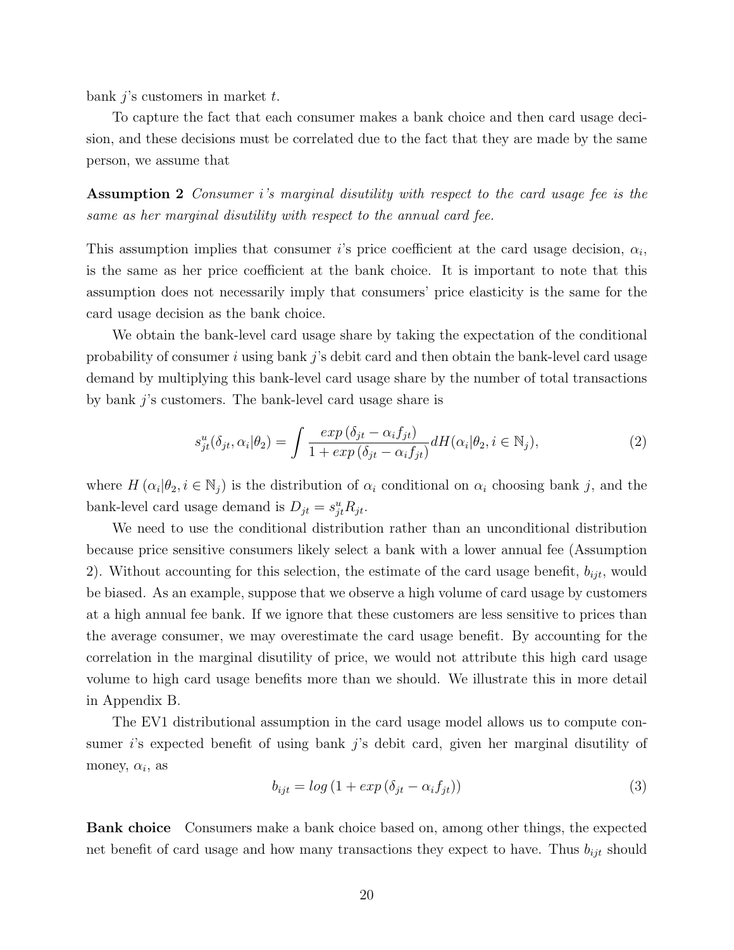bank j's customers in market  $t$ .

To capture the fact that each consumer makes a bank choice and then card usage decision, and these decisions must be correlated due to the fact that they are made by the same person, we assume that

Assumption 2 Consumer i's marginal disutility with respect to the card usage fee is the same as her marginal disutility with respect to the annual card fee.

This assumption implies that consumer i's price coefficient at the card usage decision,  $\alpha_i$ , is the same as her price coefficient at the bank choice. It is important to note that this assumption does not necessarily imply that consumers' price elasticity is the same for the card usage decision as the bank choice.

We obtain the bank-level card usage share by taking the expectation of the conditional probability of consumer i using bank j's debit card and then obtain the bank-level card usage demand by multiplying this bank-level card usage share by the number of total transactions by bank j's customers. The bank-level card usage share is

$$
s_{jt}^{u}(\delta_{jt}, \alpha_i | \theta_2) = \int \frac{\exp\left(\delta_{jt} - \alpha_i f_{jt}\right)}{1 + \exp\left(\delta_{jt} - \alpha_i f_{jt}\right)} dH(\alpha_i | \theta_2, i \in \mathbb{N}_j), \tag{2}
$$

where  $H(\alpha_i|\theta_2, i \in \mathbb{N}_j)$  is the distribution of  $\alpha_i$  conditional on  $\alpha_i$  choosing bank j, and the bank-level card usage demand is  $D_{jt} = s_{jt}^u R_{jt}$ .

We need to use the conditional distribution rather than an unconditional distribution because price sensitive consumers likely select a bank with a lower annual fee (Assumption 2). Without accounting for this selection, the estimate of the card usage benefit,  $b_{ijt}$ , would be biased. As an example, suppose that we observe a high volume of card usage by customers at a high annual fee bank. If we ignore that these customers are less sensitive to prices than the average consumer, we may overestimate the card usage benefit. By accounting for the correlation in the marginal disutility of price, we would not attribute this high card usage volume to high card usage benefits more than we should. We illustrate this in more detail in Appendix B.

The EV1 distributional assumption in the card usage model allows us to compute consumer i's expected benefit of using bank  $j$ 's debit card, given her marginal disutility of money,  $\alpha_i$ , as

$$
b_{ijt} = \log\left(1 + \exp\left(\delta_{jt} - \alpha_i f_{jt}\right)\right) \tag{3}
$$

Bank choice Consumers make a bank choice based on, among other things, the expected net benefit of card usage and how many transactions they expect to have. Thus  $b_{ijt}$  should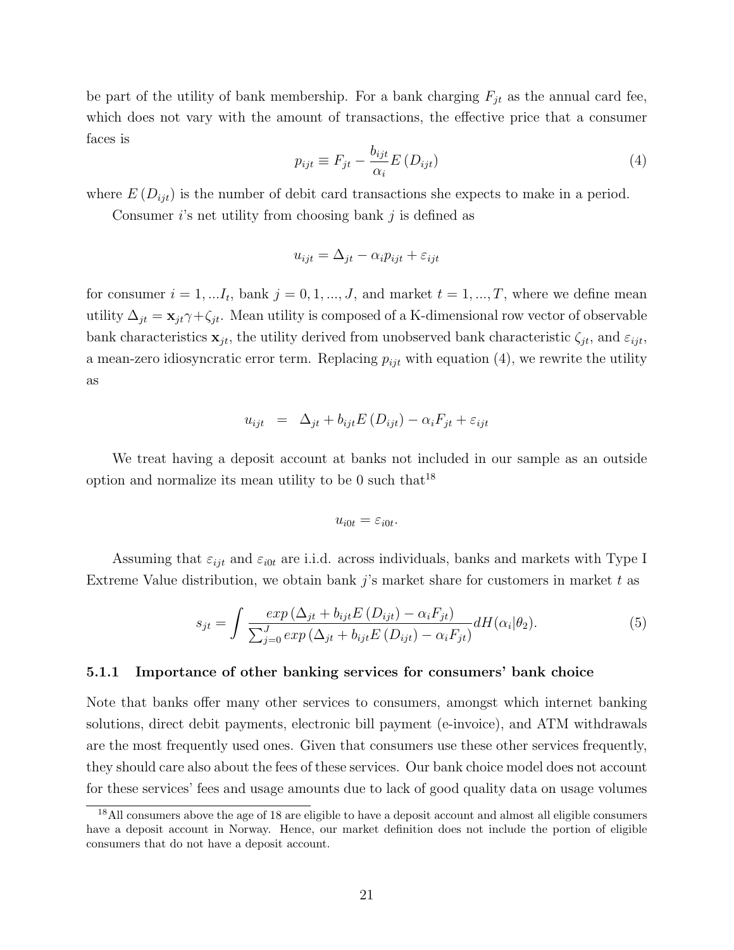be part of the utility of bank membership. For a bank charging  $F_{jt}$  as the annual card fee, which does not vary with the amount of transactions, the effective price that a consumer faces is

$$
p_{ijt} \equiv F_{jt} - \frac{b_{ijt}}{\alpha_i} E\left(D_{ijt}\right) \tag{4}
$$

where  $E(D_{ijt})$  is the number of debit card transactions she expects to make in a period.

Consumer  $i$ 's net utility from choosing bank  $j$  is defined as

$$
u_{ijt} = \Delta_{jt} - \alpha_i p_{ijt} + \varepsilon_{ijt}
$$

for consumer  $i = 1, \dots, I_t$ , bank  $j = 0, 1, \dots, J$ , and market  $t = 1, \dots, T$ , where we define mean utility  $\Delta_{jt} = \mathbf{x}_{jt} \gamma + \zeta_{jt}$ . Mean utility is composed of a K-dimensional row vector of observable bank characteristics  $\mathbf{x}_{jt}$ , the utility derived from unobserved bank characteristic  $\zeta_{jt}$ , and  $\varepsilon_{ijt}$ , a mean-zero idiosyncratic error term. Replacing  $p_{ijt}$  with equation (4), we rewrite the utility as

$$
u_{ijt} = \Delta_{jt} + b_{ijt}E(D_{ijt}) - \alpha_i F_{jt} + \varepsilon_{ijt}
$$

We treat having a deposit account at banks not included in our sample as an outside option and normalize its mean utility to be 0 such that  $18$ 

$$
u_{i0t}=\varepsilon_{i0t}.
$$

Assuming that  $\varepsilon_{ijt}$  and  $\varepsilon_{i0t}$  are i.i.d. across individuals, banks and markets with Type I Extreme Value distribution, we obtain bank  $j$ 's market share for customers in market t as

$$
s_{jt} = \int \frac{\exp\left(\Delta_{jt} + b_{ijt}E\left(D_{ijt}\right) - \alpha_i F_{jt}\right)}{\sum_{j=0}^J \exp\left(\Delta_{jt} + b_{ijt}E\left(D_{ijt}\right) - \alpha_i F_{jt}\right)} dH(\alpha_i|\theta_2). \tag{5}
$$

#### 5.1.1 Importance of other banking services for consumers' bank choice

Note that banks offer many other services to consumers, amongst which internet banking solutions, direct debit payments, electronic bill payment (e-invoice), and ATM withdrawals are the most frequently used ones. Given that consumers use these other services frequently, they should care also about the fees of these services. Our bank choice model does not account for these services' fees and usage amounts due to lack of good quality data on usage volumes

<sup>&</sup>lt;sup>18</sup>All consumers above the age of 18 are eligible to have a deposit account and almost all eligible consumers have a deposit account in Norway. Hence, our market definition does not include the portion of eligible consumers that do not have a deposit account.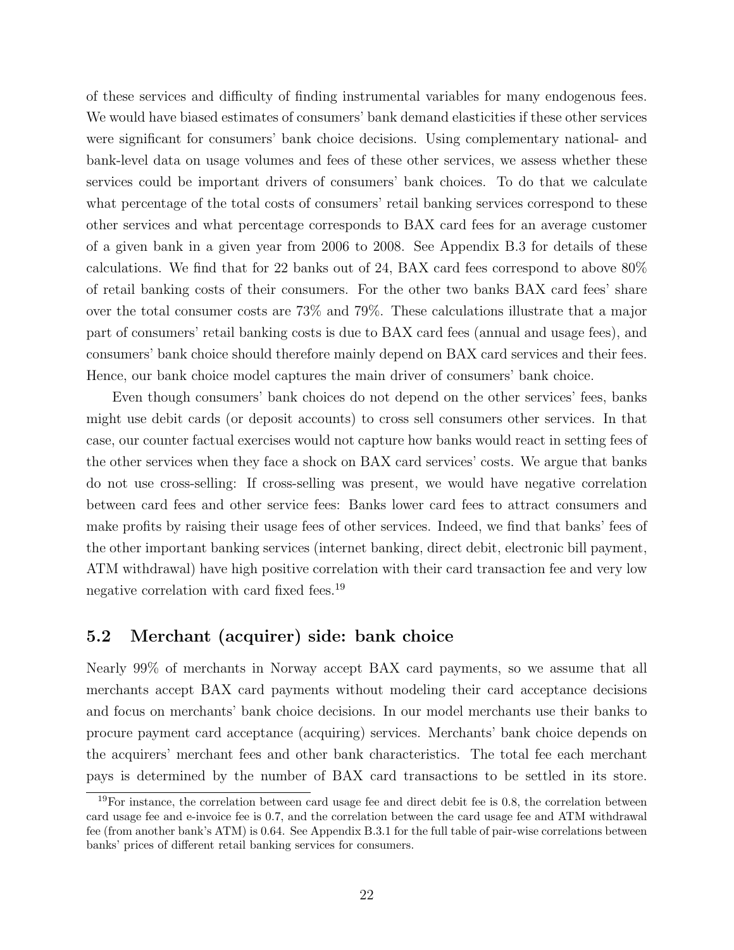of these services and difficulty of finding instrumental variables for many endogenous fees. We would have biased estimates of consumers' bank demand elasticities if these other services were significant for consumers' bank choice decisions. Using complementary national- and bank-level data on usage volumes and fees of these other services, we assess whether these services could be important drivers of consumers' bank choices. To do that we calculate what percentage of the total costs of consumers' retail banking services correspond to these other services and what percentage corresponds to BAX card fees for an average customer of a given bank in a given year from 2006 to 2008. See Appendix B.3 for details of these calculations. We find that for 22 banks out of 24, BAX card fees correspond to above 80% of retail banking costs of their consumers. For the other two banks BAX card fees' share over the total consumer costs are 73% and 79%. These calculations illustrate that a major part of consumers' retail banking costs is due to BAX card fees (annual and usage fees), and consumers' bank choice should therefore mainly depend on BAX card services and their fees. Hence, our bank choice model captures the main driver of consumers' bank choice.

Even though consumers' bank choices do not depend on the other services' fees, banks might use debit cards (or deposit accounts) to cross sell consumers other services. In that case, our counter factual exercises would not capture how banks would react in setting fees of the other services when they face a shock on BAX card services' costs. We argue that banks do not use cross-selling: If cross-selling was present, we would have negative correlation between card fees and other service fees: Banks lower card fees to attract consumers and make profits by raising their usage fees of other services. Indeed, we find that banks' fees of the other important banking services (internet banking, direct debit, electronic bill payment, ATM withdrawal) have high positive correlation with their card transaction fee and very low negative correlation with card fixed fees.<sup>19</sup>

### 5.2 Merchant (acquirer) side: bank choice

Nearly 99% of merchants in Norway accept BAX card payments, so we assume that all merchants accept BAX card payments without modeling their card acceptance decisions and focus on merchants' bank choice decisions. In our model merchants use their banks to procure payment card acceptance (acquiring) services. Merchants' bank choice depends on the acquirers' merchant fees and other bank characteristics. The total fee each merchant pays is determined by the number of BAX card transactions to be settled in its store.

<sup>&</sup>lt;sup>19</sup>For instance, the correlation between card usage fee and direct debit fee is 0.8, the correlation between card usage fee and e-invoice fee is 0.7, and the correlation between the card usage fee and ATM withdrawal fee (from another bank's ATM) is 0.64. See Appendix B.3.1 for the full table of pair-wise correlations between banks' prices of different retail banking services for consumers.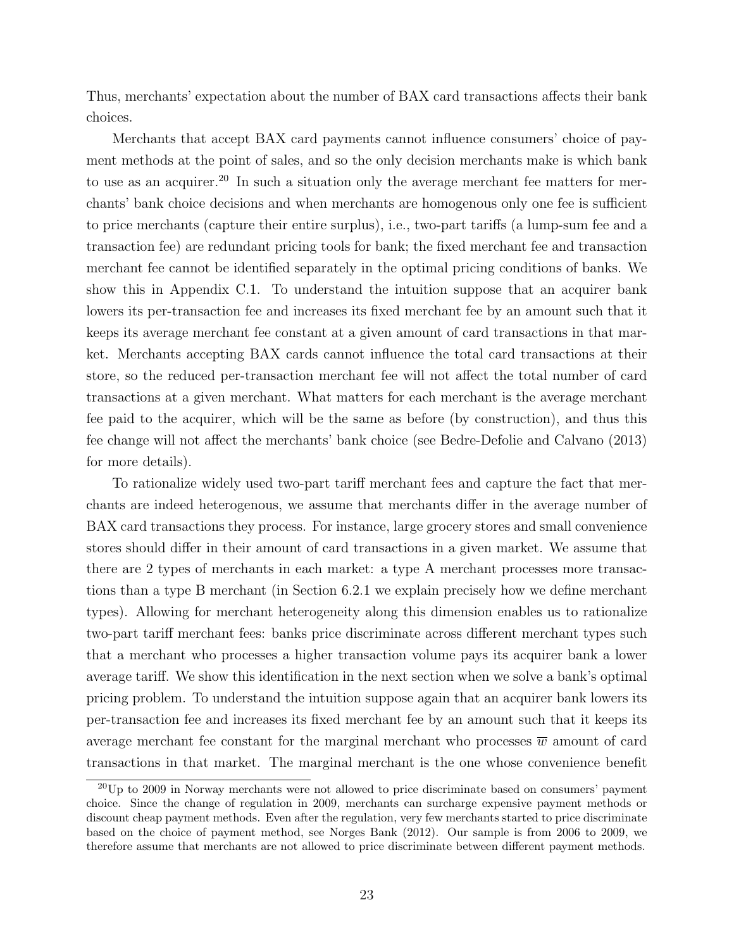Thus, merchants' expectation about the number of BAX card transactions affects their bank choices.

Merchants that accept BAX card payments cannot influence consumers' choice of payment methods at the point of sales, and so the only decision merchants make is which bank to use as an acquirer.<sup>20</sup> In such a situation only the average merchant fee matters for merchants' bank choice decisions and when merchants are homogenous only one fee is sufficient to price merchants (capture their entire surplus), i.e., two-part tariffs (a lump-sum fee and a transaction fee) are redundant pricing tools for bank; the fixed merchant fee and transaction merchant fee cannot be identified separately in the optimal pricing conditions of banks. We show this in Appendix C.1. To understand the intuition suppose that an acquirer bank lowers its per-transaction fee and increases its fixed merchant fee by an amount such that it keeps its average merchant fee constant at a given amount of card transactions in that market. Merchants accepting BAX cards cannot influence the total card transactions at their store, so the reduced per-transaction merchant fee will not affect the total number of card transactions at a given merchant. What matters for each merchant is the average merchant fee paid to the acquirer, which will be the same as before (by construction), and thus this fee change will not affect the merchants' bank choice (see Bedre-Defolie and Calvano (2013) for more details).

To rationalize widely used two-part tariff merchant fees and capture the fact that merchants are indeed heterogenous, we assume that merchants differ in the average number of BAX card transactions they process. For instance, large grocery stores and small convenience stores should differ in their amount of card transactions in a given market. We assume that there are 2 types of merchants in each market: a type A merchant processes more transactions than a type B merchant (in Section 6.2.1 we explain precisely how we define merchant types). Allowing for merchant heterogeneity along this dimension enables us to rationalize two-part tariff merchant fees: banks price discriminate across different merchant types such that a merchant who processes a higher transaction volume pays its acquirer bank a lower average tariff. We show this identification in the next section when we solve a bank's optimal pricing problem. To understand the intuition suppose again that an acquirer bank lowers its per-transaction fee and increases its fixed merchant fee by an amount such that it keeps its average merchant fee constant for the marginal merchant who processes  $\overline{w}$  amount of card transactions in that market. The marginal merchant is the one whose convenience benefit

 $^{20}$ Up to 2009 in Norway merchants were not allowed to price discriminate based on consumers' payment choice. Since the change of regulation in 2009, merchants can surcharge expensive payment methods or discount cheap payment methods. Even after the regulation, very few merchants started to price discriminate based on the choice of payment method, see Norges Bank (2012). Our sample is from 2006 to 2009, we therefore assume that merchants are not allowed to price discriminate between different payment methods.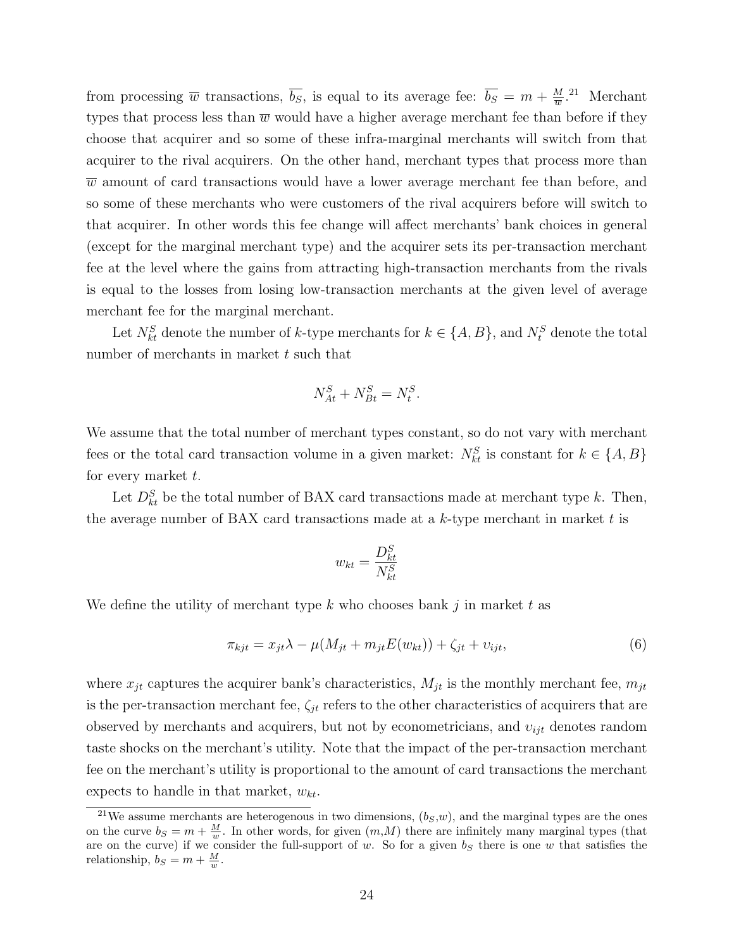from processing  $\overline{w}$  transactions,  $\overline{b_S}$ , is equal to its average fee:  $\overline{b_S} = m + \frac{M}{\overline{w}}$  $\frac{M}{\overline{w}}$ .<sup>21</sup> Merchant types that process less than  $\overline{w}$  would have a higher average merchant fee than before if they choose that acquirer and so some of these infra-marginal merchants will switch from that acquirer to the rival acquirers. On the other hand, merchant types that process more than  $\overline{w}$  amount of card transactions would have a lower average merchant fee than before, and so some of these merchants who were customers of the rival acquirers before will switch to that acquirer. In other words this fee change will affect merchants' bank choices in general (except for the marginal merchant type) and the acquirer sets its per-transaction merchant fee at the level where the gains from attracting high-transaction merchants from the rivals is equal to the losses from losing low-transaction merchants at the given level of average merchant fee for the marginal merchant.

Let  $N_{kt}^S$  denote the number of k-type merchants for  $k \in \{A, B\}$ , and  $N_t^S$  denote the total number of merchants in market t such that

$$
N_{At}^S + N_{Bt}^S = N_t^S.
$$

We assume that the total number of merchant types constant, so do not vary with merchant fees or the total card transaction volume in a given market:  $N_{kt}^S$  is constant for  $k \in \{A, B\}$ for every market  $t$ .

Let  $D_{kt}^S$  be the total number of BAX card transactions made at merchant type k. Then, the average number of BAX card transactions made at a  $k$ -type merchant in market  $t$  is

$$
w_{kt} = \frac{D_{kt}^S}{N_{kt}^S}
$$

We define the utility of merchant type k who chooses bank j in market t as

$$
\pi_{kjt} = x_{jt}\lambda - \mu(M_{jt} + m_{jt}E(w_{kt})) + \zeta_{jt} + v_{ijt},\tag{6}
$$

where  $x_{jt}$  captures the acquirer bank's characteristics,  $M_{jt}$  is the monthly merchant fee,  $m_{jt}$ is the per-transaction merchant fee,  $\zeta_{it}$  refers to the other characteristics of acquirers that are observed by merchants and acquirers, but not by econometricians, and  $v_{ijt}$  denotes random taste shocks on the merchant's utility. Note that the impact of the per-transaction merchant fee on the merchant's utility is proportional to the amount of card transactions the merchant expects to handle in that market,  $w_{kt}$ .

<sup>&</sup>lt;sup>21</sup>We assume merchants are heterogenous in two dimensions,  $(b_S, w)$ , and the marginal types are the ones on the curve  $b_S = m + \frac{M}{w}$ . In other words, for given  $(m, M)$  there are infinitely many marginal types (that are on the curve) if we consider the full-support of w. So for a given  $b<sub>S</sub>$  there is one w that satisfies the relationship,  $b_S = m + \frac{M}{w}$ .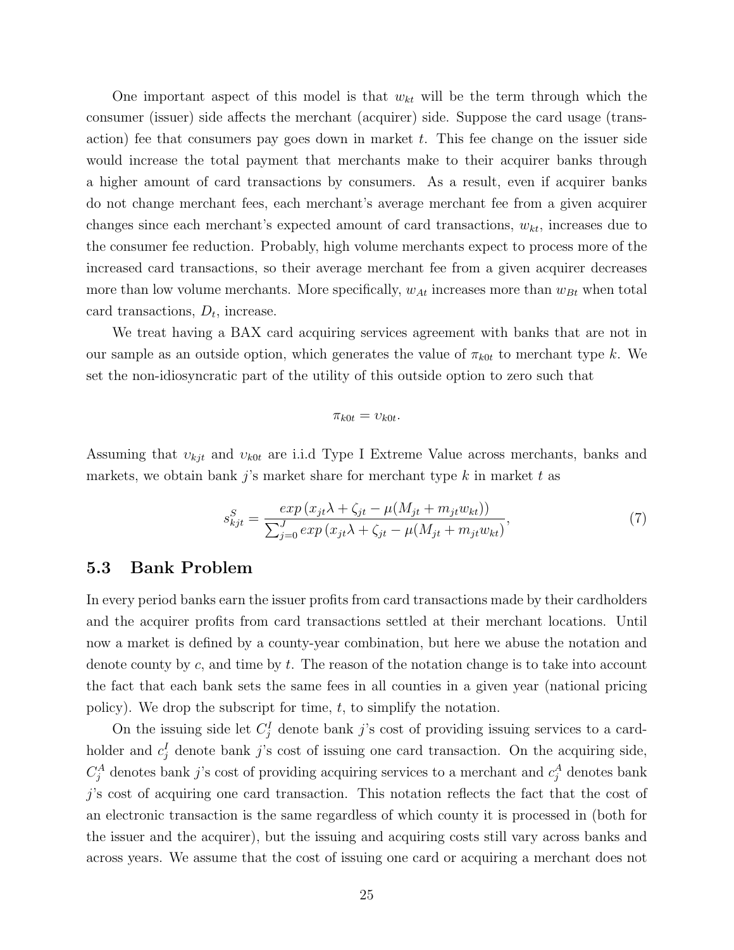One important aspect of this model is that  $w_{kt}$  will be the term through which the consumer (issuer) side affects the merchant (acquirer) side. Suppose the card usage (transaction) fee that consumers pay goes down in market  $t$ . This fee change on the issuer side would increase the total payment that merchants make to their acquirer banks through a higher amount of card transactions by consumers. As a result, even if acquirer banks do not change merchant fees, each merchant's average merchant fee from a given acquirer changes since each merchant's expected amount of card transactions,  $w_{kt}$ , increases due to the consumer fee reduction. Probably, high volume merchants expect to process more of the increased card transactions, so their average merchant fee from a given acquirer decreases more than low volume merchants. More specifically,  $w_{At}$  increases more than  $w_{Bt}$  when total card transactions,  $D_t$ , increase.

We treat having a BAX card acquiring services agreement with banks that are not in our sample as an outside option, which generates the value of  $\pi_{k0t}$  to merchant type k. We set the non-idiosyncratic part of the utility of this outside option to zero such that

$$
\pi_{k0t} = v_{k0t}
$$

.

Assuming that  $v_{kjt}$  and  $v_{k0t}$  are i.i.d Type I Extreme Value across merchants, banks and markets, we obtain bank j's market share for merchant type  $k$  in market  $t$  as

$$
s_{kjt}^S = \frac{\exp(x_{jt}\lambda + \zeta_{jt} - \mu(M_{jt} + m_{jt}w_{kt}))}{\sum_{j=0}^J \exp(x_{jt}\lambda + \zeta_{jt} - \mu(M_{jt} + m_{jt}w_{kt})},
$$
\n(7)

#### 5.3 Bank Problem

In every period banks earn the issuer profits from card transactions made by their cardholders and the acquirer profits from card transactions settled at their merchant locations. Until now a market is defined by a county-year combination, but here we abuse the notation and denote county by  $c$ , and time by  $t$ . The reason of the notation change is to take into account the fact that each bank sets the same fees in all counties in a given year (national pricing policy). We drop the subscript for time,  $t$ , to simplify the notation.

On the issuing side let  $C_j^I$  denote bank j's cost of providing issuing services to a cardholder and  $c_j^I$  denote bank j's cost of issuing one card transaction. On the acquiring side,  $C_j^A$  denotes bank j's cost of providing acquiring services to a merchant and  $c_j^A$  denotes bank j's cost of acquiring one card transaction. This notation reflects the fact that the cost of an electronic transaction is the same regardless of which county it is processed in (both for the issuer and the acquirer), but the issuing and acquiring costs still vary across banks and across years. We assume that the cost of issuing one card or acquiring a merchant does not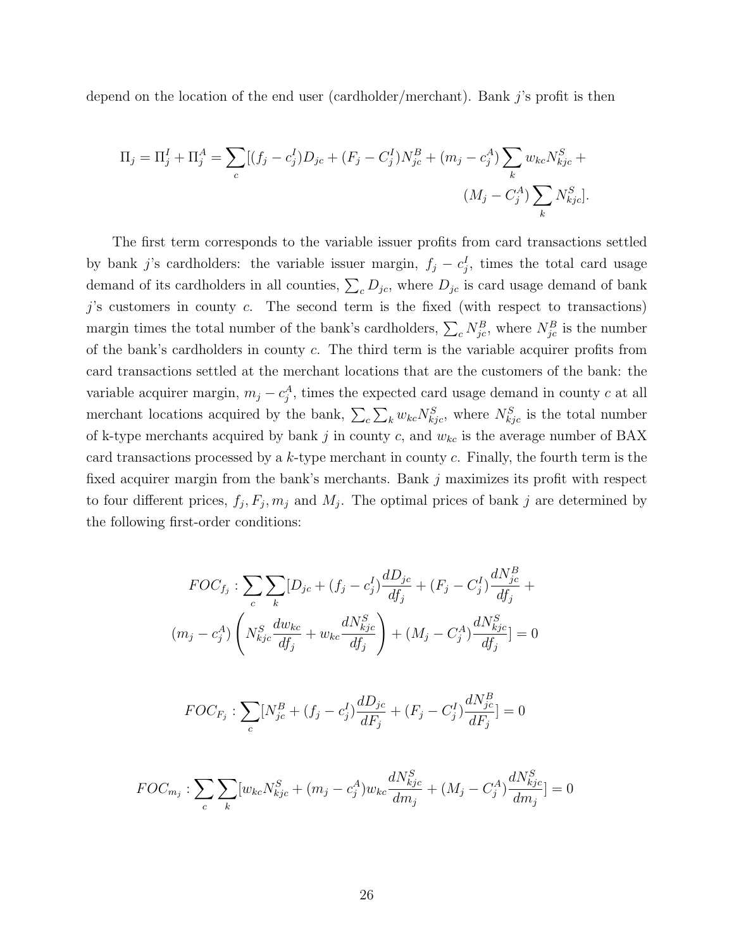depend on the location of the end user (cardholder/merchant). Bank j's profit is then

$$
\Pi_j = \Pi_j^I + \Pi_j^A = \sum_c [(f_j - c_j^I)D_{jc} + (F_j - C_j^I)N_{jc}^B + (m_j - c_j^A) \sum_k w_{kc}N_{kjc}^S + (M_j - C_j^A) \sum_k N_{kjc}^S].
$$

The first term corresponds to the variable issuer profits from card transactions settled by bank j's cardholders: the variable issuer margin,  $f_j - c_j^I$ , times the total card usage demand of its cardholders in all counties,  $\sum_{c} D_{jc}$ , where  $D_{jc}$  is card usage demand of bank  $j$ 's customers in county c. The second term is the fixed (with respect to transactions) margin times the total number of the bank's cardholders,  $\sum_{c} N_{jc}^{B}$ , where  $N_{jc}^{B}$  is the number of the bank's cardholders in county c. The third term is the variable acquirer profits from card transactions settled at the merchant locations that are the customers of the bank: the variable acquirer margin,  $m_j - c_j^A$ , times the expected card usage demand in county c at all merchant locations acquired by the bank,  $\sum_c \sum_k w_{kc} N_{kjc}^S$ , where  $N_{kjc}^S$  is the total number of k-type merchants acquired by bank j in county c, and  $w_{kc}$  is the average number of BAX card transactions processed by a k-type merchant in county c. Finally, the fourth term is the fixed acquirer margin from the bank's merchants. Bank  $j$  maximizes its profit with respect to four different prices,  $f_j$ ,  $F_j$ ,  $m_j$  and  $M_j$ . The optimal prices of bank j are determined by the following first-order conditions:

$$
FOC_{f_j} : \sum_{c} \sum_{k} [D_{jc} + (f_j - c_j^I) \frac{dD_{jc}}{df_j} + (F_j - C_j^I) \frac{dN_{jc}^B}{df_j} + (m_j - c_j^A) \left( N_{kjc}^S \frac{dw_{kc}}{df_j} + w_{kc} \frac{dN_{kjc}^S}{df_j} \right) + (M_j - C_j^A) \frac{dN_{kjc}^S}{df_j} = 0
$$

$$
FOC_{F_j} : \sum_c [N_{jc}^B + (f_j - c_j^I) \frac{dD_{jc}}{dF_j} + (F_j - C_j^I) \frac{dN_{jc}^B}{dF_j}] = 0
$$

$$
FOC_{m_j} : \sum_c \sum_k [w_{kc}N_{kjc}^S + (m_j - c_j^A)w_{kc}\frac{dN_{kjc}^S}{dm_j} + (M_j - C_j^A)\frac{dN_{kjc}^S}{dm_j}] = 0
$$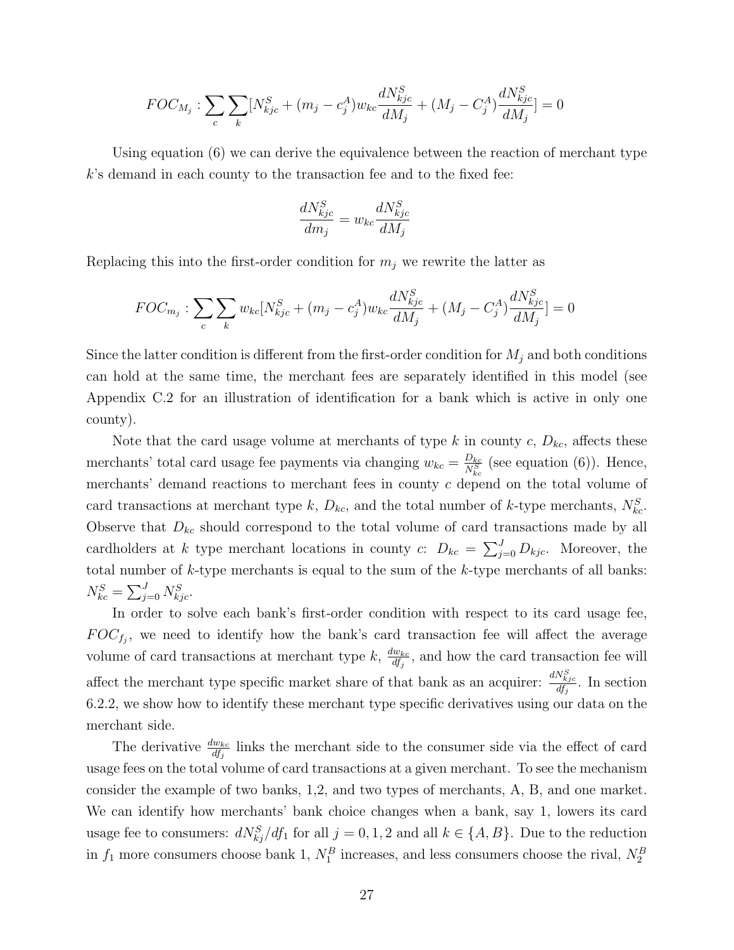$$
FOC_{M_j} : \sum_c \sum_k [N_{kjc}^S + (m_j - c_j^A) w_{kc} \frac{dN_{kjc}^S}{dM_j} + (M_j - C_j^A) \frac{dN_{kjc}^S}{dM_j}] = 0
$$

Using equation (6) we can derive the equivalence between the reaction of merchant type  $k$ 's demand in each county to the transaction fee and to the fixed fee:

$$
\frac{dN_{kjc}^{S}}{dm_j} = w_{kc} \frac{dN_{kjc}^{S}}{dM_j}
$$

Replacing this into the first-order condition for  $m_j$  we rewrite the latter as

$$
FOC_{m_j} : \sum_c \sum_k w_{kc} [N_{kjc}^S + (m_j - c_j^A) w_{kc} \frac{dN_{kjc}^S}{dM_j} + (M_j - C_j^A) \frac{dN_{kjc}^S}{dM_j}] = 0
$$

Since the latter condition is different from the first-order condition for  $M_i$  and both conditions can hold at the same time, the merchant fees are separately identified in this model (see Appendix C.2 for an illustration of identification for a bank which is active in only one county).

Note that the card usage volume at merchants of type k in county c,  $D_{kc}$ , affects these merchants' total card usage fee payments via changing  $w_{kc} = \frac{D_{kc}}{N^S}$  $\frac{D_{kc}}{N_{kc}^{S}}$  (see equation (6)). Hence, merchants' demand reactions to merchant fees in county  $c$  depend on the total volume of card transactions at merchant type k,  $D_{kc}$ , and the total number of k-type merchants,  $N_{kc}^S$ . Observe that  $D_{kc}$  should correspond to the total volume of card transactions made by all cardholders at k type merchant locations in county  $c: D_{kc} = \sum_{j=0}^{J} D_{kjc}$ . Moreover, the total number of  $k$ -type merchants is equal to the sum of the  $k$ -type merchants of all banks:  $N_{kc}^S = \sum_{j=0}^J N_{kjc}^S$ .

In order to solve each bank's first-order condition with respect to its card usage fee,  $FOC_{f_j}$ , we need to identify how the bank's card transaction fee will affect the average volume of card transactions at merchant type k,  $\frac{dw_{kc}}{dt}$  $\frac{w_{kc}}{df_j}$ , and how the card transaction fee will affect the merchant type specific market share of that bank as an acquirer:  $\frac{dN_{kjc}^S}{df_j}$ . In section 6.2.2, we show how to identify these merchant type specific derivatives using our data on the merchant side.

The derivative  $\frac{dw_{kc}}{df_j}$  links the merchant side to the consumer side via the effect of card usage fees on the total volume of card transactions at a given merchant. To see the mechanism consider the example of two banks, 1,2, and two types of merchants, A, B, and one market. We can identify how merchants' bank choice changes when a bank, say 1, lowers its card usage fee to consumers:  $dN_{kj}^S/df_1$  for all  $j = 0, 1, 2$  and all  $k \in \{A, B\}$ . Due to the reduction in  $f_1$  more consumers choose bank 1,  $N_1^B$  increases, and less consumers choose the rival,  $N_2^B$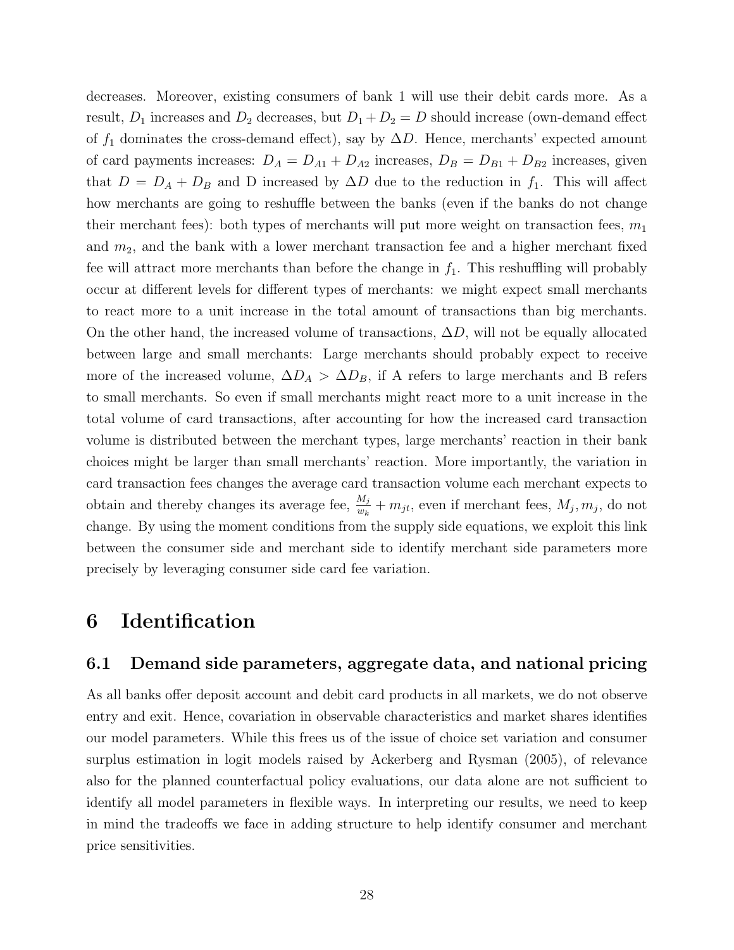decreases. Moreover, existing consumers of bank 1 will use their debit cards more. As a result,  $D_1$  increases and  $D_2$  decreases, but  $D_1 + D_2 = D$  should increase (own-demand effect of  $f_1$  dominates the cross-demand effect), say by  $\Delta D$ . Hence, merchants' expected amount of card payments increases:  $D_A = D_{A1} + D_{A2}$  increases,  $D_B = D_{B1} + D_{B2}$  increases, given that  $D = D_A + D_B$  and D increased by  $\Delta D$  due to the reduction in  $f_1$ . This will affect how merchants are going to reshuffle between the banks (even if the banks do not change their merchant fees): both types of merchants will put more weight on transaction fees,  $m_1$ and  $m_2$ , and the bank with a lower merchant transaction fee and a higher merchant fixed fee will attract more merchants than before the change in  $f_1$ . This reshuffling will probably occur at different levels for different types of merchants: we might expect small merchants to react more to a unit increase in the total amount of transactions than big merchants. On the other hand, the increased volume of transactions,  $\Delta D$ , will not be equally allocated between large and small merchants: Large merchants should probably expect to receive more of the increased volume,  $\Delta D_A > \Delta D_B$ , if A refers to large merchants and B refers to small merchants. So even if small merchants might react more to a unit increase in the total volume of card transactions, after accounting for how the increased card transaction volume is distributed between the merchant types, large merchants' reaction in their bank choices might be larger than small merchants' reaction. More importantly, the variation in card transaction fees changes the average card transaction volume each merchant expects to obtain and thereby changes its average fee,  $\frac{M_j}{w_k} + m_{jt}$ , even if merchant fees,  $M_j, m_j$ , do not change. By using the moment conditions from the supply side equations, we exploit this link between the consumer side and merchant side to identify merchant side parameters more precisely by leveraging consumer side card fee variation.

## 6 Identification

#### 6.1 Demand side parameters, aggregate data, and national pricing

As all banks offer deposit account and debit card products in all markets, we do not observe entry and exit. Hence, covariation in observable characteristics and market shares identifies our model parameters. While this frees us of the issue of choice set variation and consumer surplus estimation in logit models raised by Ackerberg and Rysman (2005), of relevance also for the planned counterfactual policy evaluations, our data alone are not sufficient to identify all model parameters in flexible ways. In interpreting our results, we need to keep in mind the tradeoffs we face in adding structure to help identify consumer and merchant price sensitivities.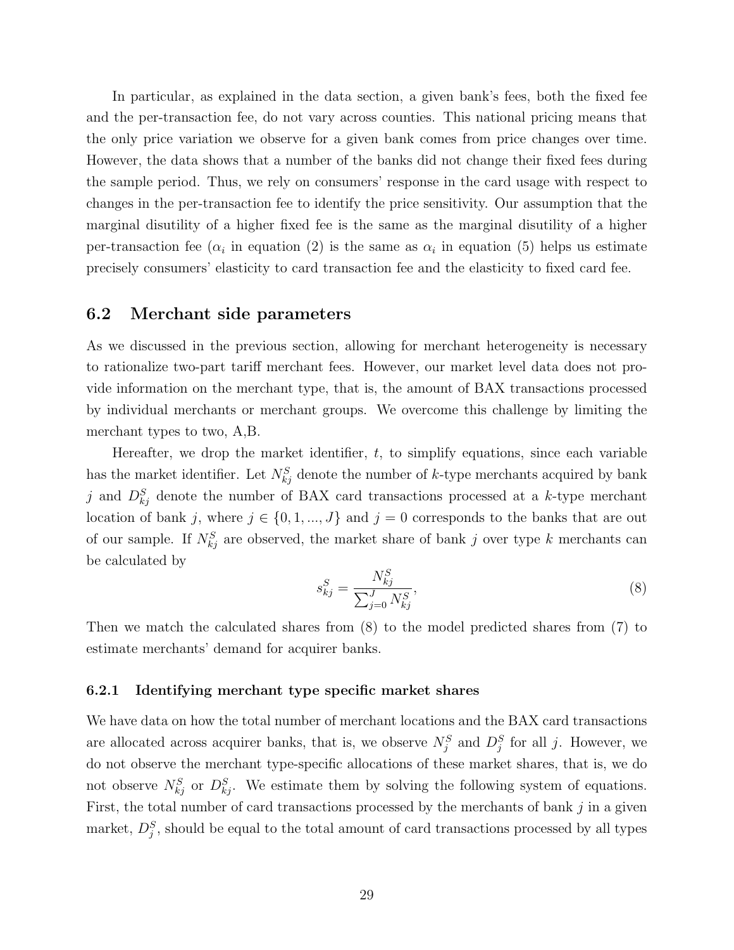In particular, as explained in the data section, a given bank's fees, both the fixed fee and the per-transaction fee, do not vary across counties. This national pricing means that the only price variation we observe for a given bank comes from price changes over time. However, the data shows that a number of the banks did not change their fixed fees during the sample period. Thus, we rely on consumers' response in the card usage with respect to changes in the per-transaction fee to identify the price sensitivity. Our assumption that the marginal disutility of a higher fixed fee is the same as the marginal disutility of a higher per-transaction fee ( $\alpha_i$  in equation (2) is the same as  $\alpha_i$  in equation (5) helps us estimate precisely consumers' elasticity to card transaction fee and the elasticity to fixed card fee.

#### 6.2 Merchant side parameters

As we discussed in the previous section, allowing for merchant heterogeneity is necessary to rationalize two-part tariff merchant fees. However, our market level data does not provide information on the merchant type, that is, the amount of BAX transactions processed by individual merchants or merchant groups. We overcome this challenge by limiting the merchant types to two, A,B.

Hereafter, we drop the market identifier,  $t$ , to simplify equations, since each variable has the market identifier. Let  $N_{kj}^S$  denote the number of k-type merchants acquired by bank j and  $D_{kj}^S$  denote the number of BAX card transactions processed at a k-type merchant location of bank j, where  $j \in \{0, 1, ..., J\}$  and  $j = 0$  corresponds to the banks that are out of our sample. If  $N_{kj}^S$  are observed, the market share of bank j over type k merchants can be calculated by

$$
s_{kj}^{S} = \frac{N_{kj}^{S}}{\sum_{j=0}^{J} N_{kj}^{S}},
$$
\n(8)

Then we match the calculated shares from (8) to the model predicted shares from (7) to estimate merchants' demand for acquirer banks.

#### 6.2.1 Identifying merchant type specific market shares

We have data on how the total number of merchant locations and the BAX card transactions are allocated across acquirer banks, that is, we observe  $N_j^S$  and  $D_j^S$  for all j. However, we do not observe the merchant type-specific allocations of these market shares, that is, we do not observe  $N_{kj}^S$  or  $D_{kj}^S$ . We estimate them by solving the following system of equations. First, the total number of card transactions processed by the merchants of bank j in a given market,  $D_j^S$ , should be equal to the total amount of card transactions processed by all types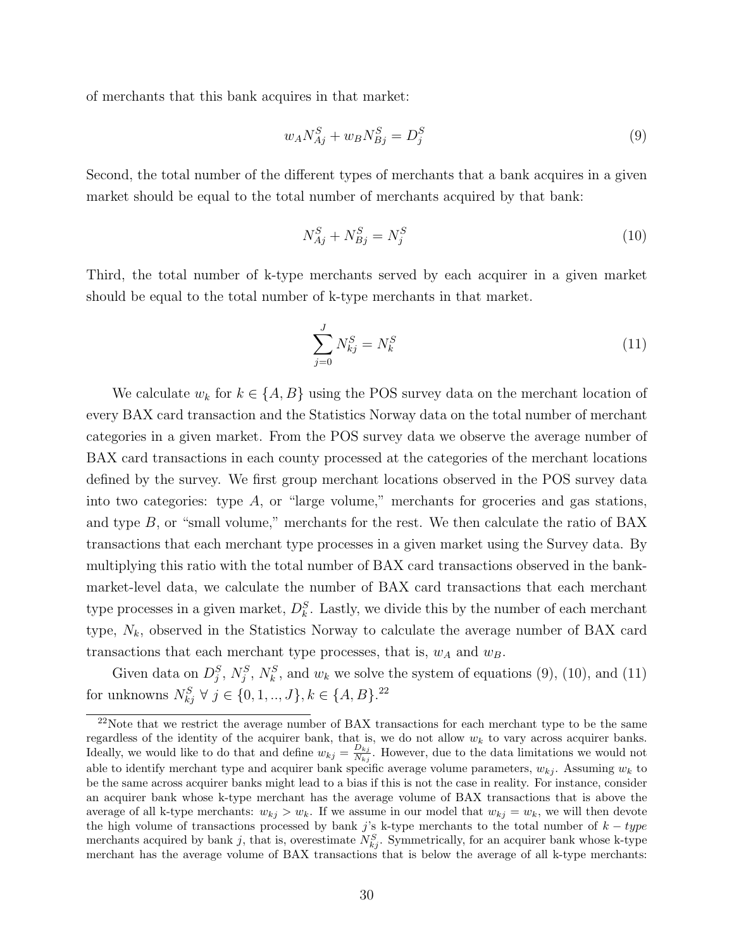of merchants that this bank acquires in that market:

$$
w_A N_{Aj}^S + w_B N_{Bj}^S = D_j^S \tag{9}
$$

Second, the total number of the different types of merchants that a bank acquires in a given market should be equal to the total number of merchants acquired by that bank:

$$
N_{Aj}^S + N_{Bj}^S = N_j^S \tag{10}
$$

Third, the total number of k-type merchants served by each acquirer in a given market should be equal to the total number of k-type merchants in that market.

$$
\sum_{j=0}^{J} N_{kj}^{S} = N_{k}^{S}
$$
 (11)

We calculate  $w_k$  for  $k \in \{A, B\}$  using the POS survey data on the merchant location of every BAX card transaction and the Statistics Norway data on the total number of merchant categories in a given market. From the POS survey data we observe the average number of BAX card transactions in each county processed at the categories of the merchant locations defined by the survey. We first group merchant locations observed in the POS survey data into two categories: type A, or "large volume," merchants for groceries and gas stations, and type  $B$ , or "small volume," merchants for the rest. We then calculate the ratio of  $BAX$ transactions that each merchant type processes in a given market using the Survey data. By multiplying this ratio with the total number of BAX card transactions observed in the bankmarket-level data, we calculate the number of BAX card transactions that each merchant type processes in a given market,  $D_k^S$ . Lastly, we divide this by the number of each merchant type,  $N_k$ , observed in the Statistics Norway to calculate the average number of BAX card transactions that each merchant type processes, that is,  $w_A$  and  $w_B$ .

Given data on  $D_j^S$ ,  $N_j^S$ ,  $N_k^S$ , and  $w_k$  we solve the system of equations (9), (10), and (11) for unknowns  $N_{kj}^S \ \forall \ j \in \{0, 1, ..., J\}, k \in \{A, B\}.^{22}$ 

<sup>&</sup>lt;sup>22</sup>Note that we restrict the average number of BAX transactions for each merchant type to be the same regardless of the identity of the acquirer bank, that is, we do not allow  $w_k$  to vary across acquirer banks. Ideally, we would like to do that and define  $w_{kj} = \frac{D_{kj}}{N_{ki}}$  $\frac{D_{kj}}{N_{kj}}$ . However, due to the data limitations we would not able to identify merchant type and acquirer bank specific average volume parameters,  $w_{ki}$ . Assuming  $w_k$  to be the same across acquirer banks might lead to a bias if this is not the case in reality. For instance, consider an acquirer bank whose k-type merchant has the average volume of BAX transactions that is above the average of all k-type merchants:  $w_{kj} > w_k$ . If we assume in our model that  $w_{kj} = w_k$ , we will then devote the high volume of transactions processed by bank j's k-type merchants to the total number of  $k - type$ merchants acquired by bank j, that is, overestimate  $N_{kj}^S$ . Symmetrically, for an acquirer bank whose k-type merchant has the average volume of BAX transactions that is below the average of all k-type merchants: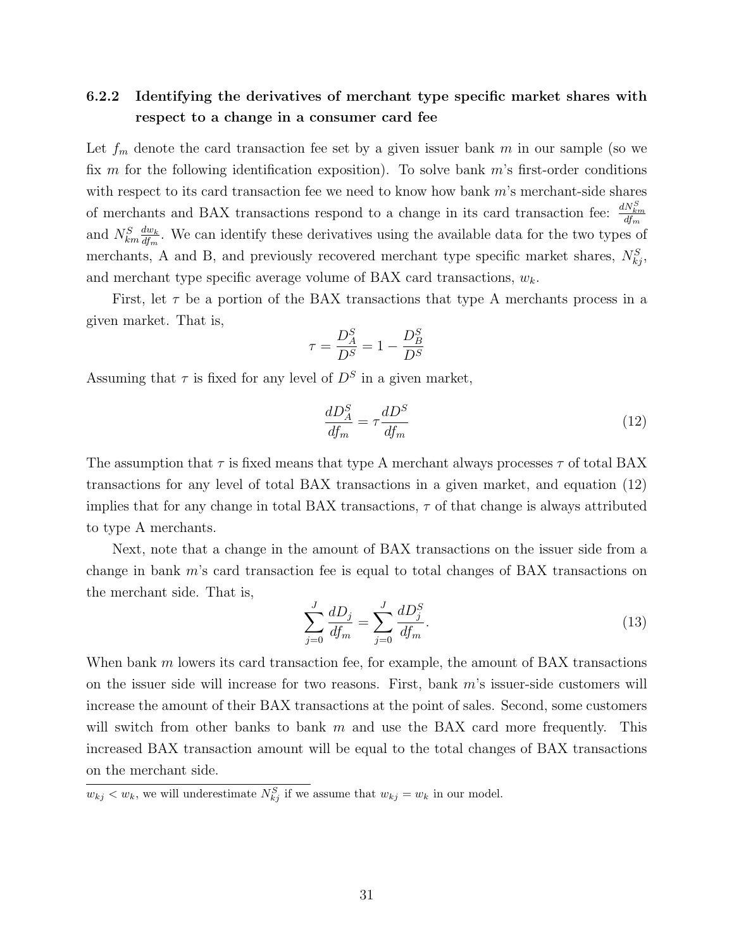### 6.2.2 Identifying the derivatives of merchant type specific market shares with respect to a change in a consumer card fee

Let  $f_m$  denote the card transaction fee set by a given issuer bank m in our sample (so we fix  $m$  for the following identification exposition). To solve bank  $m$ 's first-order conditions with respect to its card transaction fee we need to know how bank  $m$ 's merchant-side shares of merchants and BAX transactions respond to a change in its card transaction fee:  $\frac{dN_{km}^{S}}{df_{m}}$ and  $N_{km}^S \frac{dw_k}{df_m}$  $\frac{dw_k}{df_m}$ . We can identify these derivatives using the available data for the two types of merchants, A and B, and previously recovered merchant type specific market shares,  $N_{kj}^S$ , and merchant type specific average volume of BAX card transactions,  $w_k$ .

First, let  $\tau$  be a portion of the BAX transactions that type A merchants process in a given market. That is,

$$
\tau = \frac{D_A^S}{D^S} = 1 - \frac{D_B^S}{D^S}
$$

Assuming that  $\tau$  is fixed for any level of  $D^S$  in a given market,

$$
\frac{dD_A^S}{df_m} = \tau \frac{dD^S}{df_m} \tag{12}
$$

The assumption that  $\tau$  is fixed means that type A merchant always processes  $\tau$  of total BAX transactions for any level of total BAX transactions in a given market, and equation (12) implies that for any change in total BAX transactions,  $\tau$  of that change is always attributed to type A merchants.

Next, note that a change in the amount of BAX transactions on the issuer side from a change in bank m's card transaction fee is equal to total changes of BAX transactions on the merchant side. That is,

$$
\sum_{j=0}^{J} \frac{dD_j}{df_m} = \sum_{j=0}^{J} \frac{dD_j^S}{df_m}.
$$
\n(13)

When bank  $m$  lowers its card transaction fee, for example, the amount of BAX transactions on the issuer side will increase for two reasons. First, bank m's issuer-side customers will increase the amount of their BAX transactions at the point of sales. Second, some customers will switch from other banks to bank  $m$  and use the BAX card more frequently. This increased BAX transaction amount will be equal to the total changes of BAX transactions on the merchant side.

 $w_{kj} < w_k$ , we will underestimate  $N_{kj}^S$  if we assume that  $w_{kj} = w_k$  in our model.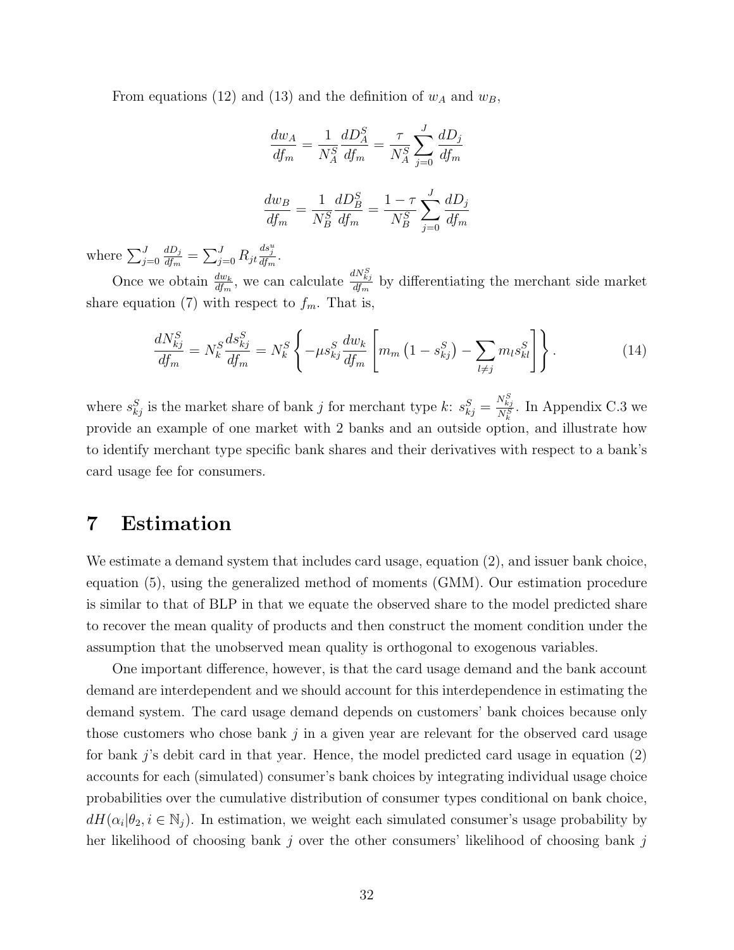From equations (12) and (13) and the definition of  $w_A$  and  $w_B$ ,

$$
\frac{dw_A}{df_m} = \frac{1}{N_A^S} \frac{dD_A^S}{df_m} = \frac{\tau}{N_A^S} \sum_{j=0}^J \frac{dD_j}{df_m}
$$

$$
\frac{dw_B}{df_m} = \frac{1}{N_B^S} \frac{dD_B^S}{df_m} = \frac{1 - \tau}{N_B^S} \sum_{j=0}^J \frac{dD_j}{df_m}
$$

where  $\sum_{j=0}^{J}$  $dD_j$  $\frac{dD_j}{df_m} = \sum_{j=0}^{J} R_{jt} \frac{ds_j^u}{df_m}.$ 

Once we obtain  $\frac{dw_k}{df_m}$ , we can calculate  $\frac{dN_{kj}^S}{df_m}$  by differentiating the merchant side market share equation (7) with respect to  $f_m$ . That is,

$$
\frac{dN_{kj}^{S}}{df_m} = N_k^{S} \frac{ds_{kj}^{S}}{df_m} = N_k^{S} \left\{ -\mu s_{kj}^{S} \frac{dw_k}{df_m} \left[ m_m \left( 1 - s_{kj}^{S} \right) - \sum_{l \neq j} m_l s_{kl}^{S} \right] \right\}.
$$
 (14)

where  $s_{kj}^S$  is the market share of bank j for merchant type k:  $s_{kj}^S = \frac{N_{kj}^S}{N_k^S}$ . In Appendix C.3 we provide an example of one market with 2 banks and an outside option, and illustrate how to identify merchant type specific bank shares and their derivatives with respect to a bank's card usage fee for consumers.

### 7 Estimation

We estimate a demand system that includes card usage, equation  $(2)$ , and issuer bank choice, equation (5), using the generalized method of moments (GMM). Our estimation procedure is similar to that of BLP in that we equate the observed share to the model predicted share to recover the mean quality of products and then construct the moment condition under the assumption that the unobserved mean quality is orthogonal to exogenous variables.

One important difference, however, is that the card usage demand and the bank account demand are interdependent and we should account for this interdependence in estimating the demand system. The card usage demand depends on customers' bank choices because only those customers who chose bank  $j$  in a given year are relevant for the observed card usage for bank j's debit card in that year. Hence, the model predicted card usage in equation (2) accounts for each (simulated) consumer's bank choices by integrating individual usage choice probabilities over the cumulative distribution of consumer types conditional on bank choice,  $dH(\alpha_i|\theta_2, i \in \mathbb{N}_j)$ . In estimation, we weight each simulated consumer's usage probability by her likelihood of choosing bank j over the other consumers' likelihood of choosing bank j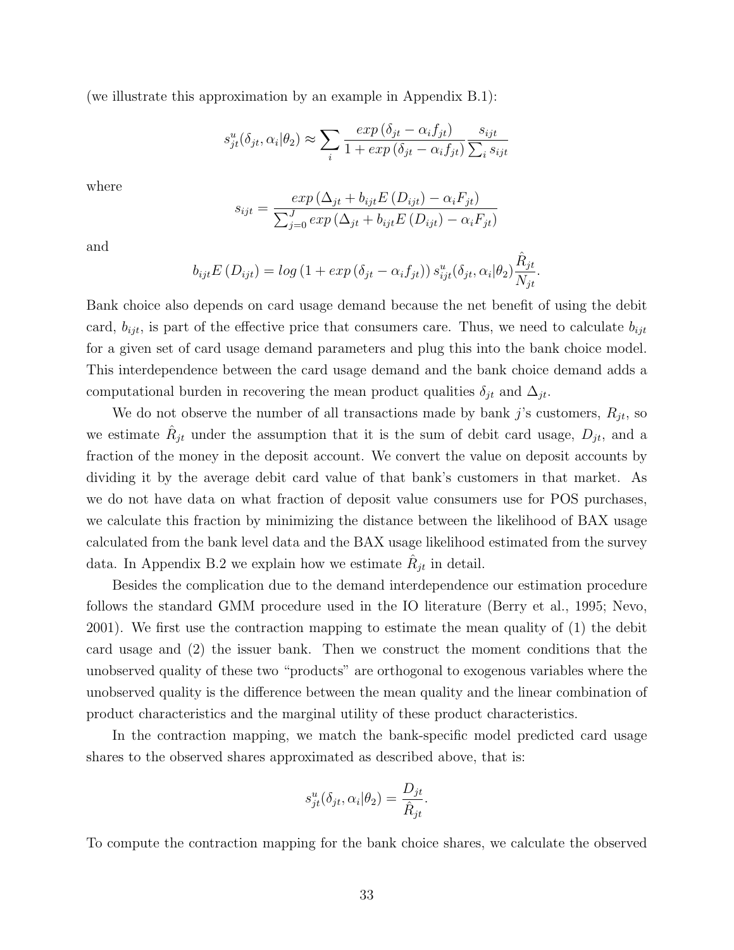(we illustrate this approximation by an example in Appendix B.1):

$$
s_{jt}^{u}(\delta_{jt}, \alpha_i | \theta_2) \approx \sum_{i} \frac{\exp(\delta_{jt} - \alpha_i f_{jt})}{1 + \exp(\delta_{jt} - \alpha_i f_{jt})} \frac{s_{ijt}}{\sum_{i} s_{ijt}}
$$

where

$$
s_{ijt} = \frac{exp(\Delta_{jt} + b_{ijt}E(D_{ijt}) - \alpha_i F_{jt})}{\sum_{j=0}^{J} exp(\Delta_{jt} + b_{ijt}E(D_{ijt}) - \alpha_i F_{jt})}
$$

and

$$
b_{ijt}E(D_{ijt}) = \log(1 + \exp(\delta_{jt} - \alpha_i f_{jt})) s_{ijt}^u(\delta_{jt}, \alpha_i | \theta_2) \frac{\hat{R}_{jt}}{N_{jt}}.
$$

Bank choice also depends on card usage demand because the net benefit of using the debit card,  $b_{ijt}$ , is part of the effective price that consumers care. Thus, we need to calculate  $b_{ijt}$ for a given set of card usage demand parameters and plug this into the bank choice model. This interdependence between the card usage demand and the bank choice demand adds a computational burden in recovering the mean product qualities  $\delta_{jt}$  and  $\Delta_{jt}$ .

We do not observe the number of all transactions made by bank j's customers,  $R_{jt}$ , so we estimate  $\hat{R}_{jt}$  under the assumption that it is the sum of debit card usage,  $D_{jt}$ , and a fraction of the money in the deposit account. We convert the value on deposit accounts by dividing it by the average debit card value of that bank's customers in that market. As we do not have data on what fraction of deposit value consumers use for POS purchases, we calculate this fraction by minimizing the distance between the likelihood of BAX usage calculated from the bank level data and the BAX usage likelihood estimated from the survey data. In Appendix B.2 we explain how we estimate  $\hat{R}_{jt}$  in detail.

Besides the complication due to the demand interdependence our estimation procedure follows the standard GMM procedure used in the IO literature (Berry et al., 1995; Nevo, 2001). We first use the contraction mapping to estimate the mean quality of (1) the debit card usage and (2) the issuer bank. Then we construct the moment conditions that the unobserved quality of these two "products" are orthogonal to exogenous variables where the unobserved quality is the difference between the mean quality and the linear combination of product characteristics and the marginal utility of these product characteristics.

In the contraction mapping, we match the bank-specific model predicted card usage shares to the observed shares approximated as described above, that is:

$$
s_{jt}^{u}(\delta_{jt}, \alpha_i | \theta_2) = \frac{D_{jt}}{\hat{R}_{jt}}.
$$

To compute the contraction mapping for the bank choice shares, we calculate the observed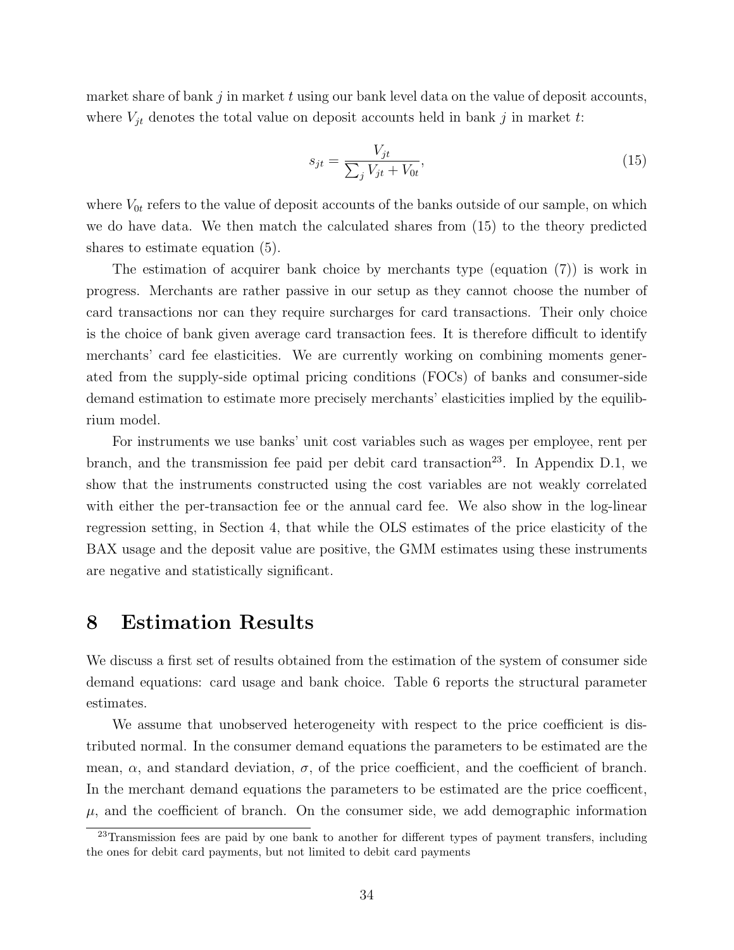market share of bank  $j$  in market  $t$  using our bank level data on the value of deposit accounts, where  $V_{it}$  denotes the total value on deposit accounts held in bank j in market t:

$$
s_{jt} = \frac{V_{jt}}{\sum_{j} V_{jt} + V_{0t}},\tag{15}
$$

where  $V_{0t}$  refers to the value of deposit accounts of the banks outside of our sample, on which we do have data. We then match the calculated shares from (15) to the theory predicted shares to estimate equation (5).

The estimation of acquirer bank choice by merchants type (equation (7)) is work in progress. Merchants are rather passive in our setup as they cannot choose the number of card transactions nor can they require surcharges for card transactions. Their only choice is the choice of bank given average card transaction fees. It is therefore difficult to identify merchants' card fee elasticities. We are currently working on combining moments generated from the supply-side optimal pricing conditions (FOCs) of banks and consumer-side demand estimation to estimate more precisely merchants' elasticities implied by the equilibrium model.

For instruments we use banks' unit cost variables such as wages per employee, rent per branch, and the transmission fee paid per debit card transaction<sup>23</sup>. In Appendix D.1, we show that the instruments constructed using the cost variables are not weakly correlated with either the per-transaction fee or the annual card fee. We also show in the log-linear regression setting, in Section 4, that while the OLS estimates of the price elasticity of the BAX usage and the deposit value are positive, the GMM estimates using these instruments are negative and statistically significant.

### 8 Estimation Results

We discuss a first set of results obtained from the estimation of the system of consumer side demand equations: card usage and bank choice. Table 6 reports the structural parameter estimates.

We assume that unobserved heterogeneity with respect to the price coefficient is distributed normal. In the consumer demand equations the parameters to be estimated are the mean,  $\alpha$ , and standard deviation,  $\sigma$ , of the price coefficient, and the coefficient of branch. In the merchant demand equations the parameters to be estimated are the price coefficent,  $\mu$ , and the coefficient of branch. On the consumer side, we add demographic information

<sup>&</sup>lt;sup>23</sup>Transmission fees are paid by one bank to another for different types of payment transfers, including the ones for debit card payments, but not limited to debit card payments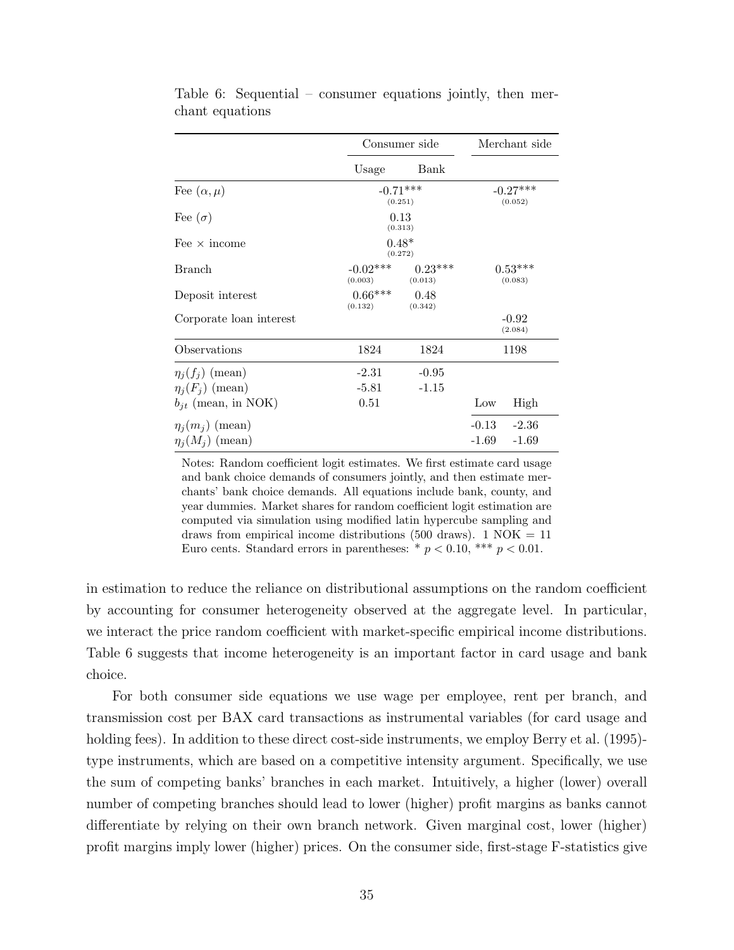|                                              |                                   | Consumer side         |       | Merchant side             |
|----------------------------------------------|-----------------------------------|-----------------------|-------|---------------------------|
|                                              | Usage                             | Bank                  |       |                           |
| Fee $(\alpha, \mu)$                          |                                   | $-0.71***$<br>(0.251) |       | $-0.27***$<br>(0.052)     |
| Fee $(\sigma)$                               |                                   | 0.13<br>(0.313)       |       |                           |
| Fee $\times$ income                          |                                   | $0.48*$<br>(0.272)    |       |                           |
| <b>Branch</b>                                | $-0.02***$<br>$(0.003)$ $(0.013)$ | $0.23***$             |       | $0.53***$<br>(0.083)      |
| Deposit interest                             | $0.66***$<br>(0.132)              | 0.48<br>(0.342)       |       |                           |
| Corporate loan interest                      |                                   |                       |       | $-0.92$<br>(2.084)        |
| Observations                                 | 1824                              | 1824                  |       | 1198                      |
| $\eta_i(f_i)$ (mean)                         | $-2.31$                           | $-0.95$               |       |                           |
| $\eta_i(F_i)$ (mean)                         | $-5.81$                           | $-1.15$               |       |                           |
| $b_{it}$ (mean, in NOK)                      | 0.51                              |                       | Low   | High                      |
| $\eta_i(m_i)$ (mean)<br>$\eta_i(M_i)$ (mean) |                                   |                       | -1.69 | $-0.13 - 2.36$<br>$-1.69$ |

Table 6: Sequential – consumer equations jointly, then merchant equations

Notes: Random coefficient logit estimates. We first estimate card usage and bank choice demands of consumers jointly, and then estimate merchants' bank choice demands. All equations include bank, county, and year dummies. Market shares for random coefficient logit estimation are computed via simulation using modified latin hypercube sampling and draws from empirical income distributions (500 draws).  $1 \text{ NOK} = 11$ Euro cents. Standard errors in parentheses: \* $p < 0.10,$  \*\*\*  $p < 0.01.$ 

in estimation to reduce the reliance on distributional assumptions on the random coefficient by accounting for consumer heterogeneity observed at the aggregate level. In particular, we interact the price random coefficient with market-specific empirical income distributions. Table 6 suggests that income heterogeneity is an important factor in card usage and bank choice.

For both consumer side equations we use wage per employee, rent per branch, and transmission cost per BAX card transactions as instrumental variables (for card usage and holding fees). In addition to these direct cost-side instruments, we employ Berry et al. (1995)type instruments, which are based on a competitive intensity argument. Specifically, we use the sum of competing banks' branches in each market. Intuitively, a higher (lower) overall number of competing branches should lead to lower (higher) profit margins as banks cannot differentiate by relying on their own branch network. Given marginal cost, lower (higher) profit margins imply lower (higher) prices. On the consumer side, first-stage F-statistics give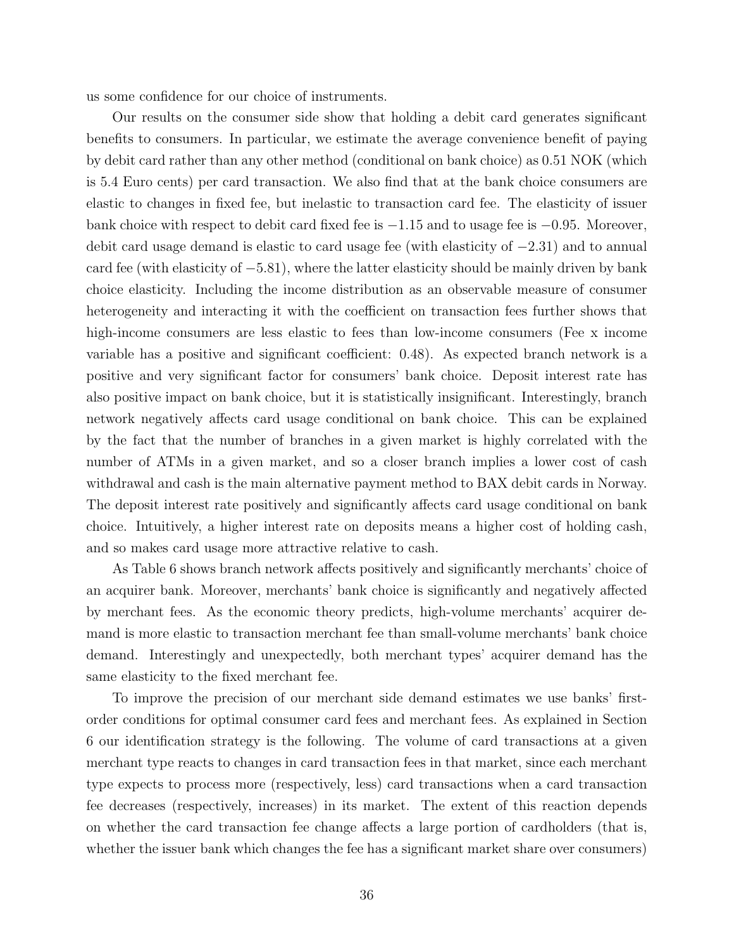us some confidence for our choice of instruments.

Our results on the consumer side show that holding a debit card generates significant benefits to consumers. In particular, we estimate the average convenience benefit of paying by debit card rather than any other method (conditional on bank choice) as 0.51 NOK (which is 5.4 Euro cents) per card transaction. We also find that at the bank choice consumers are elastic to changes in fixed fee, but inelastic to transaction card fee. The elasticity of issuer bank choice with respect to debit card fixed fee is −1.15 and to usage fee is −0.95. Moreover, debit card usage demand is elastic to card usage fee (with elasticity of −2.31) and to annual card fee (with elasticity of  $-5.81$ ), where the latter elasticity should be mainly driven by bank choice elasticity. Including the income distribution as an observable measure of consumer heterogeneity and interacting it with the coefficient on transaction fees further shows that high-income consumers are less elastic to fees than low-income consumers (Fee x income variable has a positive and significant coefficient: 0.48). As expected branch network is a positive and very significant factor for consumers' bank choice. Deposit interest rate has also positive impact on bank choice, but it is statistically insignificant. Interestingly, branch network negatively affects card usage conditional on bank choice. This can be explained by the fact that the number of branches in a given market is highly correlated with the number of ATMs in a given market, and so a closer branch implies a lower cost of cash withdrawal and cash is the main alternative payment method to BAX debit cards in Norway. The deposit interest rate positively and significantly affects card usage conditional on bank choice. Intuitively, a higher interest rate on deposits means a higher cost of holding cash, and so makes card usage more attractive relative to cash.

As Table 6 shows branch network affects positively and significantly merchants' choice of an acquirer bank. Moreover, merchants' bank choice is significantly and negatively affected by merchant fees. As the economic theory predicts, high-volume merchants' acquirer demand is more elastic to transaction merchant fee than small-volume merchants' bank choice demand. Interestingly and unexpectedly, both merchant types' acquirer demand has the same elasticity to the fixed merchant fee.

To improve the precision of our merchant side demand estimates we use banks' firstorder conditions for optimal consumer card fees and merchant fees. As explained in Section 6 our identification strategy is the following. The volume of card transactions at a given merchant type reacts to changes in card transaction fees in that market, since each merchant type expects to process more (respectively, less) card transactions when a card transaction fee decreases (respectively, increases) in its market. The extent of this reaction depends on whether the card transaction fee change affects a large portion of cardholders (that is, whether the issuer bank which changes the fee has a significant market share over consumers)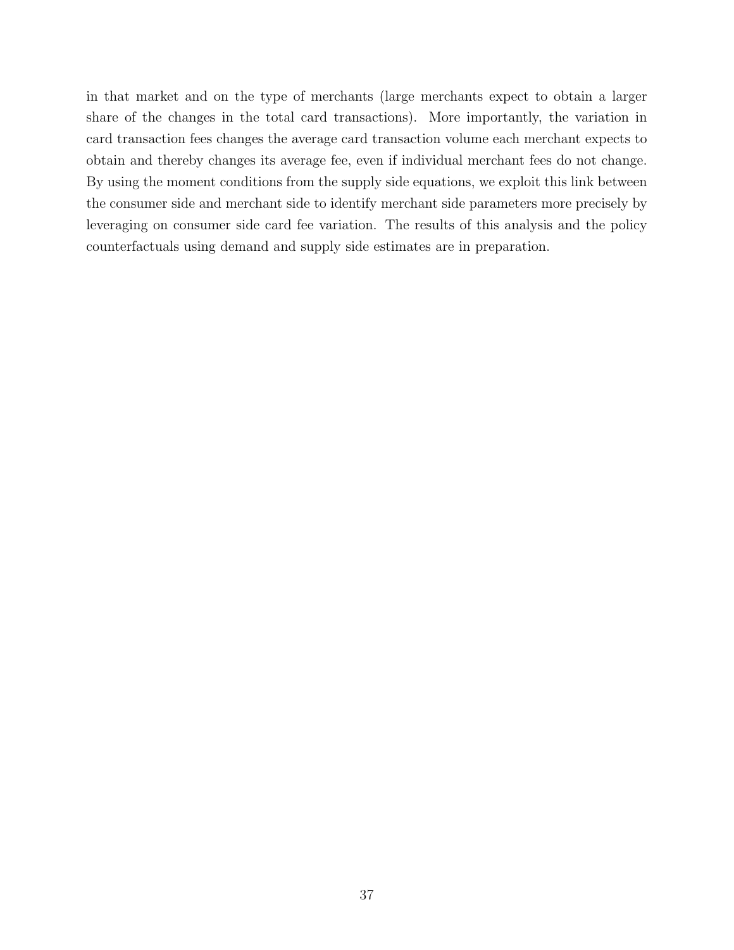in that market and on the type of merchants (large merchants expect to obtain a larger share of the changes in the total card transactions). More importantly, the variation in card transaction fees changes the average card transaction volume each merchant expects to obtain and thereby changes its average fee, even if individual merchant fees do not change. By using the moment conditions from the supply side equations, we exploit this link between the consumer side and merchant side to identify merchant side parameters more precisely by leveraging on consumer side card fee variation. The results of this analysis and the policy counterfactuals using demand and supply side estimates are in preparation.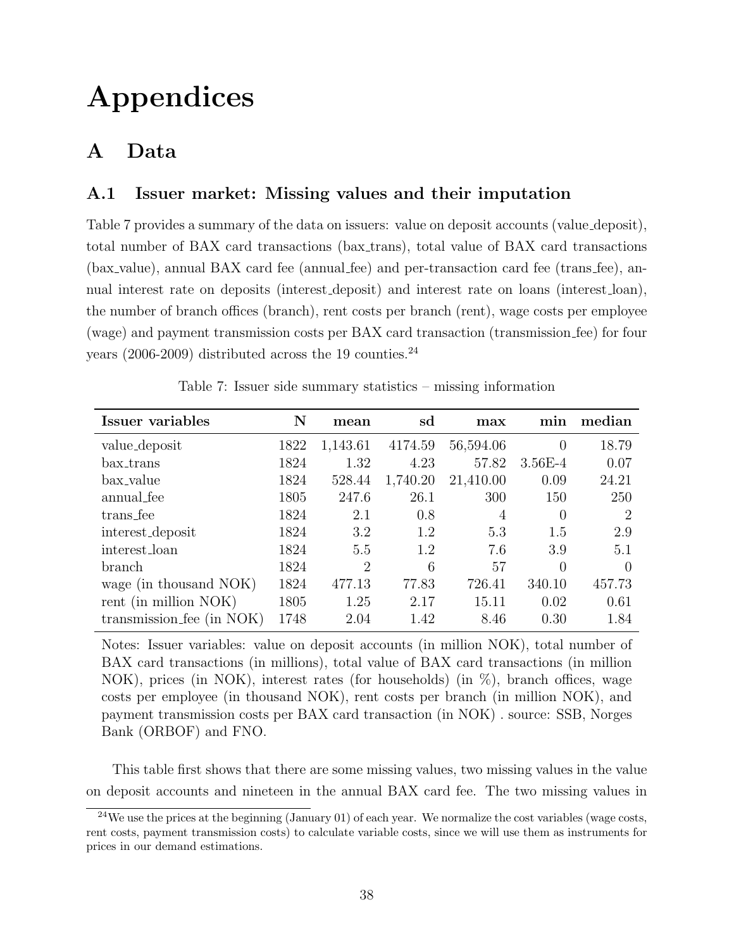# Appendices

## A Data

### A.1 Issuer market: Missing values and their imputation

Table 7 provides a summary of the data on issuers: value on deposit accounts (value deposit), total number of BAX card transactions (bax trans), total value of BAX card transactions (bax value), annual BAX card fee (annual fee) and per-transaction card fee (trans fee), annual interest rate on deposits (interest deposit) and interest rate on loans (interest loan), the number of branch offices (branch), rent costs per branch (rent), wage costs per employee (wage) and payment transmission costs per BAX card transaction (transmission fee) for four years (2006-2009) distributed across the 19 counties. $^{24}$ 

| Issuer variables          | N    | mean           | sd       | max       | min         | median         |
|---------------------------|------|----------------|----------|-----------|-------------|----------------|
| value_deposit             | 1822 | 1,143.61       | 4174.59  | 56,594.06 | 0           | 18.79          |
| bax_trans                 | 1824 | 1.32           | 4.23     | 57.82     | $3.56E - 4$ | 0.07           |
| bax_value                 | 1824 | 528.44         | 1,740.20 | 21,410.00 | 0.09        | 24.21          |
| annual_fee                | 1805 | 247.6          | 26.1     | 300       | 150         | 250            |
| trans_fee                 | 1824 | 2.1            | 0.8      | 4         | $\theta$    | $\overline{2}$ |
| interest_deposit          | 1824 | 3.2            | 1.2      | 5.3       | 1.5         | 2.9            |
| interest_loan             | 1824 | 5.5            | 1.2      | 7.6       | 3.9         | 5.1            |
| branch                    | 1824 | $\overline{2}$ | 6        | 57        | $\Omega$    | $\Omega$       |
| wage (in thousand NOK)    | 1824 | 477.13         | 77.83    | 726.41    | 340.10      | 457.73         |
| rent (in million NOK)     | 1805 | 1.25           | 2.17     | 15.11     | 0.02        | 0.61           |
| transmission_fee (in NOK) | 1748 | 2.04           | 1.42     | 8.46      | 0.30        | 1.84           |

Table 7: Issuer side summary statistics – missing information

Notes: Issuer variables: value on deposit accounts (in million NOK), total number of BAX card transactions (in millions), total value of BAX card transactions (in million NOK), prices (in NOK), interest rates (for households) (in  $\%$ ), branch offices, wage costs per employee (in thousand NOK), rent costs per branch (in million NOK), and payment transmission costs per BAX card transaction (in NOK) . source: SSB, Norges Bank (ORBOF) and FNO.

This table first shows that there are some missing values, two missing values in the value on deposit accounts and nineteen in the annual BAX card fee. The two missing values in

 $^{24}$ We use the prices at the beginning (January 01) of each year. We normalize the cost variables (wage costs, rent costs, payment transmission costs) to calculate variable costs, since we will use them as instruments for prices in our demand estimations.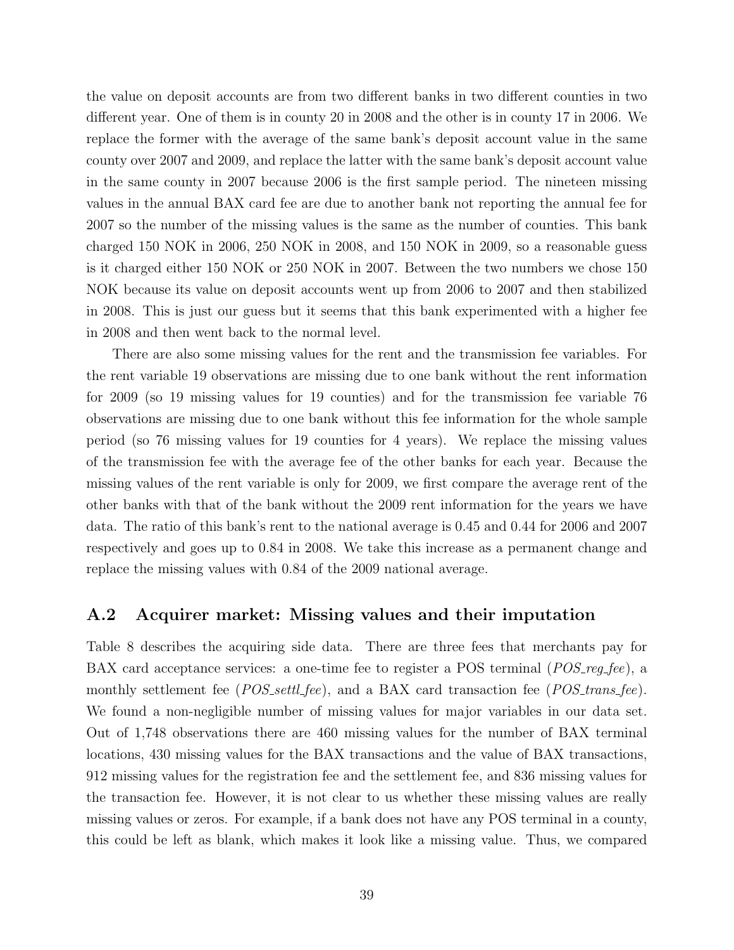the value on deposit accounts are from two different banks in two different counties in two different year. One of them is in county 20 in 2008 and the other is in county 17 in 2006. We replace the former with the average of the same bank's deposit account value in the same county over 2007 and 2009, and replace the latter with the same bank's deposit account value in the same county in 2007 because 2006 is the first sample period. The nineteen missing values in the annual BAX card fee are due to another bank not reporting the annual fee for 2007 so the number of the missing values is the same as the number of counties. This bank charged 150 NOK in 2006, 250 NOK in 2008, and 150 NOK in 2009, so a reasonable guess is it charged either 150 NOK or 250 NOK in 2007. Between the two numbers we chose 150 NOK because its value on deposit accounts went up from 2006 to 2007 and then stabilized in 2008. This is just our guess but it seems that this bank experimented with a higher fee in 2008 and then went back to the normal level.

There are also some missing values for the rent and the transmission fee variables. For the rent variable 19 observations are missing due to one bank without the rent information for 2009 (so 19 missing values for 19 counties) and for the transmission fee variable 76 observations are missing due to one bank without this fee information for the whole sample period (so 76 missing values for 19 counties for 4 years). We replace the missing values of the transmission fee with the average fee of the other banks for each year. Because the missing values of the rent variable is only for 2009, we first compare the average rent of the other banks with that of the bank without the 2009 rent information for the years we have data. The ratio of this bank's rent to the national average is 0.45 and 0.44 for 2006 and 2007 respectively and goes up to 0.84 in 2008. We take this increase as a permanent change and replace the missing values with 0.84 of the 2009 national average.

### A.2 Acquirer market: Missing values and their imputation

Table 8 describes the acquiring side data. There are three fees that merchants pay for BAX card acceptance services: a one-time fee to register a POS terminal (*POS\_reg\_fee*), a monthly settlement fee ( $POS_settl_fee$ ), and a BAX card transaction fee ( $POS_trans_fee$ ). We found a non-negligible number of missing values for major variables in our data set. Out of 1,748 observations there are 460 missing values for the number of BAX terminal locations, 430 missing values for the BAX transactions and the value of BAX transactions, 912 missing values for the registration fee and the settlement fee, and 836 missing values for the transaction fee. However, it is not clear to us whether these missing values are really missing values or zeros. For example, if a bank does not have any POS terminal in a county, this could be left as blank, which makes it look like a missing value. Thus, we compared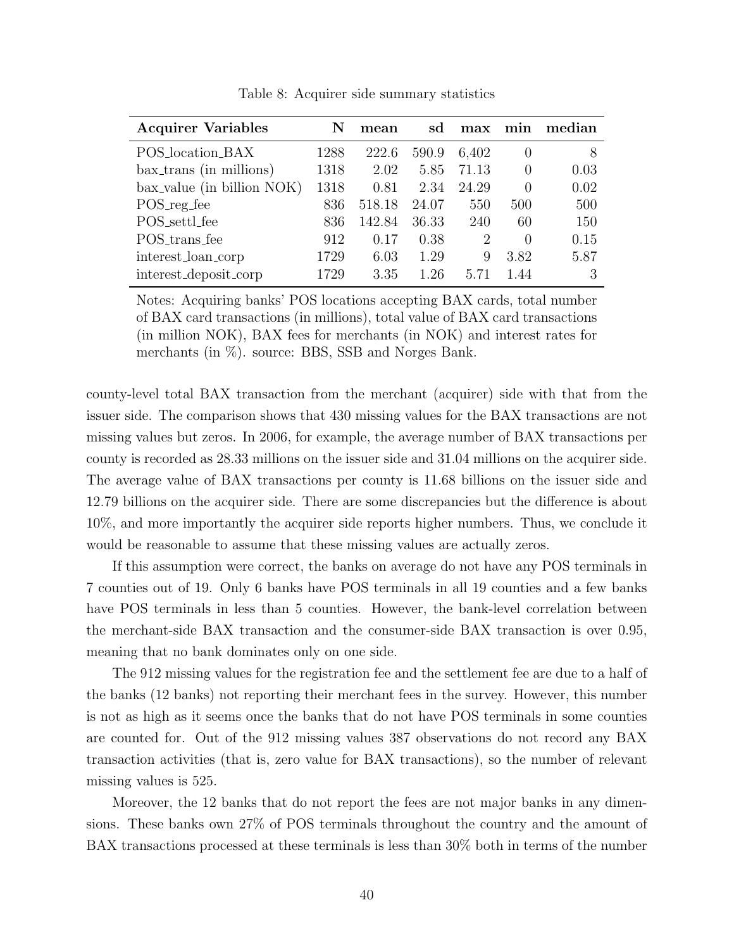| <b>Acquirer Variables</b>  | N    | mean   | sd    | max            | min      | median |
|----------------------------|------|--------|-------|----------------|----------|--------|
| POS_location_BAX           | 1288 | 222.6  | 590.9 | 6,402          | $\theta$ | 8      |
| bax_trans (in millions)    | 1318 | 2.02   | 5.85  | 71.13          | $\Omega$ | 0.03   |
| bax_value (in billion NOK) | 1318 | 0.81   | 2.34  | 24.29          | $\Omega$ | 0.02   |
| POS_reg_fee                | 836  | 518.18 | 24.07 | 550            | 500      | 500    |
| POS_settl_fee              | 836  | 142.84 | 36.33 | 240            | 60       | 150    |
| POS_trans_fee              | 912  | 0.17   | 0.38  | $\overline{2}$ | $\Omega$ | 0.15   |
| interest_loan_corp         | 1729 | 6.03   | 1.29  | 9              | 3.82     | 5.87   |
| interest_deposit_corp      | 1729 | 3.35   | 1.26  | 5.71           | 1.44     | 3      |

Table 8: Acquirer side summary statistics

Notes: Acquiring banks' POS locations accepting BAX cards, total number of BAX card transactions (in millions), total value of BAX card transactions (in million NOK), BAX fees for merchants (in NOK) and interest rates for merchants (in %). source: BBS, SSB and Norges Bank.

county-level total BAX transaction from the merchant (acquirer) side with that from the issuer side. The comparison shows that 430 missing values for the BAX transactions are not missing values but zeros. In 2006, for example, the average number of BAX transactions per county is recorded as 28.33 millions on the issuer side and 31.04 millions on the acquirer side. The average value of BAX transactions per county is 11.68 billions on the issuer side and 12.79 billions on the acquirer side. There are some discrepancies but the difference is about 10%, and more importantly the acquirer side reports higher numbers. Thus, we conclude it would be reasonable to assume that these missing values are actually zeros.

If this assumption were correct, the banks on average do not have any POS terminals in 7 counties out of 19. Only 6 banks have POS terminals in all 19 counties and a few banks have POS terminals in less than 5 counties. However, the bank-level correlation between the merchant-side BAX transaction and the consumer-side BAX transaction is over 0.95, meaning that no bank dominates only on one side.

The 912 missing values for the registration fee and the settlement fee are due to a half of the banks (12 banks) not reporting their merchant fees in the survey. However, this number is not as high as it seems once the banks that do not have POS terminals in some counties are counted for. Out of the 912 missing values 387 observations do not record any BAX transaction activities (that is, zero value for BAX transactions), so the number of relevant missing values is 525.

Moreover, the 12 banks that do not report the fees are not major banks in any dimensions. These banks own 27% of POS terminals throughout the country and the amount of BAX transactions processed at these terminals is less than 30% both in terms of the number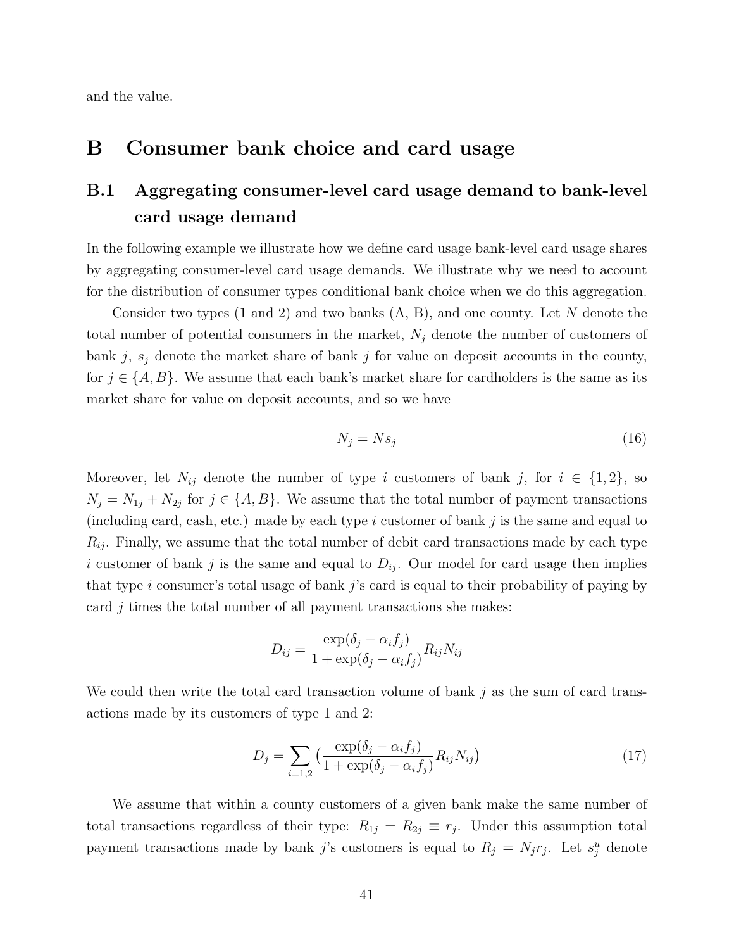and the value.

### B Consumer bank choice and card usage

## B.1 Aggregating consumer-level card usage demand to bank-level card usage demand

In the following example we illustrate how we define card usage bank-level card usage shares by aggregating consumer-level card usage demands. We illustrate why we need to account for the distribution of consumer types conditional bank choice when we do this aggregation.

Consider two types  $(1 \text{ and } 2)$  and two banks  $(A, B)$ , and one county. Let N denote the total number of potential consumers in the market,  $N_j$  denote the number of customers of bank j,  $s_j$  denote the market share of bank j for value on deposit accounts in the county, for  $j \in \{A, B\}$ . We assume that each bank's market share for cardholders is the same as its market share for value on deposit accounts, and so we have

$$
N_j = N s_j \tag{16}
$$

Moreover, let  $N_{ij}$  denote the number of type i customers of bank j, for  $i \in \{1,2\}$ , so  $N_j = N_{1j} + N_{2j}$  for  $j \in \{A, B\}$ . We assume that the total number of payment transactions (including card, cash, etc.) made by each type i customer of bank  $j$  is the same and equal to  $R_{ij}$ . Finally, we assume that the total number of debit card transactions made by each type i customer of bank j is the same and equal to  $D_{ij}$ . Our model for card usage then implies that type  $i$  consumer's total usage of bank  $j$ 's card is equal to their probability of paying by card  $j$  times the total number of all payment transactions she makes:

$$
D_{ij} = \frac{\exp(\delta_j - \alpha_i f_j)}{1 + \exp(\delta_j - \alpha_i f_j)} R_{ij} N_{ij}
$$

We could then write the total card transaction volume of bank  $j$  as the sum of card transactions made by its customers of type 1 and 2:

$$
D_j = \sum_{i=1,2} \left( \frac{\exp(\delta_j - \alpha_i f_j)}{1 + \exp(\delta_j - \alpha_i f_j)} R_{ij} N_{ij} \right)
$$
(17)

We assume that within a county customers of a given bank make the same number of total transactions regardless of their type:  $R_{1j} = R_{2j} \equiv r_j$ . Under this assumption total payment transactions made by bank j's customers is equal to  $R_j = N_j r_j$ . Let  $s_j^u$  denote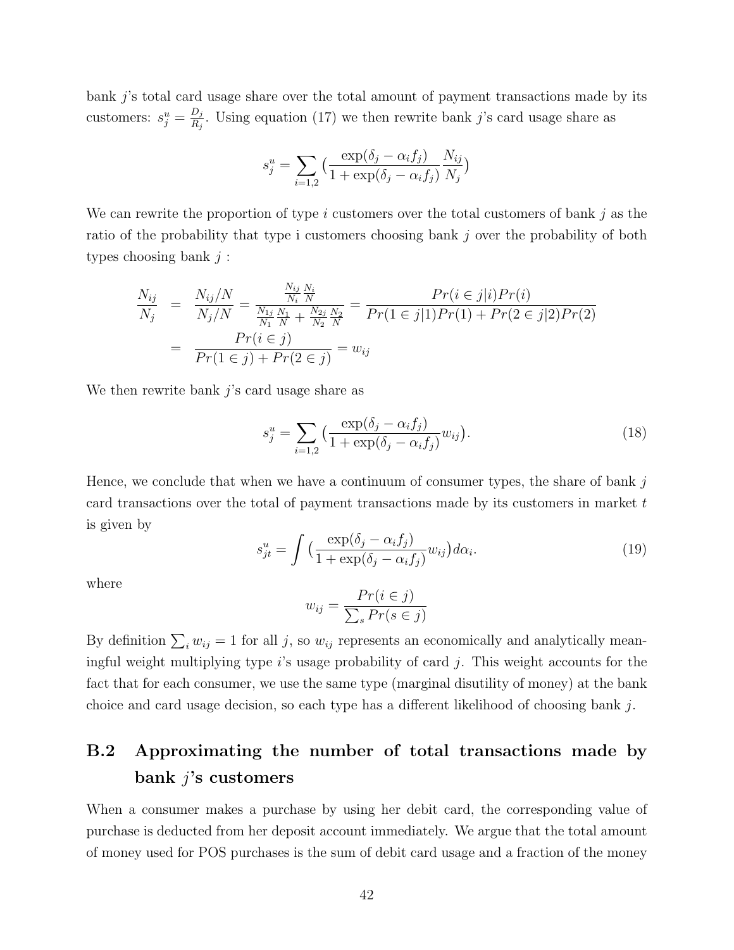bank j's total card usage share over the total amount of payment transactions made by its customers:  $s_j^u = \frac{D_j}{R_i}$  $\frac{D_j}{R_j}$ . Using equation (17) we then rewrite bank j's card usage share as

$$
s_j^u = \sum_{i=1,2} \left( \frac{\exp(\delta_j - \alpha_i f_j)}{1 + \exp(\delta_j - \alpha_i f_j)} \frac{N_{ij}}{N_j} \right)
$$

We can rewrite the proportion of type  $i$  customers over the total customers of bank  $j$  as the ratio of the probability that type i customers choosing bank j over the probability of both types choosing bank  $j$ :

$$
\frac{N_{ij}}{N_j} = \frac{N_{ij}/N}{N_j/N} = \frac{\frac{N_{ij}}{N_i} \frac{N_i}{N}}{\frac{N_{1j}}{N_1} \frac{N_1}{N} + \frac{N_{2j}}{N_2} \frac{N_2}{N}} = \frac{Pr(i \in j|i)Pr(i)}{Pr(1 \in j|1)Pr(1) + Pr(2 \in j|2)Pr(2)}
$$
\n
$$
= \frac{Pr(i \in j)}{Pr(1 \in j) + Pr(2 \in j)} = w_{ij}
$$

We then rewrite bank  $j$ 's card usage share as

$$
s_j^u = \sum_{i=1,2} \left( \frac{\exp(\delta_j - \alpha_i f_j)}{1 + \exp(\delta_j - \alpha_i f_j)} w_{ij} \right).
$$
 (18)

Hence, we conclude that when we have a continuum of consumer types, the share of bank  $j$ card transactions over the total of payment transactions made by its customers in market t is given by

$$
s_{jt}^{u} = \int \left(\frac{\exp(\delta_j - \alpha_i f_j)}{1 + \exp(\delta_j - \alpha_i f_j)} w_{ij}\right) d\alpha_i.
$$
 (19)

where

$$
w_{ij} = \frac{Pr(i \in j)}{\sum_{s} Pr(s \in j)}
$$

By definition  $\sum_i w_{ij} = 1$  for all j, so  $w_{ij}$  represents an economically and analytically meaningful weight multiplying type  $i$ 's usage probability of card  $j$ . This weight accounts for the fact that for each consumer, we use the same type (marginal disutility of money) at the bank choice and card usage decision, so each type has a different likelihood of choosing bank j.

## B.2 Approximating the number of total transactions made by bank j's customers

When a consumer makes a purchase by using her debit card, the corresponding value of purchase is deducted from her deposit account immediately. We argue that the total amount of money used for POS purchases is the sum of debit card usage and a fraction of the money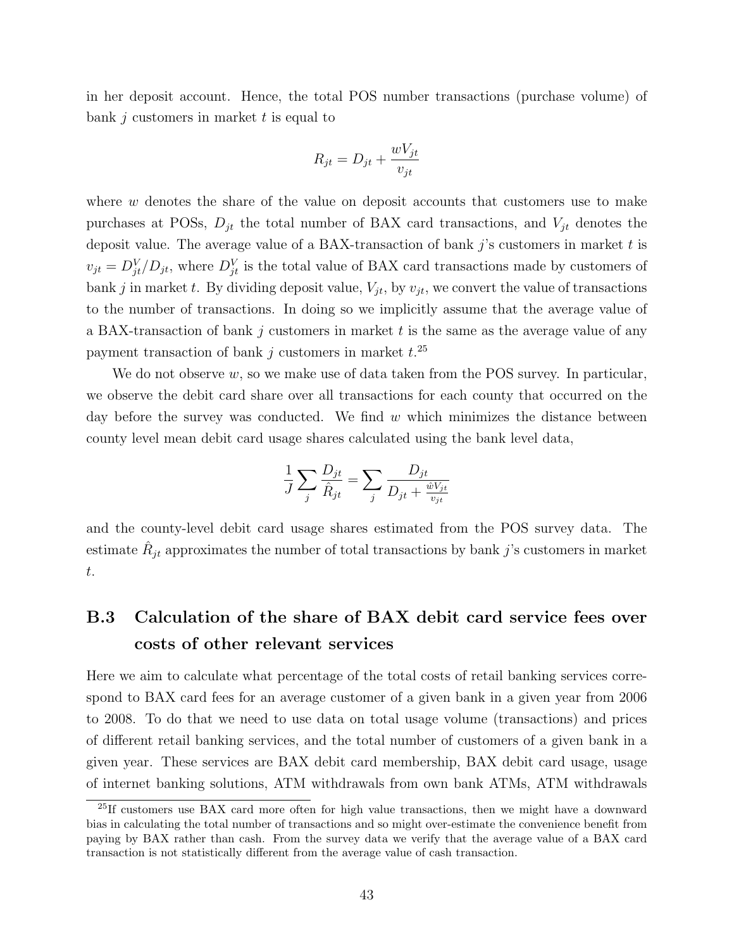in her deposit account. Hence, the total POS number transactions (purchase volume) of bank  $j$  customers in market  $t$  is equal to

$$
R_{jt} = D_{jt} + \frac{wV_{jt}}{v_{jt}}
$$

where w denotes the share of the value on deposit accounts that customers use to make purchases at POSs,  $D_{it}$  the total number of BAX card transactions, and  $V_{it}$  denotes the deposit value. The average value of a BAX-transaction of bank  $j$ 's customers in market  $t$  is  $v_{jt} = D_{jt}^V/D_{jt}$ , where  $D_{jt}^V$  is the total value of BAX card transactions made by customers of bank j in market t. By dividing deposit value,  $V_{jt}$ , by  $v_{jt}$ , we convert the value of transactions to the number of transactions. In doing so we implicitly assume that the average value of a BAX-transaction of bank j customers in market t is the same as the average value of any payment transaction of bank j customers in market  $t.^{25}$ 

We do not observe  $w$ , so we make use of data taken from the POS survey. In particular, we observe the debit card share over all transactions for each county that occurred on the day before the survey was conducted. We find  $w$  which minimizes the distance between county level mean debit card usage shares calculated using the bank level data,

$$
\frac{1}{J} \sum_{j} \frac{D_{jt}}{\hat{R}_{jt}} = \sum_{j} \frac{D_{jt}}{D_{jt} + \frac{\hat{w}V_{jt}}{v_{jt}}}
$$

and the county-level debit card usage shares estimated from the POS survey data. The estimate  $\hat{R}_{jt}$  approximates the number of total transactions by bank j's customers in market t.

## B.3 Calculation of the share of BAX debit card service fees over costs of other relevant services

Here we aim to calculate what percentage of the total costs of retail banking services correspond to BAX card fees for an average customer of a given bank in a given year from 2006 to 2008. To do that we need to use data on total usage volume (transactions) and prices of different retail banking services, and the total number of customers of a given bank in a given year. These services are BAX debit card membership, BAX debit card usage, usage of internet banking solutions, ATM withdrawals from own bank ATMs, ATM withdrawals

<sup>&</sup>lt;sup>25</sup>If customers use BAX card more often for high value transactions, then we might have a downward bias in calculating the total number of transactions and so might over-estimate the convenience benefit from paying by BAX rather than cash. From the survey data we verify that the average value of a BAX card transaction is not statistically different from the average value of cash transaction.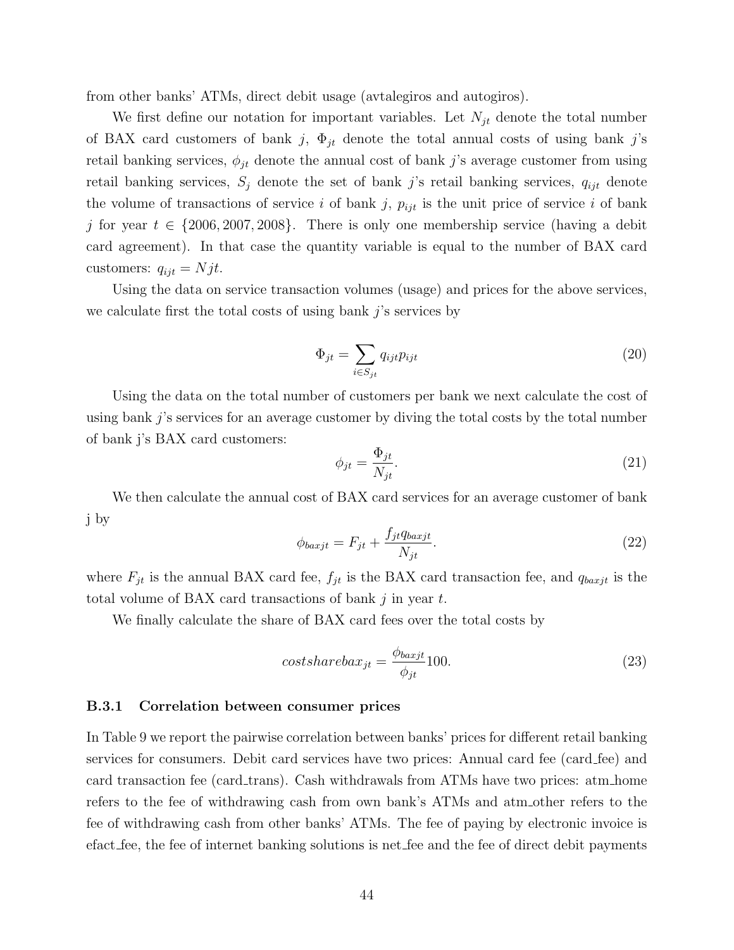from other banks' ATMs, direct debit usage (avtalegiros and autogiros).

We first define our notation for important variables. Let  $N_{it}$  denote the total number of BAX card customers of bank j,  $\Phi_{jt}$  denote the total annual costs of using bank j's retail banking services,  $\phi_{jt}$  denote the annual cost of bank j's average customer from using retail banking services,  $S_j$  denote the set of bank j's retail banking services,  $q_{ijt}$  denote the volume of transactions of service i of bank j,  $p_{ijt}$  is the unit price of service i of bank j for year  $t \in \{2006, 2007, 2008\}$ . There is only one membership service (having a debit card agreement). In that case the quantity variable is equal to the number of BAX card customers:  $q_{ijt} = N j t$ .

Using the data on service transaction volumes (usage) and prices for the above services, we calculate first the total costs of using bank  $j$ 's services by

$$
\Phi_{jt} = \sum_{i \in S_{jt}} q_{ijt} p_{ijt} \tag{20}
$$

Using the data on the total number of customers per bank we next calculate the cost of using bank j's services for an average customer by diving the total costs by the total number of bank j's BAX card customers:

$$
\phi_{jt} = \frac{\Phi_{jt}}{N_{jt}}.\tag{21}
$$

We then calculate the annual cost of BAX card services for an average customer of bank j by

$$
\phi_{baxjt} = F_{jt} + \frac{f_{jt}q_{baxjt}}{N_{jt}}.\tag{22}
$$

where  $F_{jt}$  is the annual BAX card fee,  $f_{jt}$  is the BAX card transaction fee, and  $q_{baxjt}$  is the total volume of BAX card transactions of bank  $j$  in year  $t$ .

We finally calculate the share of BAX card fees over the total costs by

$$
cost sharebax_{jt} = \frac{\phi_{baxjt}}{\phi_{jt}} 100.
$$
\n(23)

#### B.3.1 Correlation between consumer prices

In Table 9 we report the pairwise correlation between banks' prices for different retail banking services for consumers. Debit card services have two prices: Annual card fee (card fee) and card transaction fee (card trans). Cash withdrawals from ATMs have two prices: atm home refers to the fee of withdrawing cash from own bank's ATMs and atm other refers to the fee of withdrawing cash from other banks' ATMs. The fee of paying by electronic invoice is efact fee, the fee of internet banking solutions is net fee and the fee of direct debit payments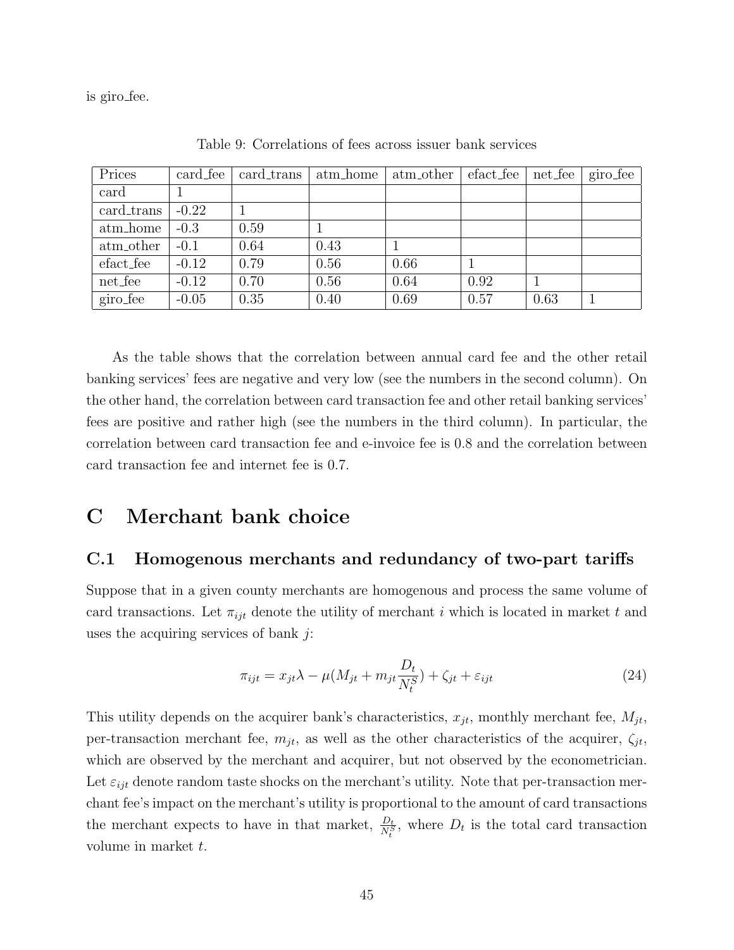is giro fee.

| Prices     | card_fee | card_trans | atm_home | atm_other | $\text{efact\_fee}$ | net_fee | giro_fee |
|------------|----------|------------|----------|-----------|---------------------|---------|----------|
| card       |          |            |          |           |                     |         |          |
| card_trans | $-0.22$  |            |          |           |                     |         |          |
| atm_home   | $-0.3$   | 0.59       |          |           |                     |         |          |
| atm_other  | $-0.1$   | 0.64       | 0.43     |           |                     |         |          |
| efact_fee  | $-0.12$  | 0.79       | 0.56     | 0.66      |                     |         |          |
| net_fee    | $-0.12$  | 0.70       | 0.56     | 0.64      | 0.92                |         |          |
| giro_fee   | $-0.05$  | 0.35       | 0.40     | 0.69      | 0.57                | 0.63    |          |

Table 9: Correlations of fees across issuer bank services

As the table shows that the correlation between annual card fee and the other retail banking services' fees are negative and very low (see the numbers in the second column). On the other hand, the correlation between card transaction fee and other retail banking services' fees are positive and rather high (see the numbers in the third column). In particular, the correlation between card transaction fee and e-invoice fee is 0.8 and the correlation between card transaction fee and internet fee is 0.7.

## C Merchant bank choice

### C.1 Homogenous merchants and redundancy of two-part tariffs

Suppose that in a given county merchants are homogenous and process the same volume of card transactions. Let  $\pi_{ijt}$  denote the utility of merchant i which is located in market t and uses the acquiring services of bank  $j$ :

$$
\pi_{ijt} = x_{jt}\lambda - \mu(M_{jt} + m_{jt}\frac{D_t}{N_t^S}) + \zeta_{jt} + \varepsilon_{ijt}
$$
\n(24)

This utility depends on the acquirer bank's characteristics,  $x_{jt}$ , monthly merchant fee,  $M_{jt}$ , per-transaction merchant fee,  $m_{it}$ , as well as the other characteristics of the acquirer,  $\zeta_{it}$ , which are observed by the merchant and acquirer, but not observed by the econometrician. Let  $\varepsilon_{ijt}$  denote random taste shocks on the merchant's utility. Note that per-transaction merchant fee's impact on the merchant's utility is proportional to the amount of card transactions the merchant expects to have in that market,  $\frac{D_t}{N_t^S}$ , where  $D_t$  is the total card transaction volume in market t.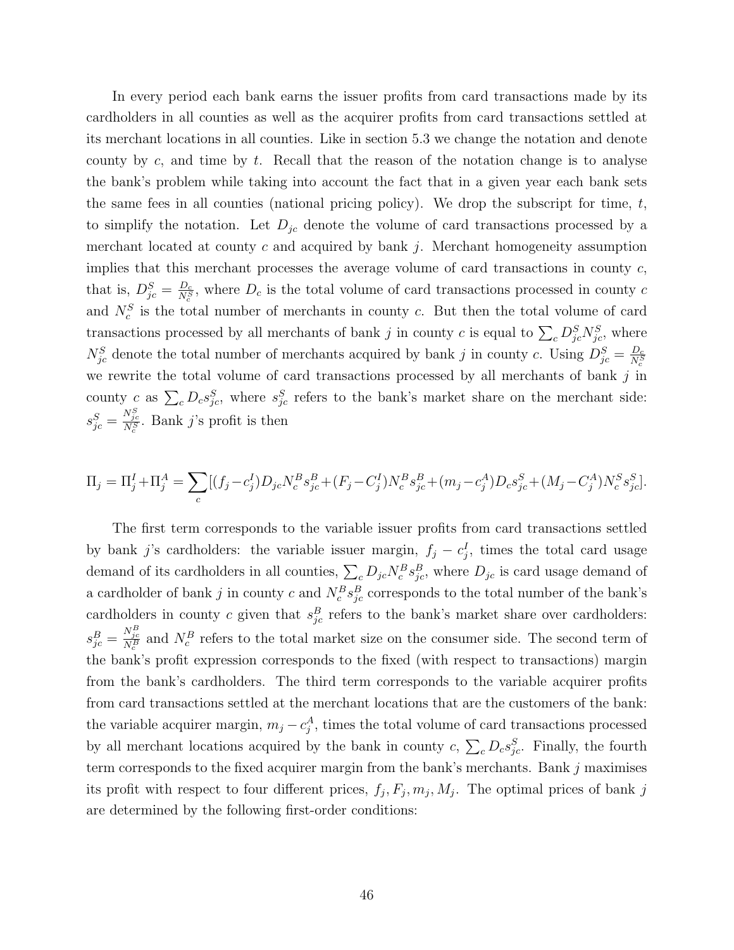In every period each bank earns the issuer profits from card transactions made by its cardholders in all counties as well as the acquirer profits from card transactions settled at its merchant locations in all counties. Like in section 5.3 we change the notation and denote county by  $c$ , and time by  $t$ . Recall that the reason of the notation change is to analyse the bank's problem while taking into account the fact that in a given year each bank sets the same fees in all counties (national pricing policy). We drop the subscript for time,  $t$ , to simplify the notation. Let  $D_{jc}$  denote the volume of card transactions processed by a merchant located at county  $c$  and acquired by bank  $j$ . Merchant homogeneity assumption implies that this merchant processes the average volume of card transactions in county  $c$ , that is,  $D_{jc}^S = \frac{D_c}{N_c^S}$  $\frac{D_c}{N_c^S}$ , where  $D_c$  is the total volume of card transactions processed in county c and  $N_c^S$  is the total number of merchants in county c. But then the total volume of card transactions processed by all merchants of bank j in county c is equal to  $\sum_c D_{jc}^S N_{jc}^S$ , where  $N_{jc}^S$  denote the total number of merchants acquired by bank j in county c. Using  $D_{jc}^S = \frac{D_c}{N_s^S}$  $N_c^S$ we rewrite the total volume of card transactions processed by all merchants of bank  $j$  in county c as  $\sum_{c} D_c s_{jc}^S$ , where  $s_{jc}^S$  refers to the bank's market share on the merchant side:  $s_{jc}^S = \frac{N_{jc}^S}{N_c^S}$ . Bank j's profit is then

$$
\Pi_j = \Pi_j^I + \Pi_j^A = \sum_c [(f_j - c_j^I)D_{jc}N_c^B s_{jc}^B + (F_j - C_j^I)N_c^B s_{jc}^B + (m_j - c_j^A)D_c s_{jc}^S + (M_j - C_j^A)N_c^S s_{jc}^S].
$$

The first term corresponds to the variable issuer profits from card transactions settled by bank j's cardholders: the variable issuer margin,  $f_j - c_j^I$ , times the total card usage demand of its cardholders in all counties,  $\sum_{c} D_{jc} N_c^B s_{jc}^B$ , where  $D_{jc}$  is card usage demand of a cardholder of bank j in county c and  $N_c^B s_{jc}^B$  corresponds to the total number of the bank's cardholders in county c given that  $s_{jc}^B$  refers to the bank's market share over cardholders:  $s_{jc}^{B} = \frac{N_{jc}^{B}}{N_c^{B}}$  and  $N_c^{B}$  refers to the total market size on the consumer side. The second term of the bank's profit expression corresponds to the fixed (with respect to transactions) margin from the bank's cardholders. The third term corresponds to the variable acquirer profits from card transactions settled at the merchant locations that are the customers of the bank: the variable acquirer margin,  $m_j - c_j^A$ , times the total volume of card transactions processed by all merchant locations acquired by the bank in county c,  $\sum_{c} D_c s_{jc}^S$ . Finally, the fourth term corresponds to the fixed acquirer margin from the bank's merchants. Bank  $j$  maximises its profit with respect to four different prices,  $f_j, F_j, m_j, M_j$ . The optimal prices of bank j are determined by the following first-order conditions: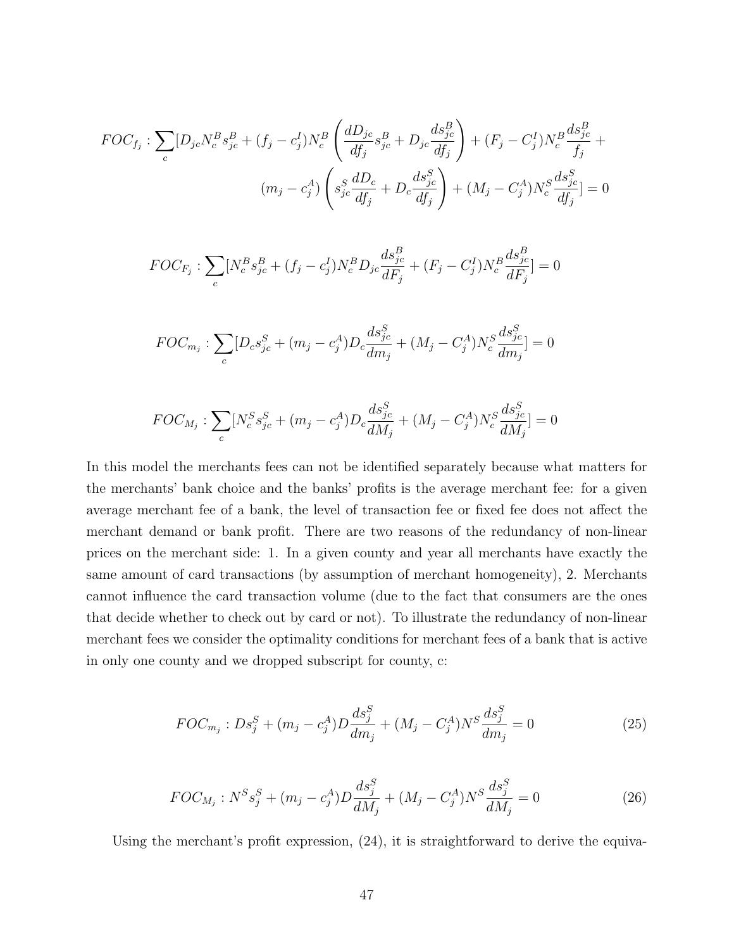$$
FOC_{f_j} : \sum_{c} [D_{jc} N_c^B s_{jc}^B + (f_j - c_j^I) N_c^B \left( \frac{dD_{jc}}{df_j} s_{jc}^B + D_{jc} \frac{ds_{jc}^B}{df_j} \right) + (F_j - C_j^I) N_c^B \frac{ds_{jc}^B}{f_j} + (m_j - c_j^A) \left( s_{jc}^S \frac{dD_c}{df_j} + D_c \frac{ds_{jc}^S}{df_j} \right) + (M_j - C_j^A) N_c^S \frac{ds_{jc}^S}{df_j} = 0
$$

$$
FOC_{F_j} : \sum_c [N_c^B s_{jc}^B + (f_j - c_j^I) N_c^B D_{jc} \frac{ds_{jc}^B}{dF_j} + (F_j - C_j^I) N_c^B \frac{ds_{jc}^B}{dF_j}] = 0
$$

$$
FOC_{m_j} : \sum_c [D_c s_{jc}^S + (m_j - c_j^A) D_c \frac{d s_{jc}^S}{d m_j} + (M_j - C_j^A) N_c^S \frac{d s_{jc}^S}{d m_j}] = 0
$$

$$
FOC_{M_j} : \sum_c [N_c^S s_{jc}^S + (m_j - c_j^A)D_c \frac{ds_{jc}^S}{dM_j} + (M_j - C_j^A)N_c^S \frac{ds_{jc}^S}{dM_j}] = 0
$$

In this model the merchants fees can not be identified separately because what matters for the merchants' bank choice and the banks' profits is the average merchant fee: for a given average merchant fee of a bank, the level of transaction fee or fixed fee does not affect the merchant demand or bank profit. There are two reasons of the redundancy of non-linear prices on the merchant side: 1. In a given county and year all merchants have exactly the same amount of card transactions (by assumption of merchant homogeneity), 2. Merchants cannot influence the card transaction volume (due to the fact that consumers are the ones that decide whether to check out by card or not). To illustrate the redundancy of non-linear merchant fees we consider the optimality conditions for merchant fees of a bank that is active in only one county and we dropped subscript for county, c:

$$
FOC_{m_j} : D s_j^S + (m_j - c_j^A) D \frac{d s_j^S}{d m_j} + (M_j - C_j^A) N^S \frac{d s_j^S}{d m_j} = 0
$$
\n(25)

$$
FOC_{M_j} : N^S s_j^S + (m_j - c_j^A) D \frac{d s_j^S}{d M_j} + (M_j - C_j^A) N^S \frac{d s_j^S}{d M_j} = 0
$$
\n(26)

Using the merchant's profit expression, (24), it is straightforward to derive the equiva-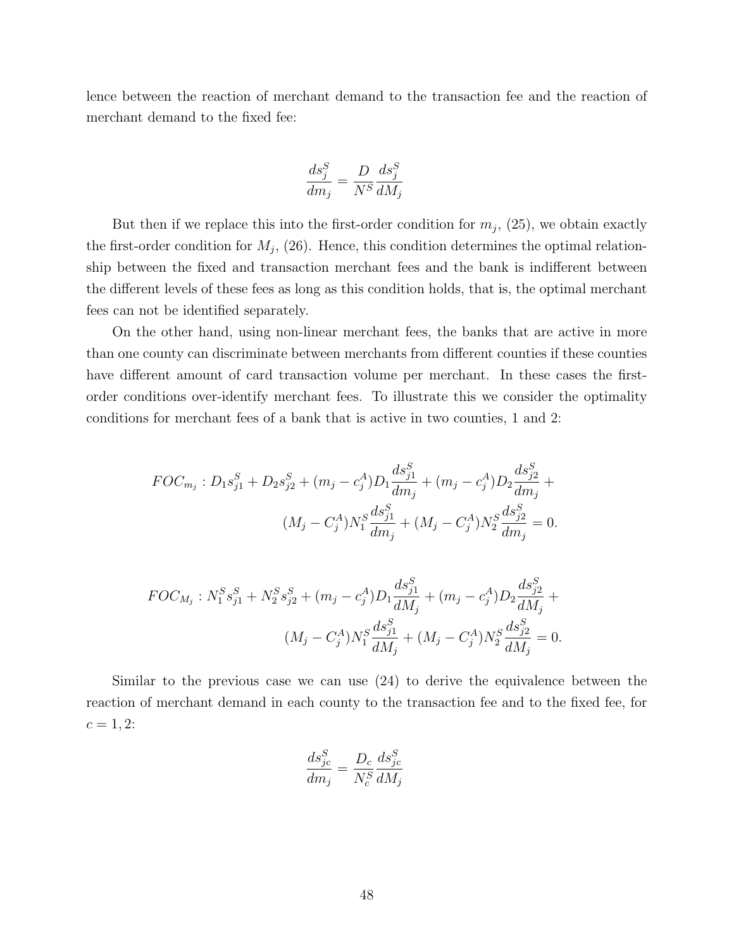lence between the reaction of merchant demand to the transaction fee and the reaction of merchant demand to the fixed fee:

$$
\frac{ds_j^S}{dm_j} = \frac{D}{N^S} \frac{ds_j^S}{dM_j}
$$

But then if we replace this into the first-order condition for  $m_j$ , (25), we obtain exactly the first-order condition for  $M_j$ , (26). Hence, this condition determines the optimal relationship between the fixed and transaction merchant fees and the bank is indifferent between the different levels of these fees as long as this condition holds, that is, the optimal merchant fees can not be identified separately.

On the other hand, using non-linear merchant fees, the banks that are active in more than one county can discriminate between merchants from different counties if these counties have different amount of card transaction volume per merchant. In these cases the firstorder conditions over-identify merchant fees. To illustrate this we consider the optimality conditions for merchant fees of a bank that is active in two counties, 1 and 2:

$$
FOC_{m_j}: D_1s_{j1}^S + D_2s_{j2}^S + (m_j - c_j^A)D_1 \frac{ds_{j1}^S}{dm_j} + (m_j - c_j^A)D_2 \frac{ds_{j2}^S}{dm_j} + (M_j - C_j^A)N_1^S \frac{ds_{j1}^S}{dm_j} + (M_j - C_j^A)N_2^S \frac{ds_{j2}^S}{dm_j} = 0.
$$

$$
FOC_{M_j} : N_1^S s_{j1}^S + N_2^S s_{j2}^S + (m_j - c_j^A) D_1 \frac{ds_{j1}^S}{dM_j} + (m_j - c_j^A) D_2 \frac{ds_{j2}^S}{dM_j} + (M_j - C_j^A) N_1^S \frac{ds_{j1}^S}{dM_j} + (M_j - C_j^A) N_2^S \frac{ds_{j2}^S}{dM_j} = 0.
$$

Similar to the previous case we can use (24) to derive the equivalence between the reaction of merchant demand in each county to the transaction fee and to the fixed fee, for  $c = 1, 2$ :

$$
\frac{d s_{jc}^S}{d m_j} = \frac{D_c}{N_c^S} \frac{d s_{jc}^S}{d M_j}
$$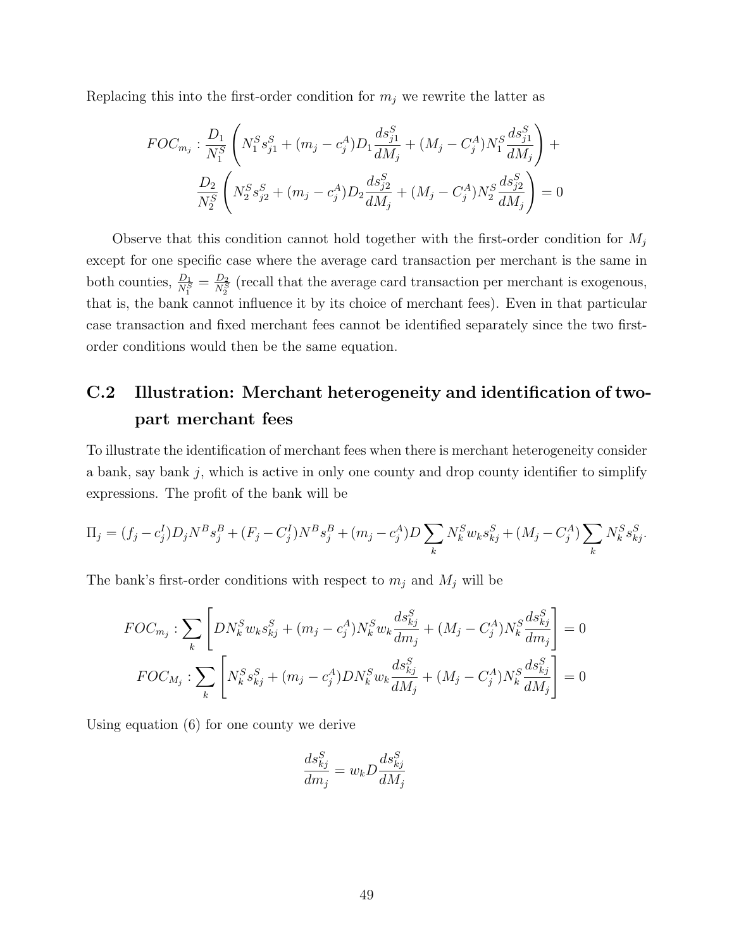Replacing this into the first-order condition for  $m_j$  we rewrite the latter as

$$
FOC_{m_j} : \frac{D_1}{N_1^S} \left( N_1^S s_{j1}^S + (m_j - c_j^A) D_1 \frac{d s_{j1}^S}{d M_j} + (M_j - C_j^A) N_1^S \frac{d s_{j1}^S}{d M_j} \right) +
$$
  

$$
\frac{D_2}{N_2^S} \left( N_2^S s_{j2}^S + (m_j - c_j^A) D_2 \frac{d s_{j2}^S}{d M_j} + (M_j - C_j^A) N_2^S \frac{d s_{j2}^S}{d M_j} \right) = 0
$$

Observe that this condition cannot hold together with the first-order condition for  $M_j$ except for one specific case where the average card transaction per merchant is the same in both counties,  $\frac{D_1}{N_1^S} = \frac{D_2}{N_2^S}$  $\frac{D_2}{N_2^S}$  (recall that the average card transaction per merchant is exogenous, that is, the bank cannot influence it by its choice of merchant fees). Even in that particular case transaction and fixed merchant fees cannot be identified separately since the two firstorder conditions would then be the same equation.

## C.2 Illustration: Merchant heterogeneity and identification of twopart merchant fees

To illustrate the identification of merchant fees when there is merchant heterogeneity consider a bank, say bank  $j$ , which is active in only one county and drop county identifier to simplify expressions. The profit of the bank will be

$$
\Pi_j = (f_j - c_j^I)D_j N^B s_j^B + (F_j - C_j^I)N^B s_j^B + (m_j - c_j^A)D \sum_k N_k^S w_k s_{kj}^S + (M_j - C_j^A) \sum_k N_k^S s_{kj}^S.
$$

The bank's first-order conditions with respect to  $m_j$  and  $M_j$  will be

$$
FOC_{m_j} : \sum_{k} \left[ DN_k^S w_k s_{kj}^S + (m_j - c_j^A) N_k^S w_k \frac{ds_{kj}^S}{dm_j} + (M_j - C_j^A) N_k^S \frac{ds_{kj}^S}{dm_j} \right] = 0
$$
  

$$
FOC_{M_j} : \sum_{k} \left[ N_k^S s_{kj}^S + (m_j - c_j^A) DN_k^S w_k \frac{ds_{kj}^S}{dM_j} + (M_j - C_j^A) N_k^S \frac{ds_{kj}^S}{dM_j} \right] = 0
$$

Using equation (6) for one county we derive

$$
\frac{ds_{kj}^S}{dm_j} = w_k D \frac{ds_{kj}^S}{dM_j}
$$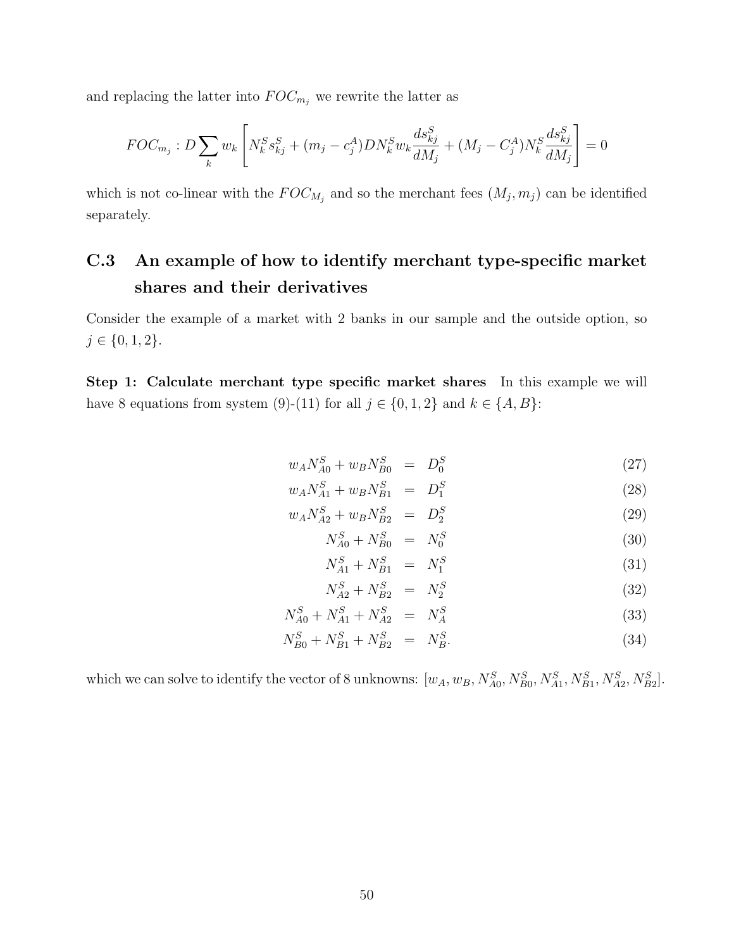and replacing the latter into  $FOC_{m_j}$  we rewrite the latter as

$$
FOC_{m_j} : D \sum_{k} w_k \left[ N_k^S s_{kj}^S + (m_j - c_j^A) D N_k^S w_k \frac{d s_{kj}^S}{d M_j} + (M_j - C_j^A) N_k^S \frac{d s_{kj}^S}{d M_j} \right] = 0
$$

which is not co-linear with the  $FOC_{M_j}$  and so the merchant fees  $(M_j, m_j)$  can be identified separately.

## C.3 An example of how to identify merchant type-specific market shares and their derivatives

Consider the example of a market with 2 banks in our sample and the outside option, so  $j \in \{0, 1, 2\}.$ 

Step 1: Calculate merchant type specific market shares In this example we will have 8 equations from system (9)-(11) for all  $j \in \{0, 1, 2\}$  and  $k \in \{A, B\}$ :

$$
w_A N_{A0}^S + w_B N_{B0}^S = D_0^S \tag{27}
$$

$$
w_A N_{A1}^S + w_B N_{B1}^S = D_1^S \tag{28}
$$

$$
w_A N_{A2}^S + w_B N_{B2}^S = D_2^S \tag{29}
$$

$$
N_{A0}^{S} + N_{B0}^{S} = N_{0}^{S}
$$
 (30)

$$
N_{A1}^S + N_{B1}^S = N_1^S \tag{31}
$$

$$
N_{A2}^S + N_{B2}^S = N_2^S \tag{32}
$$

$$
N_{A0}^S + N_{A1}^S + N_{A2}^S = N_A^S \tag{33}
$$

$$
N_{B0}^S + N_{B1}^S + N_{B2}^S = N_B^S. \tag{34}
$$

which we can solve to identify the vector of 8 unknowns:  $[w_A, w_B, N_{A0}^S, N_{B0}^S, N_{A1}^S, N_{B1}^S, N_{A2}^S, N_{B2}^S]$ .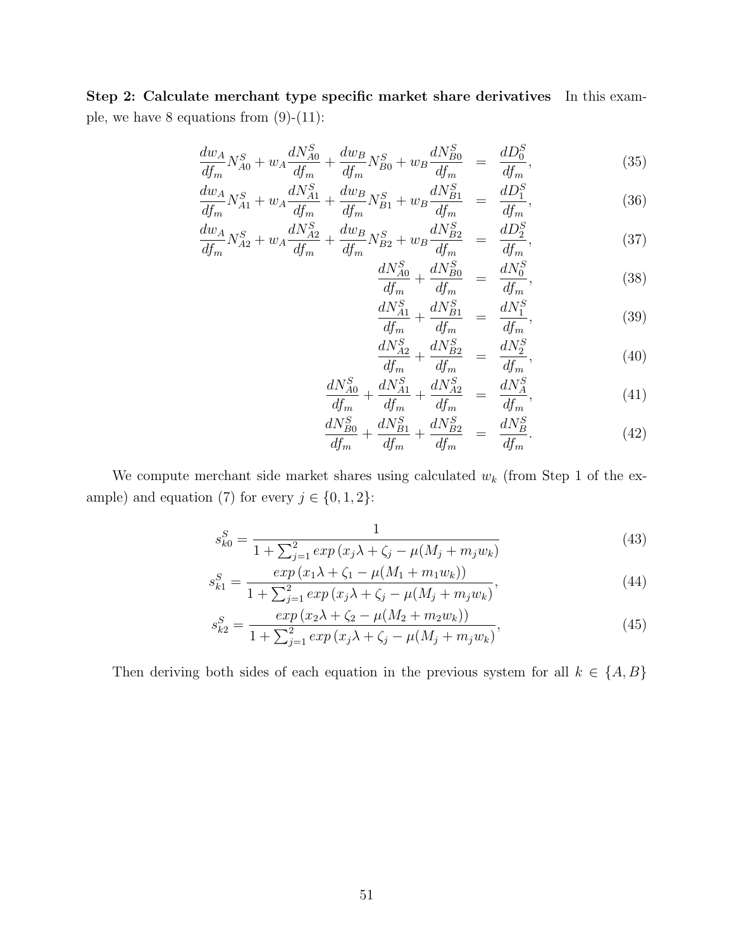Step 2: Calculate merchant type specific market share derivatives In this example, we have 8 equations from  $(9)-(11)$ :

$$
\frac{dw_A}{df_m} N_{A0}^S + w_A \frac{dN_{A0}^S}{df_m} + \frac{dw_B}{df_m} N_{B0}^S + w_B \frac{dN_{B0}^S}{df_m} = \frac{dD_0^S}{df_m},\tag{35}
$$

$$
\frac{dw_A}{df_m} N_{A1}^S + w_A \frac{dN_{A1}^S}{df_m} + \frac{dw_B}{df_m} N_{B1}^S + w_B \frac{dN_{B1}^S}{df_m} = \frac{dD_1^S}{df_m},\tag{36}
$$

$$
\frac{dw_A}{df_m} N_{A2}^S + w_A \frac{dN_{A2}^S}{df_m} + \frac{dw_B}{df_m} N_{B2}^S + w_B \frac{dN_{B2}^S}{df_m} = \frac{dD_2^S}{df_m},\tag{37}
$$

$$
\frac{dN_{A0}^S}{df_m} + \frac{dN_{B0}^S}{df_m} = \frac{dN_0^S}{df_m},\tag{38}
$$

$$
\frac{dN_{A1}^S}{df_m} + \frac{dN_{B1}^S}{df_m} = \frac{dN_1^S}{df_m},
$$
\n(39)

$$
\frac{dN_{A2}^S}{df_m} + \frac{dN_{B2}^S}{df_m} = \frac{dN_2^S}{df_m},
$$
\n(40)

$$
\frac{dN_{A0}^{S}}{df_{m}} + \frac{dN_{A1}^{S}}{df_{m}} + \frac{dN_{A2}^{S}}{df_{m}} = \frac{dN_{A}^{S}}{df_{m}},
$$
\n(41)

$$
\frac{dN_{B0}^S}{df_m} + \frac{dN_{B1}^S}{df_m} + \frac{dN_{B2}^S}{df_m} = \frac{dN_B^S}{df_m}.
$$
\n(42)

We compute merchant side market shares using calculated  $w_k$  (from Step 1 of the example) and equation (7) for every  $j \in \{0,1,2\}$ 

$$
s_{k0}^{S} = \frac{1}{1 + \sum_{j=1}^{2} \exp(x_j \lambda + \zeta_j - \mu(M_j + m_j w_k)}
$$
(43)

$$
s_{k1}^{S} = \frac{\exp(x_1\lambda + \zeta_1 - \mu(M_1 + m_1w_k))}{1 + \sum_{j=1}^{2} \exp(x_j\lambda + \zeta_j - \mu(M_j + m_jw_k)},
$$
(44)

$$
s_{k2}^{S} = \frac{\exp(x_2\lambda + \zeta_2 - \mu(M_2 + m_2 w_k))}{1 + \sum_{j=1}^{2} \exp(x_j\lambda + \zeta_j - \mu(M_j + m_j w_k)},
$$
(45)

Then deriving both sides of each equation in the previous system for all  $k \in \{A, B\}$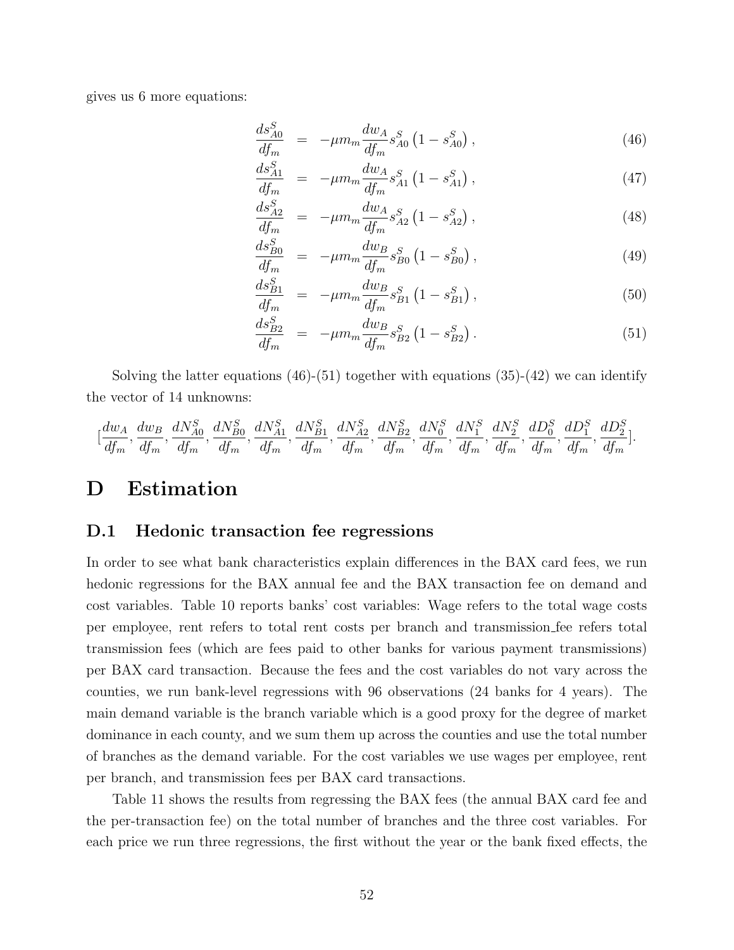gives us 6 more equations:

$$
\frac{ds_{A0}^S}{df_m} = -\mu m_m \frac{dw_A}{df_m} s_{A0}^S \left(1 - s_{A0}^S\right),\tag{46}
$$

$$
\frac{ds_{A1}^S}{df_m} = -\mu m_m \frac{dw_A}{df_m} s_{A1}^S \left(1 - s_{A1}^S\right),\tag{47}
$$

$$
\frac{ds_{A2}^S}{df_m} = -\mu m_m \frac{dw_A}{df_m} s_{A2}^S \left(1 - s_{A2}^S\right),\tag{48}
$$

$$
\frac{ds_{B0}^S}{df_m} = -\mu m_m \frac{dw_B}{df_m} s_{B0}^S \left( 1 - s_{B0}^S \right),\tag{49}
$$

$$
\frac{ds_{B1}^S}{df_m} = -\mu m_m \frac{dw_B}{df_m} s_{B1}^S \left(1 - s_{B1}^S\right),\tag{50}
$$

$$
\frac{ds_{B2}^S}{df_m} = -\mu m_m \frac{dw_B}{df_m} s_{B2}^S \left( 1 - s_{B2}^S \right). \tag{51}
$$

Solving the latter equations  $(46)-(51)$  together with equations  $(35)-(42)$  we can identify the vector of 14 unknowns:

$$
[\frac{dw_A}{df_m},\frac{dw_B}{df_m},\frac{dN_{A0}^S}{df_m},\frac{dN_{B0}^S}{df_m},\frac{dN_{A1}^S}{df_m},\frac{dN_{B1}^S}{df_m},\frac{dN_{A2}^S}{df_m},\frac{dN_{B2}^S}{df_m},\frac{dN_0^S}{df_m},\frac{dN_1^S}{df_m},\frac{dN_2^S}{df_m},\frac{dD_0^S}{df_m},\frac{dD_1^S}{df_m},\frac{dD_2^S}{df_m}].
$$

### D Estimation

#### D.1 Hedonic transaction fee regressions

In order to see what bank characteristics explain differences in the BAX card fees, we run hedonic regressions for the BAX annual fee and the BAX transaction fee on demand and cost variables. Table 10 reports banks' cost variables: Wage refers to the total wage costs per employee, rent refers to total rent costs per branch and transmission fee refers total transmission fees (which are fees paid to other banks for various payment transmissions) per BAX card transaction. Because the fees and the cost variables do not vary across the counties, we run bank-level regressions with 96 observations (24 banks for 4 years). The main demand variable is the branch variable which is a good proxy for the degree of market dominance in each county, and we sum them up across the counties and use the total number of branches as the demand variable. For the cost variables we use wages per employee, rent per branch, and transmission fees per BAX card transactions.

Table 11 shows the results from regressing the BAX fees (the annual BAX card fee and the per-transaction fee) on the total number of branches and the three cost variables. For each price we run three regressions, the first without the year or the bank fixed effects, the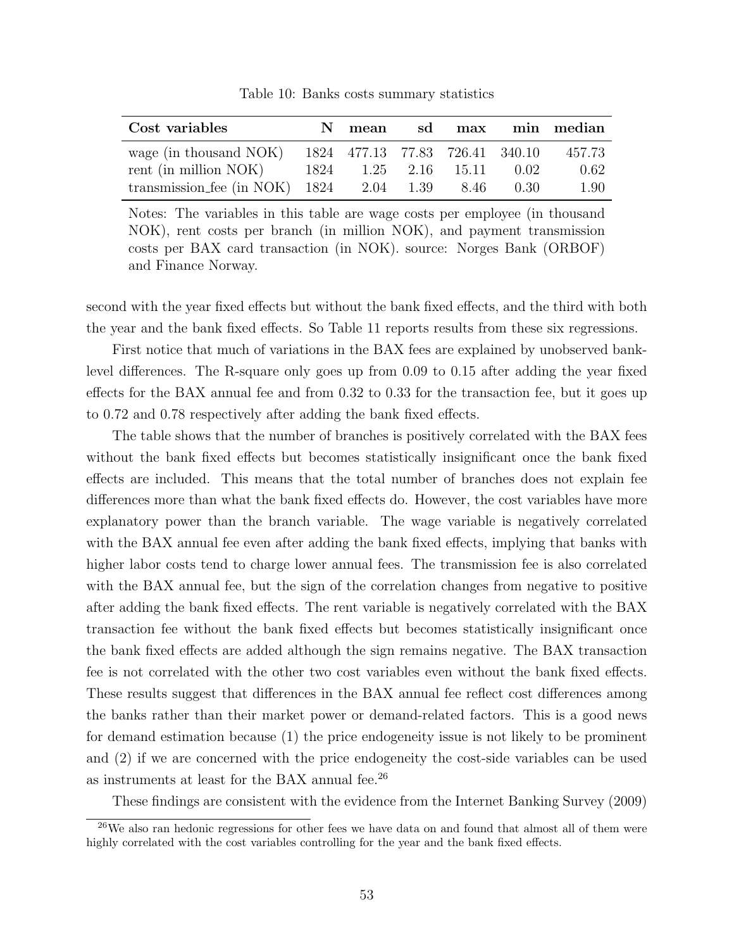| Cost variables                                                |  |  | N mean sd max min median |
|---------------------------------------------------------------|--|--|--------------------------|
| wage (in thousand NOK) 1824 477.13 77.83 726.41 340.10 457.73 |  |  |                          |
| rent (in million NOK) 1824 1.25 2.16 15.11 0.02               |  |  | 0.62                     |
| transmission_fee (in NOK) $1824$ $2.04$ $1.39$ $8.46$ $0.30$  |  |  | 1.90                     |

Table 10: Banks costs summary statistics

Notes: The variables in this table are wage costs per employee (in thousand NOK), rent costs per branch (in million NOK), and payment transmission costs per BAX card transaction (in NOK). source: Norges Bank (ORBOF) and Finance Norway.

second with the year fixed effects but without the bank fixed effects, and the third with both the year and the bank fixed effects. So Table 11 reports results from these six regressions.

First notice that much of variations in the BAX fees are explained by unobserved banklevel differences. The R-square only goes up from 0.09 to 0.15 after adding the year fixed effects for the BAX annual fee and from 0.32 to 0.33 for the transaction fee, but it goes up to 0.72 and 0.78 respectively after adding the bank fixed effects.

The table shows that the number of branches is positively correlated with the BAX fees without the bank fixed effects but becomes statistically insignificant once the bank fixed effects are included. This means that the total number of branches does not explain fee differences more than what the bank fixed effects do. However, the cost variables have more explanatory power than the branch variable. The wage variable is negatively correlated with the BAX annual fee even after adding the bank fixed effects, implying that banks with higher labor costs tend to charge lower annual fees. The transmission fee is also correlated with the BAX annual fee, but the sign of the correlation changes from negative to positive after adding the bank fixed effects. The rent variable is negatively correlated with the BAX transaction fee without the bank fixed effects but becomes statistically insignificant once the bank fixed effects are added although the sign remains negative. The BAX transaction fee is not correlated with the other two cost variables even without the bank fixed effects. These results suggest that differences in the BAX annual fee reflect cost differences among the banks rather than their market power or demand-related factors. This is a good news for demand estimation because (1) the price endogeneity issue is not likely to be prominent and (2) if we are concerned with the price endogeneity the cost-side variables can be used as instruments at least for the BAX annual fee.<sup>26</sup>

These findings are consistent with the evidence from the Internet Banking Survey (2009)

<sup>&</sup>lt;sup>26</sup>We also ran hedonic regressions for other fees we have data on and found that almost all of them were highly correlated with the cost variables controlling for the year and the bank fixed effects.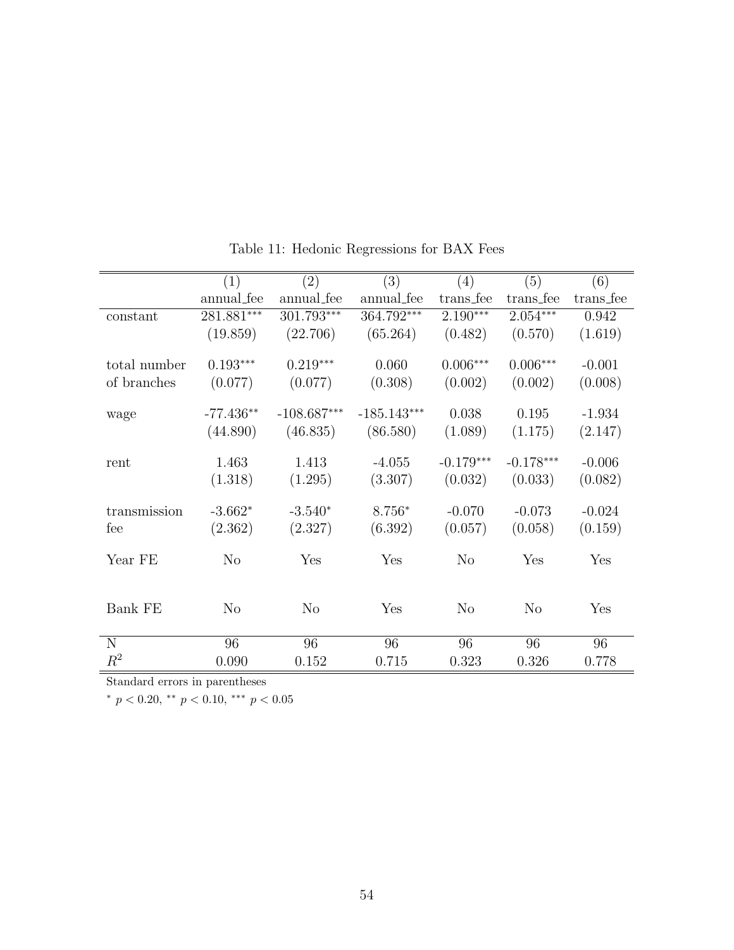|              | (1)            | (2)           | (3)           | (4)            | (5)            | (6)                  |
|--------------|----------------|---------------|---------------|----------------|----------------|----------------------|
|              | annual_fee     | annual fee    | annual_fee    | trans_fee      | trans_fee      | trans_fee            |
| constant     | $281.881***$   | $301.793***$  | 364.792***    | $2.190***$     | $2.054***$     | 0.942                |
|              | (19.859)       | (22.706)      | (65.264)      | (0.482)        | (0.570)        | (1.619)              |
|              |                |               |               |                |                |                      |
| total number | $0.193***$     | $0.219***$    | 0.060         | $0.006***$     | $0.006***$     | $-0.001$             |
| of branches  | (0.077)        | (0.077)       | (0.308)       | (0.002)        | (0.002)        | (0.008)              |
| wage         | $-77.436**$    | $-108.687***$ | $-185.143***$ | 0.038          | 0.195          | $-1.934$             |
|              | (44.890)       | (46.835)      | (86.580)      | (1.089)        | (1.175)        | (2.147)              |
|              |                |               |               |                |                |                      |
| rent         | 1.463          | 1.413         | $-4.055$      | $-0.179***$    | $-0.178***$    | $-0.006$             |
|              | (1.318)        | (1.295)       | (3.307)       | (0.032)        | (0.033)        | (0.082)              |
| transmission | $-3.662*$      | $-3.540*$     | 8.756*        | $-0.070$       | $-0.073$       | $-0.024$             |
| fee          | (2.362)        | (2.327)       | (6.392)       | (0.057)        | (0.058)        | (0.159)              |
|              |                |               |               |                |                |                      |
| Year FE      | N <sub>o</sub> | Yes           | Yes           | N <sub>o</sub> | Yes            | Yes                  |
|              |                |               |               |                |                |                      |
|              |                |               |               |                |                |                      |
| Bank FE      | $\rm No$       | $\rm No$      | Yes           | N <sub>o</sub> | N <sub>o</sub> | $\operatorname{Yes}$ |
| N            | 96             | 96            | 96            | 96             | 96             | 96                   |
| $R^2$        | 0.090          | 0.152         | 0.715         | 0.323          | 0.326          | 0.778                |
|              |                |               |               |                |                |                      |

Table 11: Hedonic Regressions for BAX Fees

Standard errors in parentheses

\*  $p < 0.20$ , \*\*  $p < 0.10$ , \*\*\*  $p < 0.05$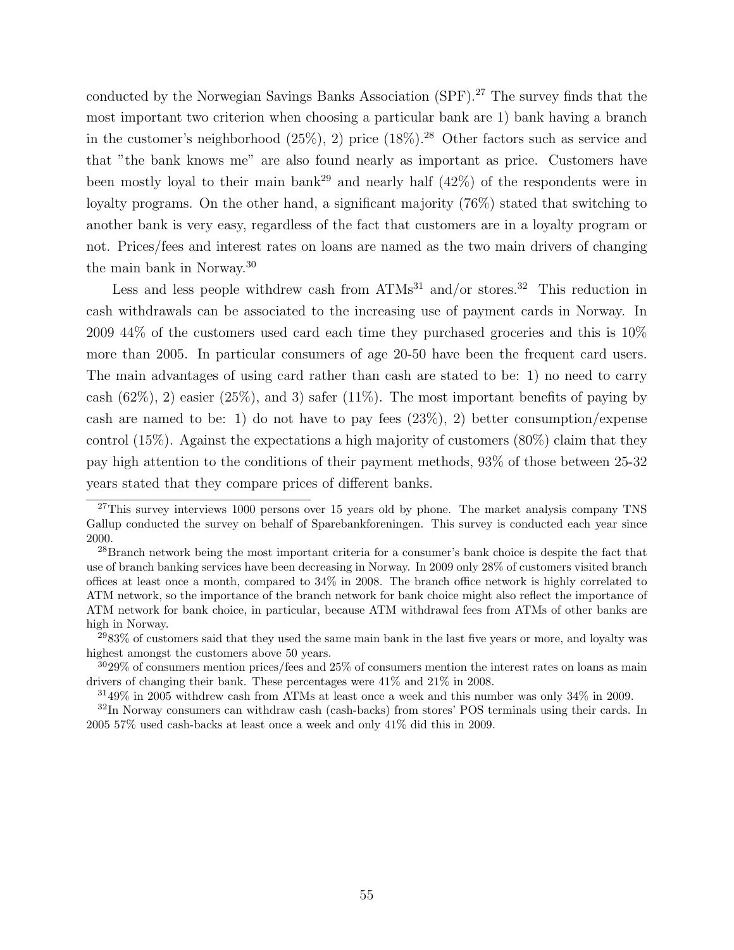conducted by the Norwegian Savings Banks Association (SPF).<sup>27</sup> The survey finds that the most important two criterion when choosing a particular bank are 1) bank having a branch in the customer's neighborhood  $(25\%)$ , 2) price  $(18\%)$ .<sup>28</sup> Other factors such as service and that "the bank knows me" are also found nearly as important as price. Customers have been mostly loyal to their main bank<sup>29</sup> and nearly half  $(42\%)$  of the respondents were in loyalty programs. On the other hand, a significant majority (76%) stated that switching to another bank is very easy, regardless of the fact that customers are in a loyalty program or not. Prices/fees and interest rates on loans are named as the two main drivers of changing the main bank in Norway.<sup>30</sup>

Less and less people withdrew cash from  $ATMs^{31}$  and/or stores.<sup>32</sup> This reduction in cash withdrawals can be associated to the increasing use of payment cards in Norway. In 2009 44% of the customers used card each time they purchased groceries and this is 10% more than 2005. In particular consumers of age 20-50 have been the frequent card users. The main advantages of using card rather than cash are stated to be: 1) no need to carry cash  $(62\%)$ , 2) easier  $(25\%)$ , and 3) safer  $(11\%)$ . The most important benefits of paying by cash are named to be: 1) do not have to pay fees  $(23\%)$ , 2) better consumption/expense control (15%). Against the expectations a high majority of customers (80%) claim that they pay high attention to the conditions of their payment methods, 93% of those between 25-32 years stated that they compare prices of different banks.

 $27$ This survey interviews 1000 persons over 15 years old by phone. The market analysis company TNS Gallup conducted the survey on behalf of Sparebankforeningen. This survey is conducted each year since 2000.

<sup>&</sup>lt;sup>28</sup>Branch network being the most important criteria for a consumer's bank choice is despite the fact that use of branch banking services have been decreasing in Norway. In 2009 only 28% of customers visited branch offices at least once a month, compared to 34% in 2008. The branch office network is highly correlated to ATM network, so the importance of the branch network for bank choice might also reflect the importance of ATM network for bank choice, in particular, because ATM withdrawal fees from ATMs of other banks are high in Norway.

 $2983\%$  of customers said that they used the same main bank in the last five years or more, and loyalty was highest amongst the customers above 50 years.

 $3029\%$  of consumers mention prices/fees and 25% of consumers mention the interest rates on loans as main drivers of changing their bank. These percentages were 41% and 21% in 2008.

 $3149\%$  in 2005 withdrew cash from ATMs at least once a week and this number was only  $34\%$  in 2009.

<sup>&</sup>lt;sup>32</sup>In Norway consumers can withdraw cash (cash-backs) from stores' POS terminals using their cards. In 2005 57% used cash-backs at least once a week and only 41% did this in 2009.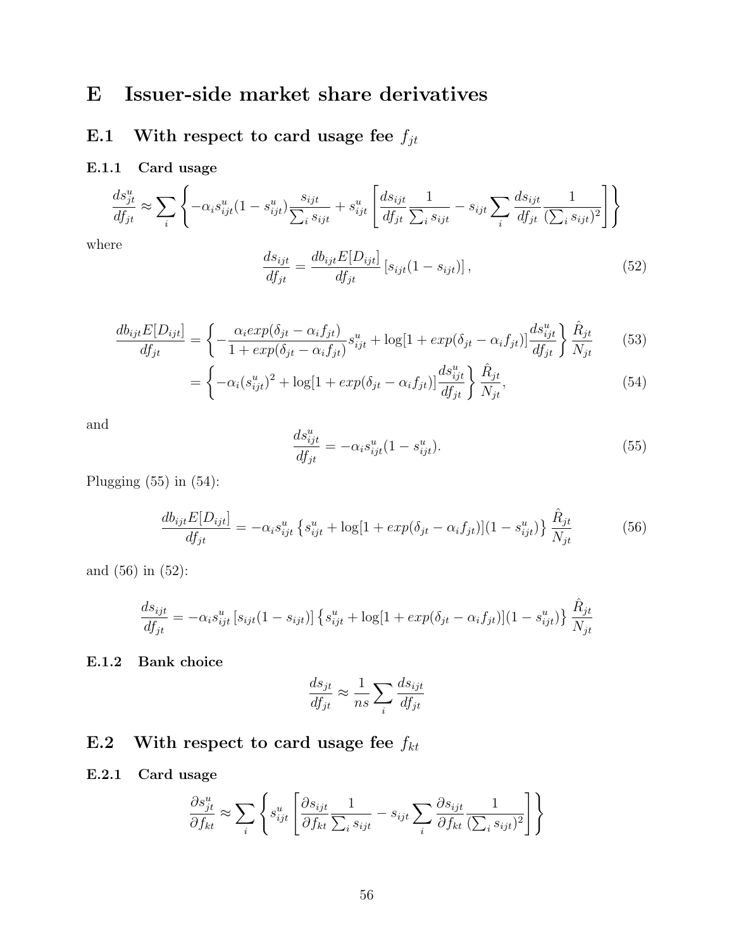## E Issuer-side market share derivatives

## E.1 With respect to card usage fee  $f_{jt}$

### E.1.1 Card usage

$$
\frac{ds_{jt}^u}{df_{jt}} \approx \sum_i \left\{ -\alpha_i s_{ijt}^u (1 - s_{ijt}^u) \frac{s_{ijt}}{\sum_i s_{ijt}} + s_{ijt}^u \left[ \frac{ds_{ijt}}{df_{jt}} \frac{1}{\sum_i s_{ijt}} - s_{ijt} \sum_i \frac{ds_{ijt}}{df_{jt}} \frac{1}{(\sum_i s_{ijt})^2} \right] \right\}
$$

where

$$
\frac{ds_{ijt}}{df_{jt}} = \frac{db_{ijt}E[D_{ijt}]}{df_{jt}}\left[s_{ijt}(1-s_{ijt})\right],\tag{52}
$$

$$
\frac{db_{ijt}E[D_{ijt}]}{df_{jt}} = \left\{-\frac{\alpha_i exp(\delta_{jt} - \alpha_i f_{jt})}{1 + exp(\delta_{jt} - \alpha_i f_{jt})} s_{ijt}^u + \log[1 + exp(\delta_{jt} - \alpha_i f_{jt})] \frac{ds_{ijt}^u}{df_{jt}}\right\} \frac{\hat{R}_{jt}}{N_{jt}} \tag{53}
$$

$$
= \left\{-\alpha_i(s_{ijt}^u)^2 + \log[1 + exp(\delta_{jt} - \alpha_i f_{jt})] \frac{ds_{ijt}^u}{df_{jt}}\right\} \frac{\hat{R}_{jt}}{N_{jt}},\tag{54}
$$

and

$$
\frac{ds_{ijt}^u}{df_{jt}} = -\alpha_i s_{ijt}^u (1 - s_{ijt}^u). \tag{55}
$$

Plugging  $(55)$  in  $(54)$ :

$$
\frac{db_{ijt}E[D_{ijt}]}{df_{jt}} = -\alpha_i s_{ijt}^u \left\{ s_{ijt}^u + \log[1 + exp(\delta_{jt} - \alpha_i f_{jt})](1 - s_{ijt}^u) \right\} \frac{\hat{R}_{jt}}{N_{jt}} \tag{56}
$$

and (56) in (52):

$$
\frac{ds_{ijt}}{df_{jt}} = -\alpha_i s_{ijt}^u \left[ s_{ijt} (1 - s_{ijt}) \right] \left\{ s_{ijt}^u + \log[1 + exp(\delta_{jt} - \alpha_i f_{jt})](1 - s_{ijt}^u) \right\} \frac{\hat{R}_{jt}}{N_{jt}}
$$

### E.1.2 Bank choice

$$
\frac{ds_{jt}}{df_{jt}} \approx \frac{1}{ns} \sum_{i} \frac{ds_{ijt}}{df_{jt}}
$$

## E.2 With respect to card usage fee  $f_{kt}$

### E.2.1 Card usage

$$
\frac{\partial s_{jt}^u}{\partial f_{kt}} \approx \sum_i \left\{ s_{ijt}^u \left[ \frac{\partial s_{ijt}}{\partial f_{kt}} \frac{1}{\sum_i s_{ijt}} - s_{ijt} \sum_i \frac{\partial s_{ijt}}{\partial f_{kt}} \frac{1}{(\sum_i s_{ijt})^2} \right] \right\}
$$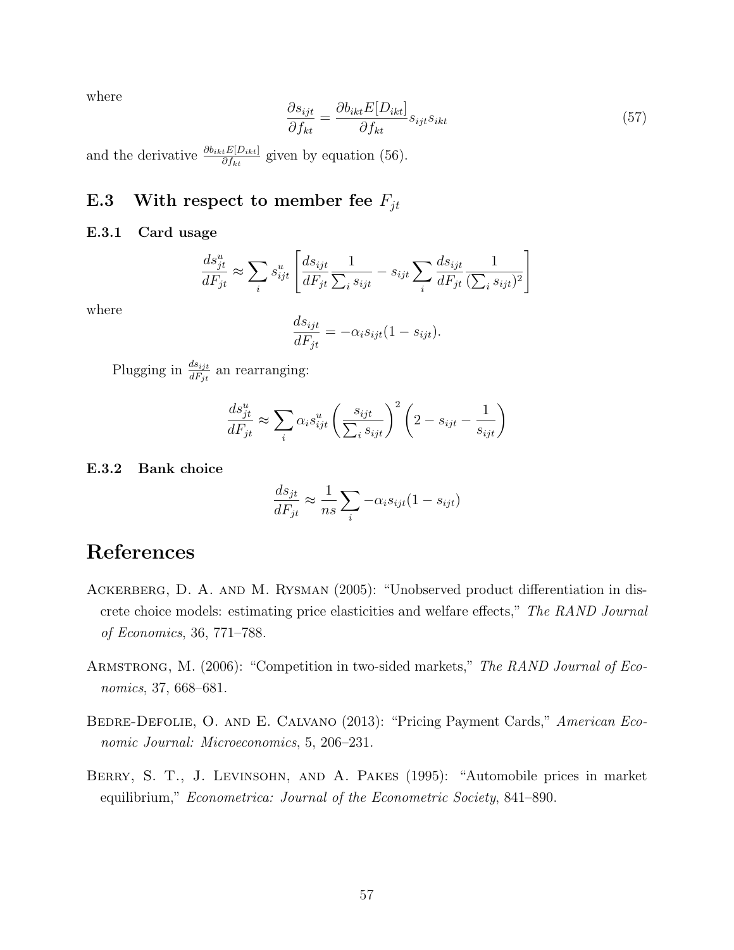where

$$
\frac{\partial s_{ijt}}{\partial f_{kt}} = \frac{\partial b_{ikt} E[D_{ikt}]}{\partial f_{kt}} s_{ijt} s_{ikt}
$$
(57)

and the derivative  $\frac{\partial b_{ikt}E[D_{ikt}]}{\partial f_{kt}}$  given by equation (56).

### **E.3** With respect to member fee  $F_{jt}$

#### E.3.1 Card usage

$$
\frac{ds_{jt}^u}{dF_{jt}} \approx \sum_i s_{ijt}^u \left[ \frac{ds_{ijt}}{dF_{jt}} \frac{1}{\sum_i s_{ijt}} - s_{ijt} \sum_i \frac{ds_{ijt}}{dF_{jt}} \frac{1}{(\sum_i s_{ijt})^2} \right]
$$

where

$$
\frac{ds_{ijt}}{dF_{jt}} = -\alpha_i s_{ijt} (1 - s_{ijt}).
$$

Plugging in  $\frac{ds_{ijt}}{dF_{jt}}$  an rearranging:

$$
\frac{ds_{jt}^u}{dF_{jt}} \approx \sum_i \alpha_i s_{ijt}^u \left(\frac{s_{ijt}}{\sum_i s_{ijt}}\right)^2 \left(2 - s_{ijt} - \frac{1}{s_{ijt}}\right)
$$

#### E.3.2 Bank choice

$$
\frac{ds_{jt}}{dF_{jt}} \approx \frac{1}{ns} \sum_{i} -\alpha_i s_{ijt} (1 - s_{ijt})
$$

## References

- ACKERBERG, D. A. AND M. RYSMAN (2005): "Unobserved product differentiation in discrete choice models: estimating price elasticities and welfare effects," The RAND Journal of Economics, 36, 771–788.
- Armstrong, M. (2006): "Competition in two-sided markets," The RAND Journal of Economics, 37, 668–681.
- Bedre-Defolie, O. and E. Calvano (2013): "Pricing Payment Cards," American Economic Journal: Microeconomics, 5, 206–231.
- BERRY, S. T., J. LEVINSOHN, AND A. PAKES (1995): "Automobile prices in market equilibrium," Econometrica: Journal of the Econometric Society, 841–890.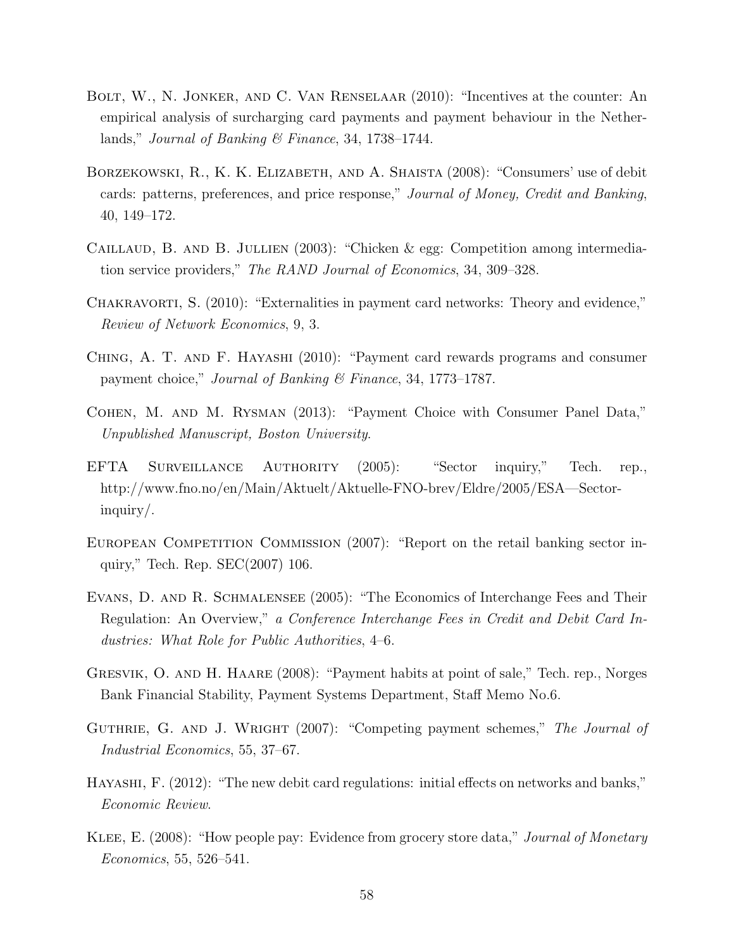- Bolt, W., N. Jonker, and C. Van Renselaar (2010): "Incentives at the counter: An empirical analysis of surcharging card payments and payment behaviour in the Netherlands," *Journal of Banking*  $\mathcal{C}$  *Finance*, 34, 1738–1744.
- BORZEKOWSKI, R., K. K. ELIZABETH, AND A. SHAISTA (2008): "Consumers' use of debit cards: patterns, preferences, and price response," Journal of Money, Credit and Banking, 40, 149–172.
- CAILLAUD, B. AND B. JULLIEN (2003): "Chicken & egg: Competition among intermediation service providers," The RAND Journal of Economics, 34, 309–328.
- Chakravorti, S. (2010): "Externalities in payment card networks: Theory and evidence," Review of Network Economics, 9, 3.
- Ching, A. T. and F. Hayashi (2010): "Payment card rewards programs and consumer payment choice," Journal of Banking  $\mathcal C$  Finance, 34, 1773–1787.
- Cohen, M. and M. Rysman (2013): "Payment Choice with Consumer Panel Data," Unpublished Manuscript, Boston University.
- EFTA SURVEILLANCE AUTHORITY (2005): "Sector inquiry," Tech. rep., http://www.fno.no/en/Main/Aktuelt/Aktuelle-FNO-brev/Eldre/2005/ESA—Sectorinquiry/.
- EUROPEAN COMPETITION COMMISSION (2007): "Report on the retail banking sector inquiry," Tech. Rep. SEC(2007) 106.
- Evans, D. and R. Schmalensee (2005): "The Economics of Interchange Fees and Their Regulation: An Overview," a Conference Interchange Fees in Credit and Debit Card Industries: What Role for Public Authorities, 4–6.
- Gresvik, O. and H. Haare (2008): "Payment habits at point of sale," Tech. rep., Norges Bank Financial Stability, Payment Systems Department, Staff Memo No.6.
- GUTHRIE, G. AND J. WRIGHT (2007): "Competing payment schemes," The Journal of Industrial Economics, 55, 37–67.
- Hayashi, F. (2012): "The new debit card regulations: initial effects on networks and banks," Economic Review.
- KLEE, E. (2008): "How people pay: Evidence from grocery store data," *Journal of Monetary* Economics, 55, 526–541.